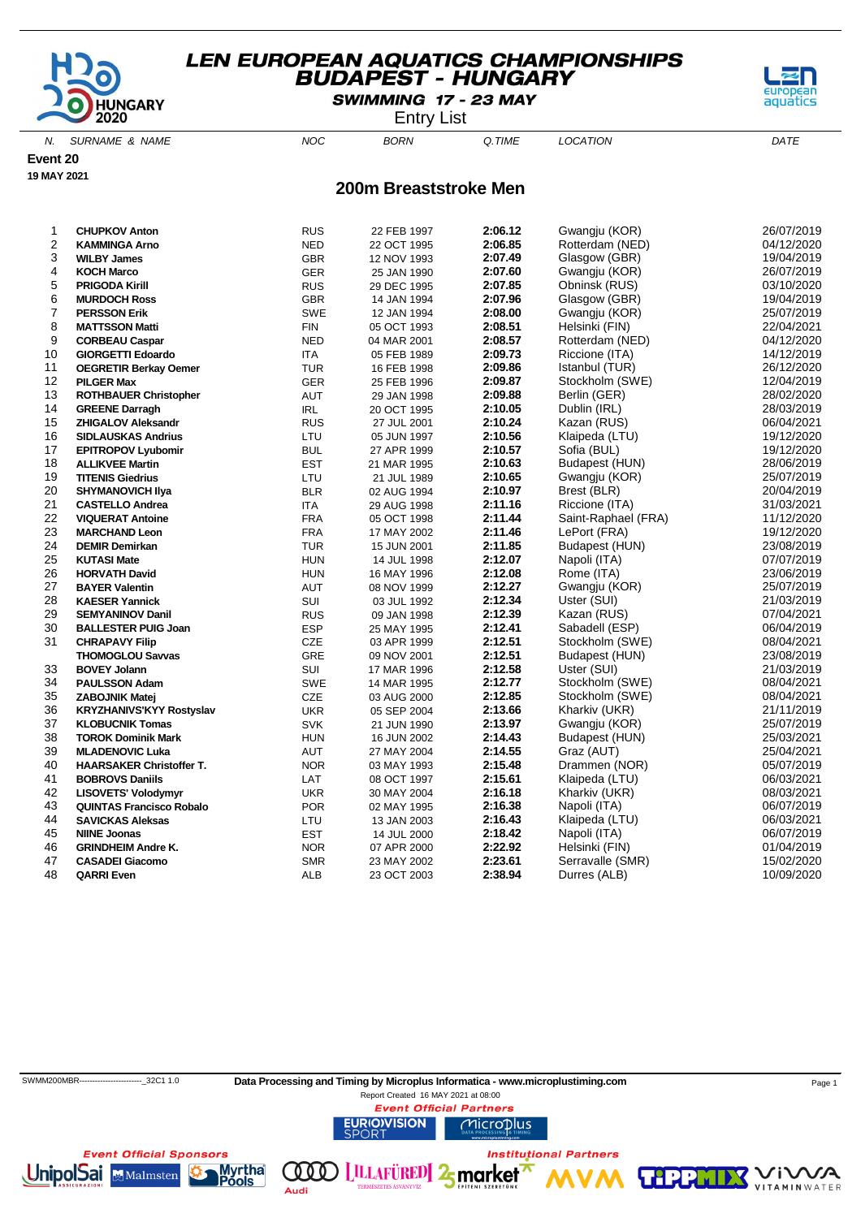

SWIMMING 17 - 23 MAY

Entry List

N. SURNAME & NAME  $NOC$  BORN Q.TIME LOCATION DATE

**Event 20**

**19 MAY 2021**

#### **200m Breaststroke Men**

| 1              | <b>CHUPKOV Anton</b>            | <b>RUS</b> | 22 FEB 1997 | 2:06.12 | Gwangju (KOR)       | 26/07/2019 |
|----------------|---------------------------------|------------|-------------|---------|---------------------|------------|
| 2              | <b>KAMMINGA Arno</b>            | <b>NED</b> | 22 OCT 1995 | 2:06.85 | Rotterdam (NED)     | 04/12/2020 |
| 3              | <b>WILBY James</b>              | <b>GBR</b> | 12 NOV 1993 | 2:07.49 | Glasgow (GBR)       | 19/04/2019 |
| 4              | <b>KOCH Marco</b>               | <b>GER</b> | 25 JAN 1990 | 2:07.60 | Gwangju (KOR)       | 26/07/2019 |
| 5              | <b>PRIGODA Kirill</b>           | <b>RUS</b> | 29 DEC 1995 | 2:07.85 | Obninsk (RUS)       | 03/10/2020 |
| 6              | <b>MURDOCH Ross</b>             | <b>GBR</b> | 14 JAN 1994 | 2:07.96 | Glasgow (GBR)       | 19/04/2019 |
| $\overline{7}$ | <b>PERSSON Erik</b>             | SWE        | 12 JAN 1994 | 2:08.00 | Gwangju (KOR)       | 25/07/2019 |
| 8              | <b>MATTSSON Matti</b>           | FIN        | 05 OCT 1993 | 2:08.51 | Helsinki (FIN)      | 22/04/2021 |
| 9              | <b>CORBEAU Caspar</b>           | <b>NED</b> | 04 MAR 2001 | 2:08.57 | Rotterdam (NED)     | 04/12/2020 |
| 10             | <b>GIORGETTI Edoardo</b>        | ITA        | 05 FEB 1989 | 2:09.73 | Riccione (ITA)      | 14/12/2019 |
| 11             | <b>OEGRETIR Berkay Oemer</b>    | <b>TUR</b> | 16 FEB 1998 | 2:09.86 | Istanbul (TUR)      | 26/12/2020 |
| 12             | <b>PILGER Max</b>               | <b>GER</b> | 25 FEB 1996 | 2:09.87 | Stockholm (SWE)     | 12/04/2019 |
| 13             | <b>ROTHBAUER Christopher</b>    | AUT        | 29 JAN 1998 | 2:09.88 | Berlin (GER)        | 28/02/2020 |
| 14             | <b>GREENE Darragh</b>           | IRL        | 20 OCT 1995 | 2:10.05 | Dublin (IRL)        | 28/03/2019 |
| 15             | <b>ZHIGALOV Aleksandr</b>       | <b>RUS</b> | 27 JUL 2001 | 2:10.24 | Kazan (RUS)         | 06/04/2021 |
| 16             | <b>SIDLAUSKAS Andrius</b>       | LTU        | 05 JUN 1997 | 2:10.56 | Klaipeda (LTU)      | 19/12/2020 |
| 17             | <b>EPITROPOV Lyubomir</b>       | <b>BUL</b> | 27 APR 1999 | 2:10.57 | Sofia (BUL)         | 19/12/2020 |
| 18             | <b>ALLIKVEE Martin</b>          | <b>EST</b> | 21 MAR 1995 | 2:10.63 | Budapest (HUN)      | 28/06/2019 |
| 19             | <b>TITENIS Giedrius</b>         | LTU        | 21 JUL 1989 | 2:10.65 | Gwangju (KOR)       | 25/07/2019 |
| 20             | <b>SHYMANOVICH IIya</b>         | <b>BLR</b> | 02 AUG 1994 | 2:10.97 | Brest (BLR)         | 20/04/2019 |
| 21             | <b>CASTELLO Andrea</b>          | ITA        | 29 AUG 1998 | 2:11.16 | Riccione (ITA)      | 31/03/2021 |
| 22             | <b>VIQUERAT Antoine</b>         | <b>FRA</b> | 05 OCT 1998 | 2:11.44 | Saint-Raphael (FRA) | 11/12/2020 |
| 23             | <b>MARCHAND Leon</b>            | <b>FRA</b> | 17 MAY 2002 | 2:11.46 | LePort (FRA)        | 19/12/2020 |
| 24             | <b>DEMIR Demirkan</b>           | <b>TUR</b> | 15 JUN 2001 | 2:11.85 | Budapest (HUN)      | 23/08/2019 |
| 25             | <b>KUTASI Mate</b>              | <b>HUN</b> | 14 JUL 1998 | 2:12.07 | Napoli (ITA)        | 07/07/2019 |
| 26             | <b>HORVATH David</b>            | <b>HUN</b> | 16 MAY 1996 | 2:12.08 | Rome (ITA)          | 23/06/2019 |
| 27             | <b>BAYER Valentin</b>           | AUT        | 08 NOV 1999 | 2:12.27 | Gwangju (KOR)       | 25/07/2019 |
| 28             | <b>KAESER Yannick</b>           | SUI        | 03 JUL 1992 | 2:12.34 | Uster (SUI)         | 21/03/2019 |
| 29             | <b>SEMYANINOV Danil</b>         | <b>RUS</b> | 09 JAN 1998 | 2:12.39 | Kazan (RUS)         | 07/04/2021 |
| 30             | <b>BALLESTER PUIG Joan</b>      | <b>ESP</b> | 25 MAY 1995 | 2:12.41 | Sabadell (ESP)      | 06/04/2019 |
| 31             | <b>CHRAPAVY Filip</b>           | <b>CZE</b> | 03 APR 1999 | 2:12.51 | Stockholm (SWE)     | 08/04/2021 |
|                | <b>THOMOGLOU Savvas</b>         | <b>GRE</b> | 09 NOV 2001 | 2:12.51 | Budapest (HUN)      | 23/08/2019 |
| 33             | <b>BOVEY Jolann</b>             | SUI        | 17 MAR 1996 | 2:12.58 | Uster (SUI)         | 21/03/2019 |
| 34             | <b>PAULSSON Adam</b>            | <b>SWE</b> | 14 MAR 1995 | 2:12.77 | Stockholm (SWE)     | 08/04/2021 |
| 35             | <b>ZABOJNIK Matej</b>           | CZE        | 03 AUG 2000 | 2:12.85 | Stockholm (SWE)     | 08/04/2021 |
| 36             | <b>KRYZHANIVS'KYY Rostyslav</b> | <b>UKR</b> | 05 SEP 2004 | 2:13.66 | Kharkiv (UKR)       | 21/11/2019 |
| 37             | <b>KLOBUCNIK Tomas</b>          | <b>SVK</b> | 21 JUN 1990 | 2:13.97 | Gwangju (KOR)       | 25/07/2019 |
| 38             | <b>TOROK Dominik Mark</b>       | <b>HUN</b> | 16 JUN 2002 | 2:14.43 | Budapest (HUN)      | 25/03/2021 |
| 39             | <b>MLADENOVIC Luka</b>          | AUT        | 27 MAY 2004 | 2:14.55 | Graz (AUT)          | 25/04/2021 |
| 40             | <b>HAARSAKER Christoffer T.</b> | <b>NOR</b> | 03 MAY 1993 | 2:15.48 | Drammen (NOR)       | 05/07/2019 |
| 41             | <b>BOBROVS Daniils</b>          | LAT        | 08 OCT 1997 | 2:15.61 | Klaipeda (LTU)      | 06/03/2021 |
| 42             | <b>LISOVETS' Volodymyr</b>      | <b>UKR</b> | 30 MAY 2004 | 2:16.18 | Kharkiv (UKR)       | 08/03/2021 |
| 43             | <b>QUINTAS Francisco Robalo</b> | <b>POR</b> | 02 MAY 1995 | 2:16.38 | Napoli (ITA)        | 06/07/2019 |
| 44             | <b>SAVICKAS Aleksas</b>         | LTU        | 13 JAN 2003 | 2:16.43 | Klaipeda (LTU)      | 06/03/2021 |
| 45             | <b>NIINE Joonas</b>             | <b>EST</b> | 14 JUL 2000 | 2:18.42 | Napoli (ITA)        | 06/07/2019 |
| 46             | <b>GRINDHEIM Andre K.</b>       | <b>NOR</b> | 07 APR 2000 | 2:22.92 | Helsinki (FIN)      | 01/04/2019 |
| 47             | <b>CASADEI Giacomo</b>          | <b>SMR</b> | 23 MAY 2002 | 2:23.61 | Serravalle (SMR)    | 15/02/2020 |
| 48             | <b>QARRI Even</b>               | ALB        | 23 OCT 2003 | 2:38.94 | Durres (ALB)        | 10/09/2020 |
|                |                                 |            |             |         |                     |            |

 SWMM200MBR------------------------\_32C1 1.0 **Data Processing and Timing by Microplus Informatica - www.microplustiming.com** Page 1 Report Created 16 MAY 2021 at 08:00

(000)

Audi

**Event Official Partners URIO)VISION** Microplus

**LILLAFÜRED** 2 market

**Institutional Partners** 

**TIPP** 





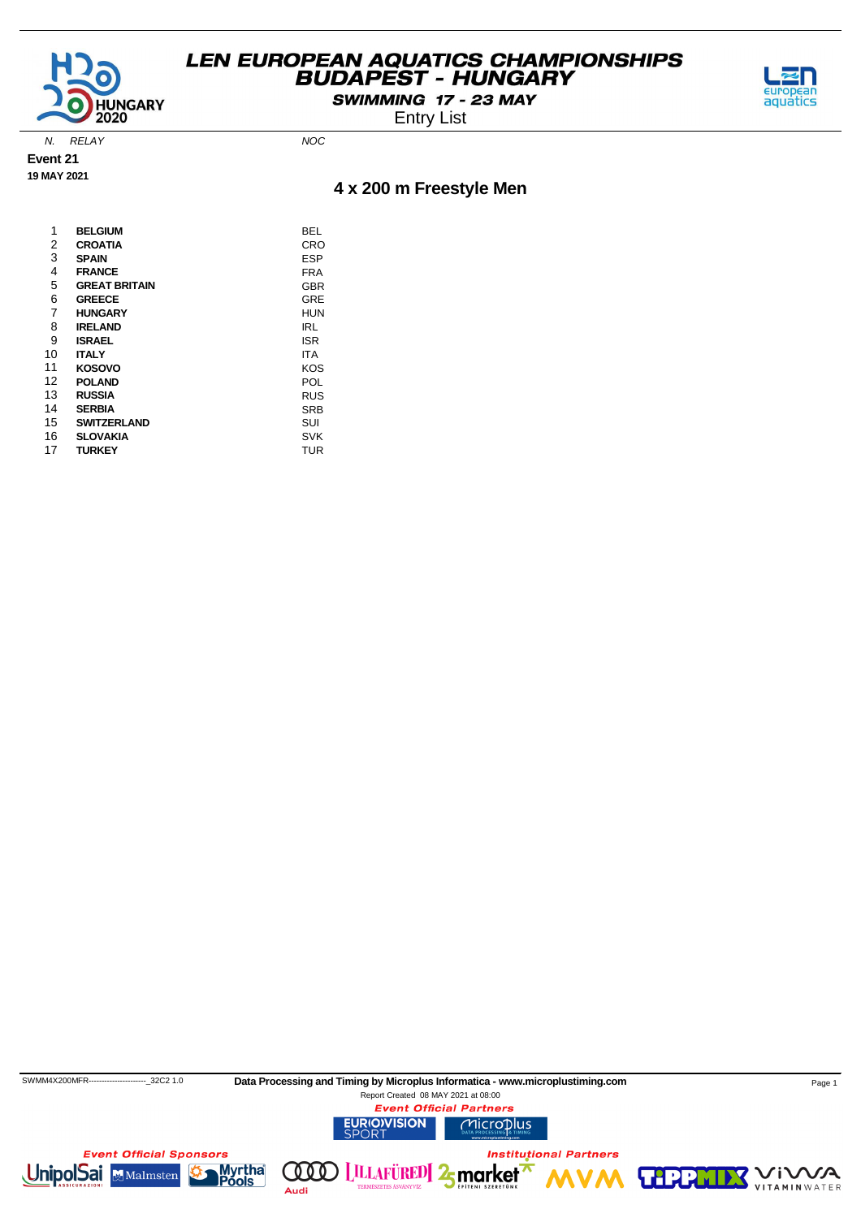

SWIMMING 17 - 23 MAY

Entry List



N. RELAY NOC

**Event 21 19 MAY 2021**

### **4 x 200 m Freestyle Men**

| 1  | <b>BELGIUM</b>       | BEL        |
|----|----------------------|------------|
| 2  | <b>CROATIA</b>       | CRO        |
| 3  | <b>SPAIN</b>         | ESP        |
| 4  | <b>FRANCE</b>        | FRA        |
| 5  | <b>GREAT BRITAIN</b> | GBR        |
| 6  | <b>GREECE</b>        | GRE        |
| 7  | <b>HUNGARY</b>       | <b>HUN</b> |
| 8  | <b>IRELAND</b>       | IRL        |
| 9  | <b>ISRAEL</b>        | <b>ISR</b> |
| 10 | <b>ITALY</b>         | ITA        |
| 11 | <b>KOSOVO</b>        | KOS        |
| 12 | <b>POLAND</b>        | POL        |
| 13 | <b>RUSSIA</b>        | <b>RUS</b> |
| 14 | <b>SERBIA</b>        | SRB        |
| 15 | <b>SWITZERLAND</b>   | SUI        |
| 16 | <b>SLOVAKIA</b>      | <b>SVK</b> |
| 17 | <b>TURKEY</b>        | TUR        |

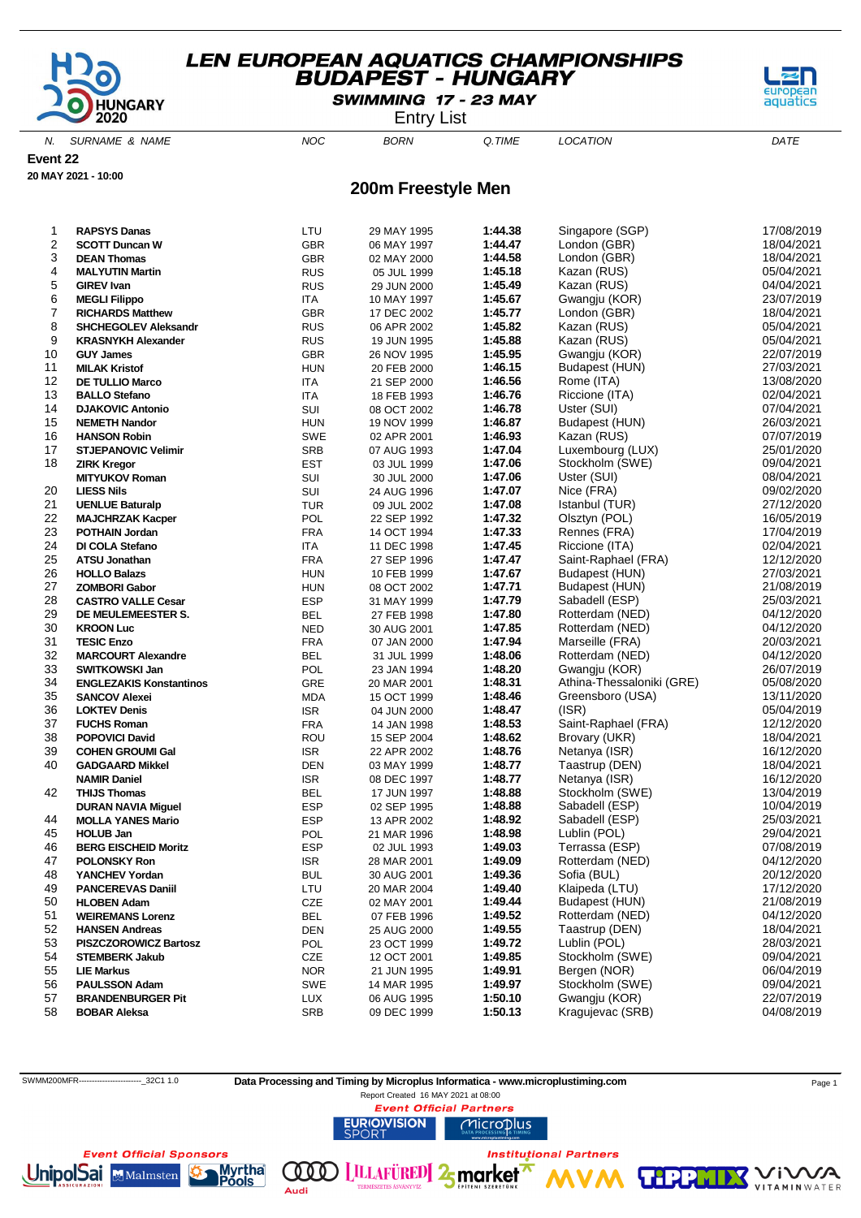

SWIMMING 17 - 23 MAY

Entry List

N. SURNAME & NAME  $NOC$  BORN Q.TIME LOCATION DATE

**Event 22**

**20 MAY 2021 - 10:00**

#### **200m Freestyle Men**

| 1              | <b>RAPSYS Danas</b>            | LTU        | 29 MAY 1995 | 1:44.38 | Singapore (SGP)           | 17/08/2019 |
|----------------|--------------------------------|------------|-------------|---------|---------------------------|------------|
| 2              | <b>SCOTT Duncan W</b>          | <b>GBR</b> | 06 MAY 1997 | 1:44.47 | London (GBR)              | 18/04/2021 |
| 3              | <b>DEAN Thomas</b>             | <b>GBR</b> | 02 MAY 2000 | 1:44.58 | London (GBR)              | 18/04/2021 |
| 4              | <b>MALYUTIN Martin</b>         | <b>RUS</b> | 05 JUL 1999 | 1:45.18 | Kazan (RUS)               | 05/04/2021 |
| 5              | <b>GIREV Ivan</b>              | <b>RUS</b> | 29 JUN 2000 | 1:45.49 | Kazan (RUS)               | 04/04/2021 |
| 6              | <b>MEGLI Filippo</b>           | <b>ITA</b> | 10 MAY 1997 | 1:45.67 | Gwangju (KOR)             | 23/07/2019 |
| $\overline{7}$ | <b>RICHARDS Matthew</b>        | <b>GBR</b> | 17 DEC 2002 | 1:45.77 | London (GBR)              | 18/04/2021 |
| 8              | <b>SHCHEGOLEV Aleksandr</b>    | <b>RUS</b> | 06 APR 2002 | 1:45.82 | Kazan (RUS)               | 05/04/2021 |
| 9              | <b>KRASNYKH Alexander</b>      | <b>RUS</b> | 19 JUN 1995 | 1:45.88 | Kazan (RUS)               | 05/04/2021 |
| 10             | <b>GUY James</b>               | <b>GBR</b> | 26 NOV 1995 | 1:45.95 | Gwangju (KOR)             | 22/07/2019 |
| 11             | <b>MILAK Kristof</b>           | <b>HUN</b> | 20 FEB 2000 | 1:46.15 | Budapest (HUN)            | 27/03/2021 |
| 12             | <b>DE TULLIO Marco</b>         | ITA        | 21 SEP 2000 | 1:46.56 | Rome (ITA)                | 13/08/2020 |
| 13             | <b>BALLO Stefano</b>           | ITA        | 18 FEB 1993 | 1:46.76 | Riccione (ITA)            | 02/04/2021 |
| 14             | <b>DJAKOVIC Antonio</b>        | SUI        | 08 OCT 2002 | 1:46.78 | Uster (SUI)               | 07/04/2021 |
| 15             | <b>NEMETH Nandor</b>           | <b>HUN</b> | 19 NOV 1999 | 1:46.87 | Budapest (HUN)            | 26/03/2021 |
| 16             | <b>HANSON Robin</b>            | SWE        | 02 APR 2001 | 1:46.93 | Kazan (RUS)               | 07/07/2019 |
| 17             | <b>STJEPANOVIC Velimir</b>     | <b>SRB</b> | 07 AUG 1993 | 1:47.04 | Luxembourg (LUX)          | 25/01/2020 |
| 18             | <b>ZIRK Kregor</b>             | <b>EST</b> | 03 JUL 1999 | 1:47.06 | Stockholm (SWE)           | 09/04/2021 |
|                | <b>MITYUKOV Roman</b>          | SUI        | 30 JUL 2000 | 1:47.06 | Uster (SUI)               | 08/04/2021 |
| 20             | <b>LIESS Nils</b>              | SUI        | 24 AUG 1996 | 1:47.07 | Nice (FRA)                | 09/02/2020 |
| 21             | <b>UENLUE Baturalp</b>         | <b>TUR</b> | 09 JUL 2002 | 1:47.08 | Istanbul (TUR)            | 27/12/2020 |
| 22             | <b>MAJCHRZAK Kacper</b>        | POL        | 22 SEP 1992 | 1:47.32 | Olsztyn (POL)             | 16/05/2019 |
| 23             | <b>POTHAIN Jordan</b>          | <b>FRA</b> | 14 OCT 1994 | 1:47.33 | Rennes (FRA)              | 17/04/2019 |
| 24             | DI COLA Stefano                | ITA        | 11 DEC 1998 | 1:47.45 | Riccione (ITA)            | 02/04/2021 |
| 25             | <b>ATSU Jonathan</b>           | <b>FRA</b> | 27 SEP 1996 | 1:47.47 | Saint-Raphael (FRA)       | 12/12/2020 |
| 26             | <b>HOLLO Balazs</b>            | <b>HUN</b> | 10 FEB 1999 | 1:47.67 | Budapest (HUN)            | 27/03/2021 |
| 27             | <b>ZOMBORI Gabor</b>           | <b>HUN</b> | 08 OCT 2002 | 1:47.71 | Budapest (HUN)            | 21/08/2019 |
| 28             | <b>CASTRO VALLE Cesar</b>      | <b>ESP</b> | 31 MAY 1999 | 1:47.79 | Sabadell (ESP)            | 25/03/2021 |
| 29             | DE MEULEMEESTER S.             | <b>BEL</b> | 27 FEB 1998 | 1:47.80 | Rotterdam (NED)           | 04/12/2020 |
| 30             | <b>KROON Luc</b>               | <b>NED</b> | 30 AUG 2001 | 1:47.85 | Rotterdam (NED)           | 04/12/2020 |
| 31             | <b>TESIC Enzo</b>              | <b>FRA</b> | 07 JAN 2000 | 1:47.94 | Marseille (FRA)           | 20/03/2021 |
| 32             | <b>MARCOURT Alexandre</b>      | <b>BEL</b> | 31 JUL 1999 | 1:48.06 | Rotterdam (NED)           | 04/12/2020 |
| 33             | <b>SWITKOWSKI Jan</b>          | POL        | 23 JAN 1994 | 1:48.20 | Gwangju (KOR)             | 26/07/2019 |
| 34             | <b>ENGLEZAKIS Konstantinos</b> | <b>GRE</b> | 20 MAR 2001 | 1:48.31 | Athina-Thessaloniki (GRE) | 05/08/2020 |
| 35             | <b>SANCOV Alexei</b>           | <b>MDA</b> | 15 OCT 1999 | 1:48.46 | Greensboro (USA)          | 13/11/2020 |
| 36             | <b>LOKTEV Denis</b>            | <b>ISR</b> | 04 JUN 2000 | 1:48.47 | (ISR)                     | 05/04/2019 |
| 37             | <b>FUCHS Roman</b>             | <b>FRA</b> | 14 JAN 1998 | 1:48.53 | Saint-Raphael (FRA)       | 12/12/2020 |
| 38             | <b>POPOVICI David</b>          | ROU        | 15 SEP 2004 | 1:48.62 | Brovary (UKR)             | 18/04/2021 |
| 39             | <b>COHEN GROUMI Gal</b>        | <b>ISR</b> | 22 APR 2002 | 1:48.76 | Netanya (ISR)             | 16/12/2020 |
| 40             | <b>GADGAARD Mikkel</b>         | <b>DEN</b> | 03 MAY 1999 | 1:48.77 | Taastrup (DEN)            | 18/04/2021 |
|                | <b>NAMIR Daniel</b>            | <b>ISR</b> | 08 DEC 1997 | 1:48.77 | Netanya (ISR)             | 16/12/2020 |
| 42             | <b>THIJS Thomas</b>            | <b>BEL</b> | 17 JUN 1997 | 1:48.88 | Stockholm (SWE)           | 13/04/2019 |
|                | <b>DURAN NAVIA Miguel</b>      | ESP        | 02 SEP 1995 | 1:48.88 | Sabadell (ESP)            | 10/04/2019 |
| 44             | <b>MOLLA YANES Mario</b>       | <b>ESP</b> | 13 APR 2002 | 1:48.92 | Sabadell (ESP)            | 25/03/2021 |
| 45             | <b>HOLUB Jan</b>               | POL        | 21 MAR 1996 | 1:48.98 | Lublin (POL)              | 29/04/2021 |
| 46             | <b>BERG EISCHEID Moritz</b>    | <b>ESP</b> | 02 JUL 1993 | 1:49.03 | Terrassa (ESP)            | 07/08/2019 |
| 47             | <b>POLONSKY Ron</b>            | <b>ISR</b> | 28 MAR 2001 | 1:49.09 | Rotterdam (NED)           | 04/12/2020 |
| 48             | YANCHEV Yordan                 | <b>BUL</b> | 30 AUG 2001 | 1:49.36 | Sofia (BUL)               | 20/12/2020 |
| 49             | <b>PANCEREVAS Daniil</b>       | LTU        | 20 MAR 2004 | 1:49.40 | Klaipeda (LTU)            | 17/12/2020 |
| 50             | <b>HLOBEN Adam</b>             | CZE        | 02 MAY 2001 | 1:49.44 | Budapest (HUN)            | 21/08/2019 |
| 51             | <b>WEIREMANS Lorenz</b>        | <b>BEL</b> | 07 FEB 1996 | 1:49.52 | Rotterdam (NED)           | 04/12/2020 |
| 52             | <b>HANSEN Andreas</b>          | <b>DEN</b> | 25 AUG 2000 | 1:49.55 | Taastrup (DEN)            | 18/04/2021 |
| 53             | <b>PISZCZOROWICZ Bartosz</b>   | POL        | 23 OCT 1999 | 1:49.72 | Lublin (POL)              | 28/03/2021 |
| 54             | <b>STEMBERK Jakub</b>          | CZE        | 12 OCT 2001 | 1:49.85 | Stockholm (SWE)           | 09/04/2021 |
| 55             | <b>LIE Markus</b>              | <b>NOR</b> | 21 JUN 1995 | 1:49.91 | Bergen (NOR)              | 06/04/2019 |
| 56             | <b>PAULSSON Adam</b>           | SWE        | 14 MAR 1995 | 1:49.97 | Stockholm (SWE)           | 09/04/2021 |
| 57             | <b>BRANDENBURGER Pit</b>       | <b>LUX</b> | 06 AUG 1995 | 1:50.10 | Gwangju (KOR)             | 22/07/2019 |
| 58             | <b>BOBAR Aleksa</b>            | SRB        | 09 DEC 1999 | 1:50.13 | Kragujevac (SRB)          | 04/08/2019 |
|                |                                |            |             |         |                           |            |

SWMM200MFR------------------------\_32C1 1.0 **Data Processing and Timing by Microplus Informatica - www.microplustiming.com** Page 1

Report Created 16 MAY 2021 at 08:00**Event Official Partners** 

**LILLAFÜRED** 2 market

Microplus

**Institutional Partners** 

**URIO)VISION** 

**Event Official Sponsors UnipolSai** Myrtha (000) Malmsten

ools

Audi

**TIPP** 



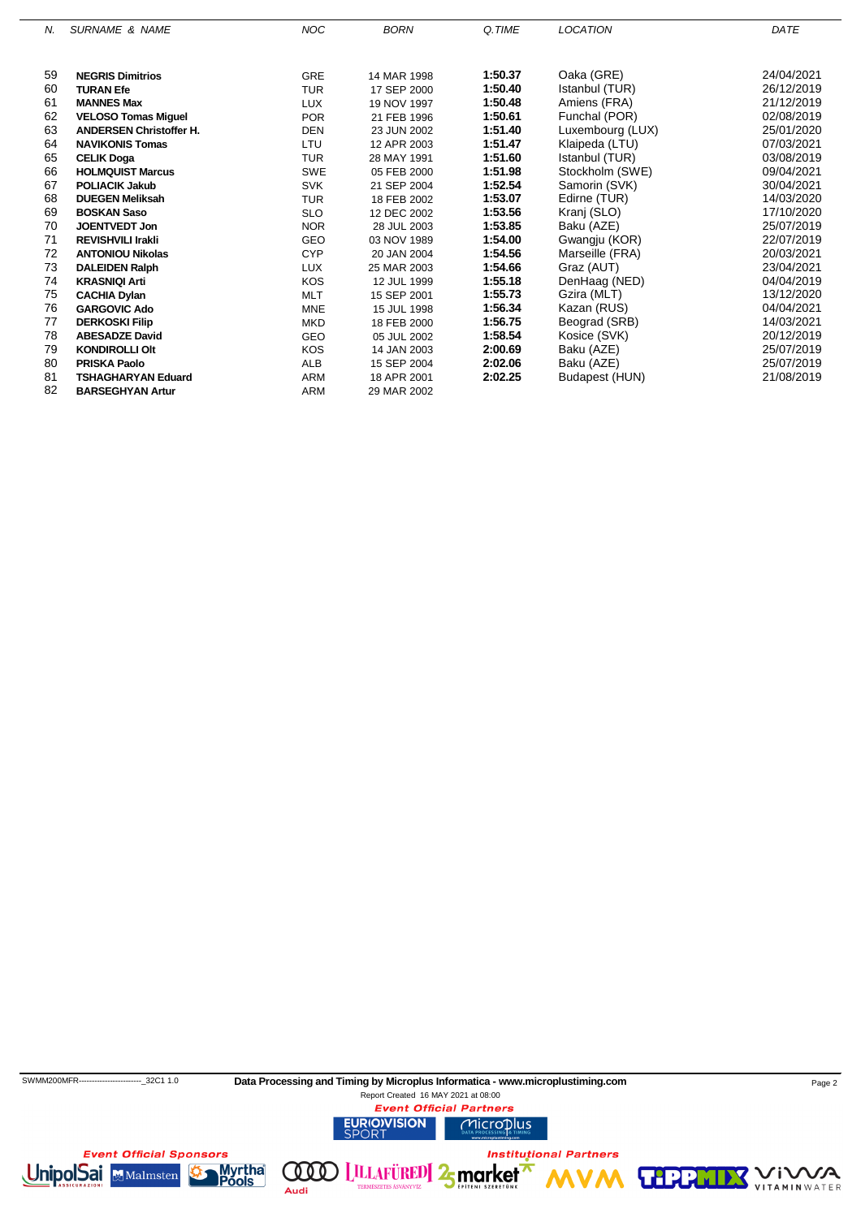| Ν. | <b>SURNAME &amp; NAME</b>      | <b>NOC</b> | <b>BORN</b> | Q.TIME  | <b>LOCATION</b>  | DATE       |
|----|--------------------------------|------------|-------------|---------|------------------|------------|
|    |                                |            |             |         |                  |            |
| 59 | <b>NEGRIS Dimitrios</b>        | <b>GRE</b> | 14 MAR 1998 | 1:50.37 | Oaka (GRE)       | 24/04/2021 |
| 60 | <b>TURAN Efe</b>               | <b>TUR</b> | 17 SEP 2000 | 1:50.40 | Istanbul (TUR)   | 26/12/2019 |
| 61 | <b>MANNES Max</b>              | <b>LUX</b> | 19 NOV 1997 | 1:50.48 | Amiens (FRA)     | 21/12/2019 |
| 62 | <b>VELOSO Tomas Miguel</b>     | <b>POR</b> | 21 FEB 1996 | 1:50.61 | Funchal (POR)    | 02/08/2019 |
| 63 | <b>ANDERSEN Christoffer H.</b> | <b>DEN</b> | 23 JUN 2002 | 1:51.40 | Luxembourg (LUX) | 25/01/2020 |
| 64 | <b>NAVIKONIS Tomas</b>         | LTU        | 12 APR 2003 | 1:51.47 | Klaipeda (LTU)   | 07/03/2021 |
| 65 | <b>CELIK Doga</b>              | <b>TUR</b> | 28 MAY 1991 | 1:51.60 | Istanbul (TUR)   | 03/08/2019 |
| 66 | <b>HOLMQUIST Marcus</b>        | <b>SWE</b> | 05 FEB 2000 | 1:51.98 | Stockholm (SWE)  | 09/04/2021 |
| 67 | <b>POLIACIK Jakub</b>          | <b>SVK</b> | 21 SEP 2004 | 1:52.54 | Samorin (SVK)    | 30/04/2021 |
| 68 | <b>DUEGEN Meliksah</b>         | <b>TUR</b> | 18 FEB 2002 | 1:53.07 | Edirne (TUR)     | 14/03/2020 |
| 69 | <b>BOSKAN Saso</b>             | <b>SLO</b> | 12 DEC 2002 | 1:53.56 | Kranj (SLO)      | 17/10/2020 |
| 70 | <b>JOENTVEDT Jon</b>           | <b>NOR</b> | 28 JUL 2003 | 1:53.85 | Baku (AZE)       | 25/07/2019 |
| 71 | <b>REVISHVILI Irakli</b>       | <b>GEO</b> | 03 NOV 1989 | 1:54.00 | Gwangju (KOR)    | 22/07/2019 |
| 72 | <b>ANTONIOU Nikolas</b>        | <b>CYP</b> | 20 JAN 2004 | 1:54.56 | Marseille (FRA)  | 20/03/2021 |
| 73 | <b>DALEIDEN Ralph</b>          | <b>LUX</b> | 25 MAR 2003 | 1:54.66 | Graz (AUT)       | 23/04/2021 |
| 74 | <b>KRASNIQI Arti</b>           | <b>KOS</b> | 12 JUL 1999 | 1:55.18 | DenHaag (NED)    | 04/04/2019 |
| 75 | <b>CACHIA Dylan</b>            | <b>MLT</b> | 15 SEP 2001 | 1:55.73 | Gzira (MLT)      | 13/12/2020 |
| 76 | <b>GARGOVIC Ado</b>            | <b>MNE</b> | 15 JUL 1998 | 1:56.34 | Kazan (RUS)      | 04/04/2021 |
| 77 | <b>DERKOSKI Filip</b>          | <b>MKD</b> | 18 FEB 2000 | 1:56.75 | Beograd (SRB)    | 14/03/2021 |
| 78 | <b>ABESADZE David</b>          | <b>GEO</b> | 05 JUL 2002 | 1:58.54 | Kosice (SVK)     | 20/12/2019 |
| 79 | <b>KONDIROLLI Olt</b>          | KOS        | 14 JAN 2003 | 2:00.69 | Baku (AZE)       | 25/07/2019 |
| 80 | <b>PRISKA Paolo</b>            | <b>ALB</b> | 15 SEP 2004 | 2:02.06 | Baku (AZE)       | 25/07/2019 |
| 81 | <b>TSHAGHARYAN Eduard</b>      | <b>ARM</b> | 18 APR 2001 | 2:02.25 | Budapest (HUN)   | 21/08/2019 |
| 82 | <b>BARSEGHYAN Artur</b>        | <b>ARM</b> | 29 MAR 2002 |         |                  |            |

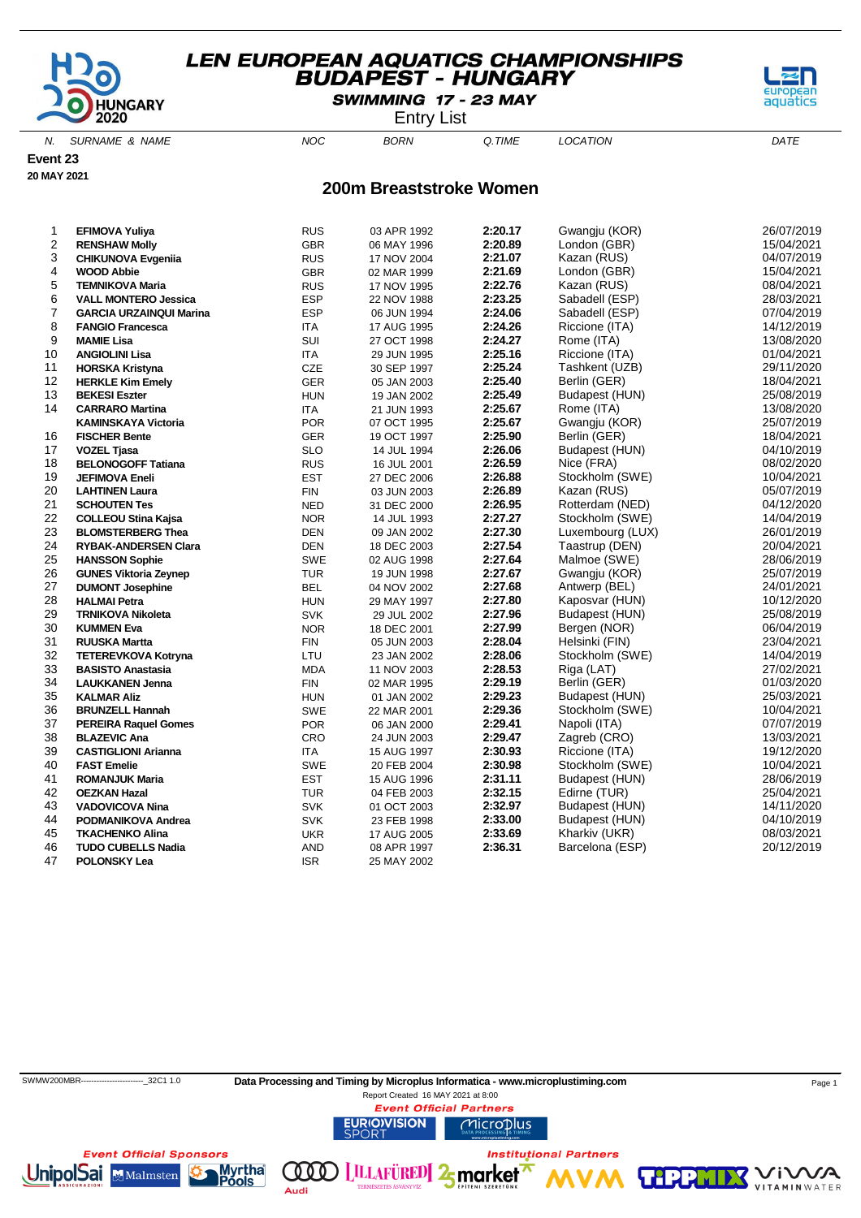

SWIMMING 17 - 23 MAY

Entry List

N. SURNAME & NAME  $NOC$  BORN Q.TIME LOCATION DATE

**Event 23**

**20 MAY 2021**

#### **200m Breaststroke Women**

| 1  | <b>EFIMOVA Yuliya</b>          | <b>RUS</b> | 03 APR 1992 | 2:20.17 | Gwangju (KOR)    | 26/07/2019 |
|----|--------------------------------|------------|-------------|---------|------------------|------------|
| 2  | <b>RENSHAW Molly</b>           | GBR        | 06 MAY 1996 | 2:20.89 | London (GBR)     | 15/04/2021 |
| 3  | <b>CHIKUNOVA Evgenija</b>      | <b>RUS</b> | 17 NOV 2004 | 2:21.07 | Kazan (RUS)      | 04/07/2019 |
| 4  | <b>WOOD Abbie</b>              | <b>GBR</b> | 02 MAR 1999 | 2:21.69 | London (GBR)     | 15/04/2021 |
| 5  | <b>TEMNIKOVA Maria</b>         | <b>RUS</b> | 17 NOV 1995 | 2:22.76 | Kazan (RUS)      | 08/04/2021 |
| 6  | <b>VALL MONTERO Jessica</b>    | <b>ESP</b> | 22 NOV 1988 | 2:23.25 | Sabadell (ESP)   | 28/03/2021 |
| 7  | <b>GARCIA URZAINQUI Marina</b> | <b>ESP</b> | 06 JUN 1994 | 2:24.06 | Sabadell (ESP)   | 07/04/2019 |
| 8  | <b>FANGIO Francesca</b>        | <b>ITA</b> | 17 AUG 1995 | 2:24.26 | Riccione (ITA)   | 14/12/2019 |
| 9  | <b>MAMIE Lisa</b>              | SUI        | 27 OCT 1998 | 2:24.27 | Rome (ITA)       | 13/08/2020 |
| 10 | <b>ANGIOLINI Lisa</b>          | ITA        | 29 JUN 1995 | 2:25.16 | Riccione (ITA)   | 01/04/2021 |
| 11 | <b>HORSKA Kristyna</b>         | CZE        | 30 SEP 1997 | 2:25.24 | Tashkent (UZB)   | 29/11/2020 |
| 12 | <b>HERKLE Kim Emely</b>        | <b>GER</b> | 05 JAN 2003 | 2:25.40 | Berlin (GER)     | 18/04/2021 |
| 13 | <b>BEKESI Eszter</b>           | <b>HUN</b> | 19 JAN 2002 | 2:25.49 | Budapest (HUN)   | 25/08/2019 |
| 14 | <b>CARRARO Martina</b>         | ITA        | 21 JUN 1993 | 2:25.67 | Rome (ITA)       | 13/08/2020 |
|    | <b>KAMINSKAYA Victoria</b>     | <b>POR</b> | 07 OCT 1995 | 2:25.67 | Gwangju (KOR)    | 25/07/2019 |
| 16 | <b>FISCHER Bente</b>           | GER        | 19 OCT 1997 | 2:25.90 | Berlin (GER)     | 18/04/2021 |
| 17 | <b>VOZEL Tjasa</b>             | <b>SLO</b> | 14 JUL 1994 | 2:26.06 | Budapest (HUN)   | 04/10/2019 |
| 18 | <b>BELONOGOFF Tatiana</b>      | <b>RUS</b> | 16 JUL 2001 | 2:26.59 | Nice (FRA)       | 08/02/2020 |
| 19 | <b>JEFIMOVA Eneli</b>          | <b>EST</b> | 27 DEC 2006 | 2:26.88 | Stockholm (SWE)  | 10/04/2021 |
| 20 | <b>LAHTINEN Laura</b>          | <b>FIN</b> | 03 JUN 2003 | 2:26.89 | Kazan (RUS)      | 05/07/2019 |
| 21 | <b>SCHOUTEN Tes</b>            | <b>NED</b> | 31 DEC 2000 | 2:26.95 | Rotterdam (NED)  | 04/12/2020 |
| 22 | <b>COLLEOU Stina Kajsa</b>     | <b>NOR</b> | 14 JUL 1993 | 2:27.27 | Stockholm (SWE)  | 14/04/2019 |
| 23 | <b>BLOMSTERBERG Thea</b>       | <b>DEN</b> | 09 JAN 2002 | 2:27.30 | Luxembourg (LUX) | 26/01/2019 |
| 24 | <b>RYBAK-ANDERSEN Clara</b>    | <b>DEN</b> | 18 DEC 2003 | 2:27.54 | Taastrup (DEN)   | 20/04/2021 |
| 25 | <b>HANSSON Sophie</b>          | <b>SWE</b> | 02 AUG 1998 | 2:27.64 | Malmoe (SWE)     | 28/06/2019 |
| 26 | <b>GUNES Viktoria Zeynep</b>   | <b>TUR</b> | 19 JUN 1998 | 2:27.67 | Gwangju (KOR)    | 25/07/2019 |
| 27 | <b>DUMONT Josephine</b>        | <b>BEL</b> | 04 NOV 2002 | 2:27.68 | Antwerp (BEL)    | 24/01/2021 |
| 28 | <b>HALMAI Petra</b>            | <b>HUN</b> | 29 MAY 1997 | 2:27.80 | Kaposvar (HUN)   | 10/12/2020 |
| 29 | <b>TRNIKOVA Nikoleta</b>       | <b>SVK</b> | 29 JUL 2002 | 2:27.96 | Budapest (HUN)   | 25/08/2019 |
| 30 | <b>KUMMEN Eva</b>              | <b>NOR</b> | 18 DEC 2001 | 2:27.99 | Bergen (NOR)     | 06/04/2019 |
| 31 | <b>RUUSKA Martta</b>           | <b>FIN</b> | 05 JUN 2003 | 2:28.04 | Helsinki (FIN)   | 23/04/2021 |
| 32 | <b>TETEREVKOVA Kotryna</b>     | LTU        | 23 JAN 2002 | 2:28.06 | Stockholm (SWE)  | 14/04/2019 |
| 33 | <b>BASISTO Anastasia</b>       | <b>MDA</b> | 11 NOV 2003 | 2:28.53 | Riga (LAT)       | 27/02/2021 |
| 34 | <b>LAUKKANEN Jenna</b>         | <b>FIN</b> | 02 MAR 1995 | 2:29.19 | Berlin (GER)     | 01/03/2020 |
| 35 | <b>KALMAR Aliz</b>             | <b>HUN</b> | 01 JAN 2002 | 2:29.23 | Budapest (HUN)   | 25/03/2021 |
| 36 | <b>BRUNZELL Hannah</b>         | <b>SWE</b> | 22 MAR 2001 | 2:29.36 | Stockholm (SWE)  | 10/04/2021 |
| 37 | <b>PEREIRA Raquel Gomes</b>    | <b>POR</b> | 06 JAN 2000 | 2:29.41 | Napoli (ITA)     | 07/07/2019 |
| 38 | <b>BLAZEVIC Ana</b>            | <b>CRO</b> | 24 JUN 2003 | 2:29.47 | Zagreb (CRO)     | 13/03/2021 |
| 39 | <b>CASTIGLIONI Arianna</b>     | ITA        | 15 AUG 1997 | 2:30.93 | Riccione (ITA)   | 19/12/2020 |
| 40 | <b>FAST Emelie</b>             | <b>SWE</b> | 20 FEB 2004 | 2:30.98 | Stockholm (SWE)  | 10/04/2021 |
| 41 | <b>ROMANJUK Maria</b>          | <b>EST</b> | 15 AUG 1996 | 2:31.11 | Budapest (HUN)   | 28/06/2019 |
| 42 | <b>OEZKAN Hazal</b>            | TUR        | 04 FEB 2003 | 2:32.15 | Edirne (TUR)     | 25/04/2021 |
| 43 | <b>VADOVICOVA Nina</b>         | <b>SVK</b> | 01 OCT 2003 | 2:32.97 | Budapest (HUN)   | 14/11/2020 |
| 44 | PODMANIKOVA Andrea             | <b>SVK</b> | 23 FEB 1998 | 2:33.00 | Budapest (HUN)   | 04/10/2019 |
| 45 | <b>TKACHENKO Alina</b>         | <b>UKR</b> | 17 AUG 2005 | 2:33.69 | Kharkiv (UKR)    | 08/03/2021 |
| 46 | <b>TUDO CUBELLS Nadia</b>      | AND        | 08 APR 1997 | 2:36.31 | Barcelona (ESP)  | 20/12/2019 |
| 47 | <b>POLONSKY Lea</b>            | <b>ISR</b> | 25 MAY 2002 |         |                  |            |

ools

Audi



**VITAMIN** WATER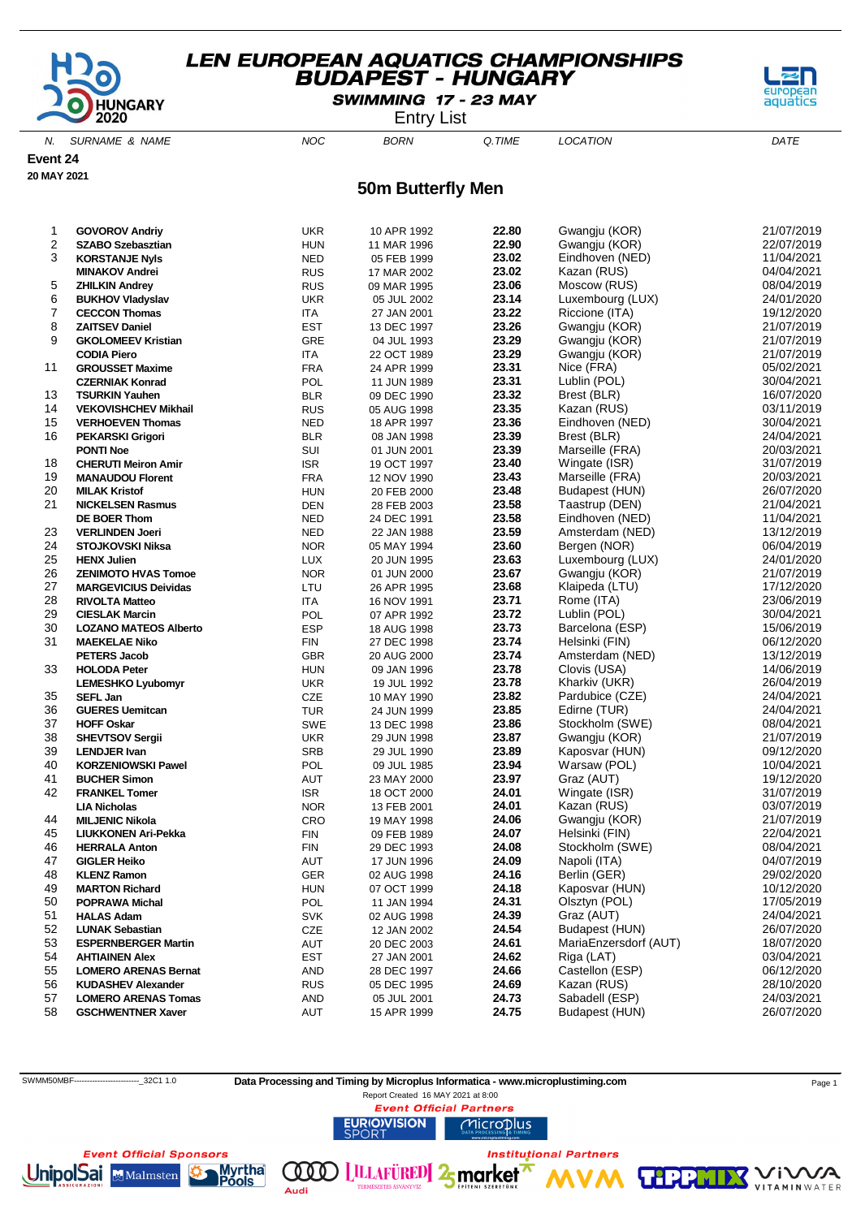

SWIMMING 17 - 23 MAY

Entry List

N. SURNAME & NAME  $NOC$  BORN Q.TIME LOCATION DATE

**Event 24**

**20 MAY 2021**

**50m Butterfly Men**

| 1        | <b>GOVOROV Andriv</b>                                    | <b>UKR</b>        | 10 APR 1992 | 22.80          | Gwangju (KOR)               | 21/07/2019               |
|----------|----------------------------------------------------------|-------------------|-------------|----------------|-----------------------------|--------------------------|
| 2        | <b>SZABO Szebasztian</b>                                 | <b>HUN</b>        | 11 MAR 1996 | 22.90          | Gwangju (KOR)               | 22/07/2019               |
| 3        | <b>KORSTANJE Nyls</b>                                    | <b>NED</b>        | 05 FEB 1999 | 23.02          | Eindhoven (NED)             | 11/04/2021               |
|          | <b>MINAKOV Andrei</b>                                    | <b>RUS</b>        | 17 MAR 2002 | 23.02          | Kazan (RUS)                 | 04/04/2021               |
| 5        | <b>ZHILKIN Andrey</b>                                    | <b>RUS</b>        | 09 MAR 1995 | 23.06          | Moscow (RUS)                | 08/04/2019               |
| 6        | <b>BUKHOV Vladyslav</b>                                  | <b>UKR</b>        | 05 JUL 2002 | 23.14          | Luxembourg (LUX)            | 24/01/2020               |
| 7        | <b>CECCON Thomas</b>                                     | <b>ITA</b>        | 27 JAN 2001 | 23.22          | Riccione (ITA)              | 19/12/2020               |
| 8        | <b>ZAITSEV Daniel</b>                                    | <b>EST</b>        | 13 DEC 1997 | 23.26          | Gwangju (KOR)               | 21/07/2019               |
| 9        | <b>GKOLOMEEV Kristian</b>                                | <b>GRE</b>        | 04 JUL 1993 | 23.29          | Gwangju (KOR)               | 21/07/2019               |
|          | <b>CODIA Piero</b>                                       | ITA               | 22 OCT 1989 | 23.29          | Gwangju (KOR)               | 21/07/2019               |
| 11       | <b>GROUSSET Maxime</b>                                   | <b>FRA</b>        | 24 APR 1999 | 23.31          | Nice (FRA)                  | 05/02/2021               |
|          | <b>CZERNIAK Konrad</b>                                   | POL               | 11 JUN 1989 | 23.31          | Lublin (POL)                | 30/04/2021               |
| 13       | <b>TSURKIN Yauhen</b>                                    | <b>BLR</b>        | 09 DEC 1990 | 23.32          | Brest (BLR)                 | 16/07/2020               |
| 14       | <b>VEKOVISHCHEV Mikhail</b>                              | <b>RUS</b>        | 05 AUG 1998 | 23.35          | Kazan (RUS)                 | 03/11/2019               |
| 15       | <b>VERHOEVEN Thomas</b>                                  | <b>NED</b>        | 18 APR 1997 | 23.36          | Eindhoven (NED)             | 30/04/2021               |
| 16       | <b>PEKARSKI Grigori</b>                                  | <b>BLR</b>        | 08 JAN 1998 | 23.39          | Brest (BLR)                 | 24/04/2021               |
|          | <b>PONTI Noe</b>                                         | SUI               | 01 JUN 2001 | 23.39          | Marseille (FRA)             | 20/03/2021               |
| 18       | <b>CHERUTI Meiron Amir</b>                               | <b>ISR</b>        | 19 OCT 1997 | 23.40          | Wingate (ISR)               | 31/07/2019               |
| 19       | <b>MANAUDOU Florent</b>                                  | <b>FRA</b>        | 12 NOV 1990 | 23.43          | Marseille (FRA)             | 20/03/2021               |
| 20       | <b>MILAK Kristof</b>                                     | <b>HUN</b>        | 20 FEB 2000 | 23.48          | Budapest (HUN)              | 26/07/2020               |
| 21       | <b>NICKELSEN Rasmus</b>                                  | DEN               | 28 FEB 2003 | 23.58          | Taastrup (DEN)              | 21/04/2021               |
|          | DE BOER Thom                                             | <b>NED</b>        | 24 DEC 1991 | 23.58          | Eindhoven (NED)             | 11/04/2021               |
| 23       | <b>VERLINDEN Joeri</b>                                   | <b>NED</b>        | 22 JAN 1988 | 23.59          | Amsterdam (NED)             | 13/12/2019               |
| 24       | <b>STOJKOVSKI Niksa</b>                                  | <b>NOR</b>        | 05 MAY 1994 | 23.60          | Bergen (NOR)                | 06/04/2019               |
| 25       | <b>HENX Julien</b>                                       | <b>LUX</b>        | 20 JUN 1995 | 23.63          | Luxembourg (LUX)            | 24/01/2020               |
| 26       | <b>ZENIMOTO HVAS Tomoe</b>                               | <b>NOR</b>        | 01 JUN 2000 | 23.67          | Gwangju (KOR)               | 21/07/2019               |
| 27       | <b>MARGEVICIUS Deividas</b>                              | LTU               | 26 APR 1995 | 23.68          | Klaipeda (LTU)              | 17/12/2020               |
| 28       | <b>RIVOLTA Matteo</b>                                    | <b>ITA</b>        | 16 NOV 1991 | 23.71          | Rome (ITA)                  | 23/06/2019               |
| 29       | <b>CIESLAK Marcin</b>                                    | POL               | 07 APR 1992 | 23.72          | Lublin (POL)                | 30/04/2021               |
| 30       | <b>LOZANO MATEOS Alberto</b>                             | <b>ESP</b>        | 18 AUG 1998 | 23.73          | Barcelona (ESP)             | 15/06/2019               |
| 31       | <b>MAEKELAE Niko</b>                                     | <b>FIN</b>        | 27 DEC 1998 | 23.74          | Helsinki (FIN)              | 06/12/2020               |
|          | <b>PETERS Jacob</b>                                      | <b>GBR</b>        | 20 AUG 2000 | 23.74          | Amsterdam (NED)             | 13/12/2019               |
| 33       | <b>HOLODA Peter</b>                                      | <b>HUN</b>        | 09 JAN 1996 | 23.78          | Clovis (USA)                | 14/06/2019               |
|          | <b>LEMESHKO Lyubomyr</b>                                 | <b>UKR</b>        | 19 JUL 1992 | 23.78          | Kharkiv (UKR)               | 26/04/2019               |
| 35       | <b>SEFL Jan</b>                                          | CZE               | 10 MAY 1990 | 23.82          | Pardubice (CZE)             | 24/04/2021               |
| 36       | <b>GUERES Uemitcan</b>                                   | <b>TUR</b>        | 24 JUN 1999 | 23.85          | Edirne (TUR)                | 24/04/2021               |
| 37       | <b>HOFF Oskar</b>                                        | <b>SWE</b>        | 13 DEC 1998 | 23.86          | Stockholm (SWE)             | 08/04/2021               |
| 38       | <b>SHEVTSOV Sergii</b>                                   | <b>UKR</b>        | 29 JUN 1998 | 23.87          | Gwangju (KOR)               | 21/07/2019               |
| 39       | <b>LENDJER Ivan</b>                                      | <b>SRB</b>        | 29 JUL 1990 | 23.89          | Kaposvar (HUN)              | 09/12/2020               |
| 40       | <b>KORZENIOWSKI Pawel</b>                                | POL               | 09 JUL 1985 | 23.94          | Warsaw (POL)                | 10/04/2021               |
| 41       | <b>BUCHER Simon</b>                                      | AUT               | 23 MAY 2000 | 23.97          | Graz (AUT)                  | 19/12/2020               |
| 42       | <b>FRANKEL Tomer</b>                                     | <b>ISR</b>        | 18 OCT 2000 | 24.01          | Wingate (ISR)               | 31/07/2019               |
|          | <b>LIA Nicholas</b>                                      | <b>NOR</b>        | 13 FEB 2001 | 24.01          | Kazan (RUS)                 | 03/07/2019               |
| 44       | <b>MILJENIC Nikola</b>                                   | CRO               | 19 MAY 1998 | 24.06          | Gwangju (KOR)               | 21/07/2019               |
| 45       | <b>LIUKKONEN Ari-Pekka</b>                               | FIN               | 09 FEB 1989 | 24.07          | Helsinki (FIN)              | 22/04/2021               |
| 46       | <b>HERRALA Anton</b>                                     | FIN               | 29 DEC 1993 | 24.08          | Stockholm (SWE)             | 08/04/2021               |
| 47       | <b>GIGLER Heiko</b>                                      | AUT               | 17 JUN 1996 | 24.09          | Napoli (ITA)                | 04/07/2019<br>29/02/2020 |
| 48       | <b>KLENZ Ramon</b>                                       | GER               | 02 AUG 1998 | 24.16          | Berlin (GER)                |                          |
| 49       | <b>MARTON Richard</b>                                    | <b>HUN</b>        | 07 OCT 1999 | 24.18          | Kaposvar (HUN)              | 10/12/2020               |
| 50       | <b>POPRAWA Michal</b>                                    | POL               | 11 JAN 1994 | 24.31<br>24.39 | Olsztyn (POL)<br>Graz (AUT) | 17/05/2019               |
| 51       | <b>HALAS Adam</b>                                        | <b>SVK</b>        | 02 AUG 1998 | 24.54          | Budapest (HUN)              | 24/04/2021<br>26/07/2020 |
| 52<br>53 | <b>LUNAK Sebastian</b>                                   | CZE               | 12 JAN 2002 | 24.61          | MariaEnzersdorf (AUT)       | 18/07/2020               |
|          | <b>ESPERNBERGER Martin</b>                               | AUT               | 20 DEC 2003 | 24.62          | Riga (LAT)                  | 03/04/2021               |
| 54<br>55 | <b>AHTIAINEN Alex</b>                                    | <b>EST</b>        | 27 JAN 2001 | 24.66          | Castellon (ESP)             | 06/12/2020               |
|          | <b>LOMERO ARENAS Bernat</b><br><b>KUDASHEV Alexander</b> | AND               | 28 DEC 1997 | 24.69          | Kazan (RUS)                 | 28/10/2020               |
| 56       |                                                          | <b>RUS</b>        | 05 DEC 1995 | 24.73          | Sabadell (ESP)              | 24/03/2021               |
| 57<br>58 | <b>LOMERO ARENAS Tomas</b>                               | <b>AND</b><br>AUT | 05 JUL 2001 | 24.75          | Budapest (HUN)              | 26/07/2020               |
|          | <b>GSCHWENTNER Xaver</b>                                 |                   | 15 APR 1999 |                |                             |                          |



ools

Audi



aquatics

**VITAMIN** WATER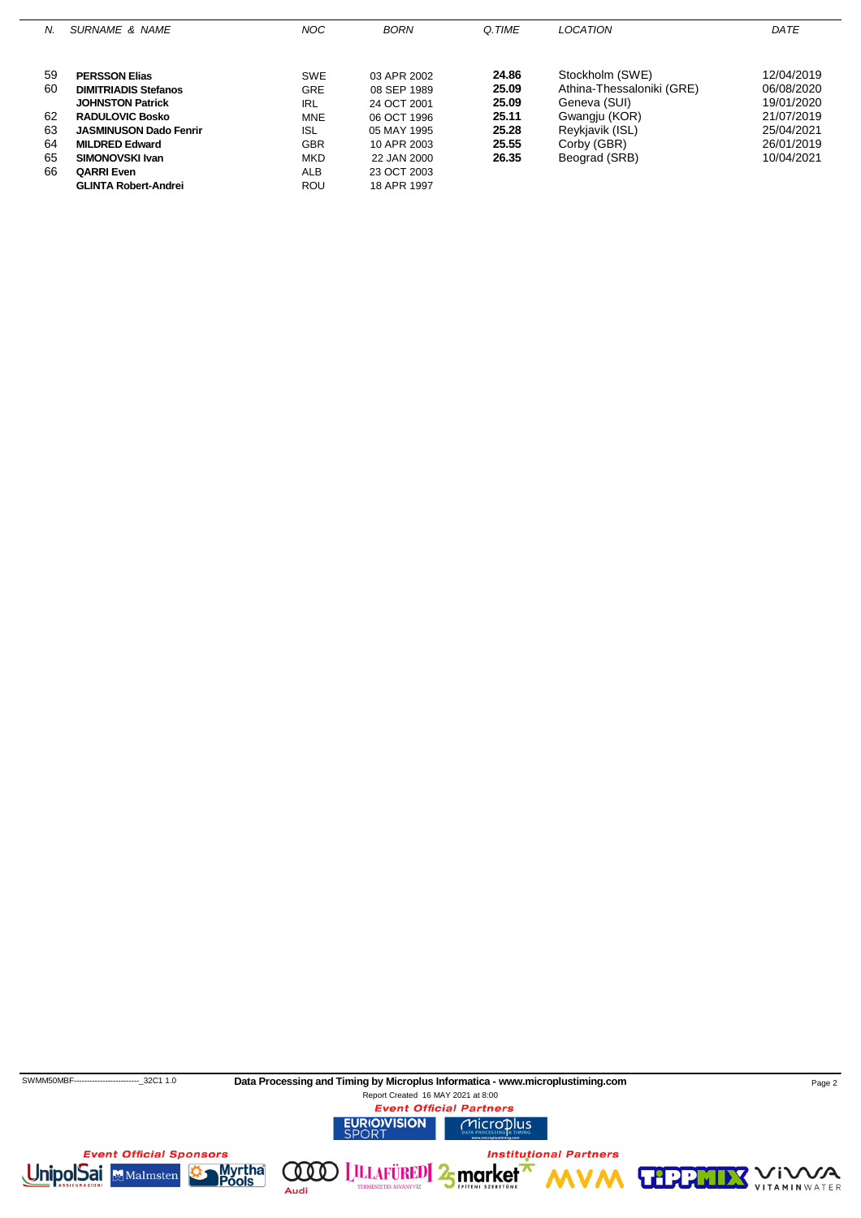| N. | SURNAME & NAME                | NOC.       | <b>BORN</b> | Q.TIME | LOCATION                  | DATE       |
|----|-------------------------------|------------|-------------|--------|---------------------------|------------|
|    |                               |            |             |        |                           |            |
| 59 | <b>PERSSON Elias</b>          | <b>SWE</b> | 03 APR 2002 | 24.86  | Stockholm (SWE)           | 12/04/2019 |
| 60 | <b>DIMITRIADIS Stefanos</b>   | <b>GRE</b> | 08 SEP 1989 | 25.09  | Athina-Thessaloniki (GRE) | 06/08/2020 |
|    | <b>JOHNSTON Patrick</b>       | IRL        | 24 OCT 2001 | 25.09  | Geneva (SUI)              | 19/01/2020 |
| 62 | <b>RADULOVIC Bosko</b>        | <b>MNE</b> | 06 OCT 1996 | 25.11  | Gwangju (KOR)             | 21/07/2019 |
| 63 | <b>JASMINUSON Dado Fenrir</b> | <b>ISL</b> | 05 MAY 1995 | 25.28  | Reykjavik (ISL)           | 25/04/2021 |
| 64 | <b>MILDRED Edward</b>         | <b>GBR</b> | 10 APR 2003 | 25.55  | Corby (GBR)               | 26/01/2019 |
| 65 | SIMONOVSKI Ivan               | <b>MKD</b> | 22 JAN 2000 | 26.35  | Beograd (SRB)             | 10/04/2021 |
| 66 | <b>QARRI Even</b>             | ALB        | 23 OCT 2003 |        |                           |            |
|    | <b>GLINTA Robert-Andrei</b>   | <b>ROU</b> | 18 APR 1997 |        |                           |            |

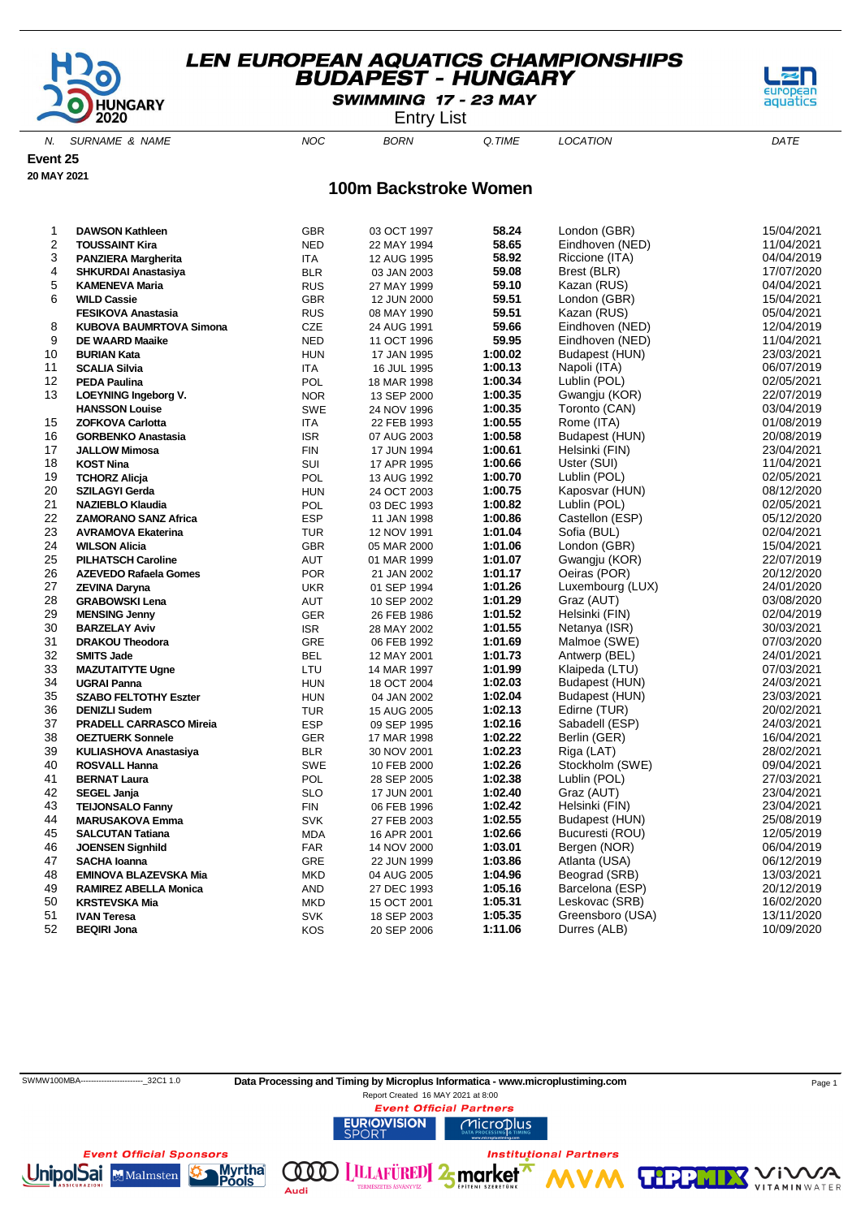

SWIMMING 17 - 23 MAY

Entry List

N. SURNAME & NAME  $NOC$  BORN Q.TIME LOCATION DATE

**Event 25**

**20 MAY 2021**

#### **100m Backstroke Women**

| 1        | <b>DAWSON Kathleen</b>                                       | <b>GBR</b>               | 03 OCT 1997                | 58.24              | London (GBR)                  | 15/04/2021               |
|----------|--------------------------------------------------------------|--------------------------|----------------------------|--------------------|-------------------------------|--------------------------|
| 2        | <b>TOUSSAINT Kira</b>                                        | <b>NED</b>               | 22 MAY 1994                | 58.65              | Eindhoven (NED)               | 11/04/2021               |
| 3        | <b>PANZIERA Margherita</b>                                   | ITA.                     | 12 AUG 1995                | 58.92              | Riccione (ITA)                | 04/04/2019               |
| 4        | <b>SHKURDAI Anastasiya</b>                                   | <b>BLR</b>               | 03 JAN 2003                | 59.08              | Brest (BLR)                   | 17/07/2020               |
| 5        | <b>KAMENEVA Maria</b>                                        | <b>RUS</b>               | 27 MAY 1999                | 59.10              | Kazan (RUS)                   | 04/04/2021               |
| 6        | <b>WILD Cassie</b>                                           | <b>GBR</b>               | 12 JUN 2000                | 59.51              | London (GBR)                  | 15/04/2021               |
|          | <b>FESIKOVA Anastasia</b>                                    | <b>RUS</b>               | 08 MAY 1990                | 59.51              | Kazan (RUS)                   | 05/04/2021               |
| 8        | <b>KUBOVA BAUMRTOVA Simona</b>                               | CZE                      | 24 AUG 1991                | 59.66              | Eindhoven (NED)               | 12/04/2019               |
| 9        | <b>DE WAARD Maaike</b>                                       | <b>NED</b>               | 11 OCT 1996                | 59.95              | Eindhoven (NED)               | 11/04/2021               |
| 10       | <b>BURIAN Kata</b>                                           | <b>HUN</b>               | 17 JAN 1995                | 1:00.02            | Budapest (HUN)                | 23/03/2021               |
| 11       | <b>SCALIA Silvia</b>                                         | <b>ITA</b>               | 16 JUL 1995                | 1:00.13            | Napoli (ITA)                  | 06/07/2019               |
| 12       | <b>PEDA Paulina</b>                                          | <b>POL</b>               | 18 MAR 1998                | 1:00.34            | Lublin (POL)                  | 02/05/2021               |
| 13       | <b>LOEYNING Ingeborg V.</b>                                  | <b>NOR</b>               | 13 SEP 2000                | 1:00.35            | Gwangju (KOR)                 | 22/07/2019               |
|          | <b>HANSSON Louise</b>                                        | <b>SWE</b>               | 24 NOV 1996                | 1:00.35            | Toronto (CAN)                 | 03/04/2019               |
| 15       | <b>ZOFKOVA Carlotta</b>                                      | ITA                      | 22 FEB 1993                | 1:00.55            | Rome (ITA)                    | 01/08/2019               |
| 16       | <b>GORBENKO Anastasia</b>                                    | <b>ISR</b>               | 07 AUG 2003                | 1:00.58            | Budapest (HUN)                | 20/08/2019               |
| 17       | <b>JALLOW Mimosa</b>                                         | <b>FIN</b>               | 17 JUN 1994                | 1:00.61            | Helsinki (FIN)                | 23/04/2021               |
| 18       | <b>KOST Nina</b>                                             | SUI                      | 17 APR 1995                | 1:00.66            | Uster (SUI)                   | 11/04/2021               |
| 19       | <b>TCHORZ Alicja</b>                                         | POL                      | 13 AUG 1992                | 1:00.70            | Lublin (POL)                  | 02/05/2021               |
| 20       | <b>SZILAGYI Gerda</b>                                        | <b>HUN</b>               | 24 OCT 2003                | 1:00.75            | Kaposvar (HUN)                | 08/12/2020               |
| 21       | <b>NAZIEBLO Klaudia</b>                                      | <b>POL</b>               | 03 DEC 1993                | 1:00.82            | Lublin (POL)                  | 02/05/2021               |
| 22       | <b>ZAMORANO SANZ Africa</b>                                  | <b>ESP</b>               | 11 JAN 1998                | 1:00.86            | Castellon (ESP)               | 05/12/2020               |
| 23       | <b>AVRAMOVA Ekaterina</b>                                    | <b>TUR</b>               | 12 NOV 1991                | 1:01.04            | Sofia (BUL)                   | 02/04/2021               |
| 24       | <b>WILSON Alicia</b>                                         | <b>GBR</b>               | 05 MAR 2000                | 1:01.06            | London (GBR)                  | 15/04/2021               |
| 25       | <b>PILHATSCH Caroline</b>                                    | <b>AUT</b>               | 01 MAR 1999                | 1:01.07            | Gwangju (KOR)                 | 22/07/2019               |
| 26       | <b>AZEVEDO Rafaela Gomes</b>                                 | <b>POR</b>               | 21 JAN 2002                | 1:01.17            | Oeiras (POR)                  | 20/12/2020               |
| 27       | <b>ZEVINA Daryna</b>                                         | <b>UKR</b>               | 01 SEP 1994                | 1:01.26            | Luxembourg (LUX)              | 24/01/2020               |
| 28       | <b>GRABOWSKI Lena</b>                                        | AUT                      | 10 SEP 2002                | 1:01.29            | Graz (AUT)                    | 03/08/2020               |
| 29       | <b>MENSING Jenny</b>                                         | <b>GER</b>               | 26 FEB 1986                | 1:01.52            | Helsinki (FIN)                | 02/04/2019               |
| 30       | <b>BARZELAY Aviv</b>                                         | <b>ISR</b>               | 28 MAY 2002                | 1:01.55            | Netanya (ISR)                 | 30/03/2021               |
| 31       | <b>DRAKOU Theodora</b>                                       | GRE                      | 06 FEB 1992                | 1:01.69            | Malmoe (SWE)                  | 07/03/2020               |
| 32       | <b>SMITS Jade</b>                                            | <b>BEL</b>               | 12 MAY 2001                | 1:01.73            | Antwerp (BEL)                 | 24/01/2021               |
| 33       | <b>MAZUTAITYTE Ugne</b>                                      | LTU                      | 14 MAR 1997                | 1:01.99            | Klaipeda (LTU)                | 07/03/2021               |
| 34       | <b>UGRAI Panna</b>                                           | <b>HUN</b>               | 18 OCT 2004                | 1:02.03            | Budapest (HUN)                | 24/03/2021               |
| 35       | <b>SZABO FELTOTHY Eszter</b>                                 | <b>HUN</b>               | 04 JAN 2002                | 1:02.04            | Budapest (HUN)                | 23/03/2021               |
| 36       | <b>DENIZLI Sudem</b>                                         | <b>TUR</b>               | 15 AUG 2005                | 1:02.13            | Edirne (TUR)                  | 20/02/2021               |
| 37       | <b>PRADELL CARRASCO Mireia</b>                               | <b>ESP</b>               | 09 SEP 1995                | 1:02.16            | Sabadell (ESP)                | 24/03/2021               |
| 38       | <b>OEZTUERK Sonnele</b>                                      | <b>GER</b>               | 17 MAR 1998                | 1:02.22            | Berlin (GER)                  | 16/04/2021               |
| 39       | <b>KULIASHOVA Anastasiya</b>                                 | <b>BLR</b>               | 30 NOV 2001                | 1:02.23            | Riga (LAT)                    | 28/02/2021               |
| 40       | <b>ROSVALL Hanna</b>                                         | <b>SWE</b>               | 10 FEB 2000                | 1:02.26            | Stockholm (SWE)               | 09/04/2021               |
| 41       | <b>BERNAT Laura</b>                                          | POL                      | 28 SEP 2005                | 1:02.38            | Lublin (POL)                  | 27/03/2021               |
| 42       | <b>SEGEL Janja</b>                                           | <b>SLO</b>               | 17 JUN 2001                | 1:02.40            | Graz (AUT)                    | 23/04/2021               |
| 43<br>44 | <b>TEIJONSALO Fanny</b>                                      | <b>FIN</b>               | 06 FEB 1996                | 1:02.42<br>1:02.55 | Helsinki (FIN)                | 23/04/2021<br>25/08/2019 |
|          | <b>MARUSAKOVA Emma</b>                                       | <b>SVK</b>               | 27 FEB 2003                | 1:02.66            | Budapest (HUN)                | 12/05/2019               |
| 45<br>46 | <b>SALCUTAN Tatiana</b>                                      | <b>MDA</b>               | 16 APR 2001                | 1:03.01            | Bucuresti (ROU)               |                          |
| 47       | <b>JOENSEN Signhild</b><br><b>SACHA Ioanna</b>               | <b>FAR</b><br><b>GRE</b> | 14 NOV 2000                | 1:03.86            | Bergen (NOR)<br>Atlanta (USA) | 06/04/2019<br>06/12/2019 |
| 48       |                                                              |                          | 22 JUN 1999                | 1:04.96            | Beograd (SRB)                 | 13/03/2021               |
| 49       | <b>EMINOVA BLAZEVSKA Mia</b><br><b>RAMIREZ ABELLA Monica</b> | <b>MKD</b><br>AND        | 04 AUG 2005<br>27 DEC 1993 | 1:05.16            | Barcelona (ESP)               | 20/12/2019               |
| 50       | <b>KRSTEVSKA Mia</b>                                         | <b>MKD</b>               | 15 OCT 2001                | 1:05.31            | Leskovac (SRB)                | 16/02/2020               |
| 51       | <b>IVAN Teresa</b>                                           | <b>SVK</b>               | 18 SEP 2003                | 1:05.35            | Greensboro (USA)              | 13/11/2020               |
| 52       | <b>BEQIRI Jona</b>                                           | KOS                      | 20 SEP 2006                | 1:11.06            | Durres (ALB)                  | 10/09/2020               |
|          |                                                              |                          |                            |                    |                               |                          |



SWMW100MBA---------------------------32C1 1.0 Data Processing and Timing by Microplus Informatica - www.microplustiming.com Page 1

Report Created 16 MAY 2021 at 8:00**Event Official Partners** 

**LILLAFÜRED** 2 market

Microplus

**Institutional Partners** 

**URIO)VISION** 

(000)

Audi



VA 'i V **VITAMIN** WATER

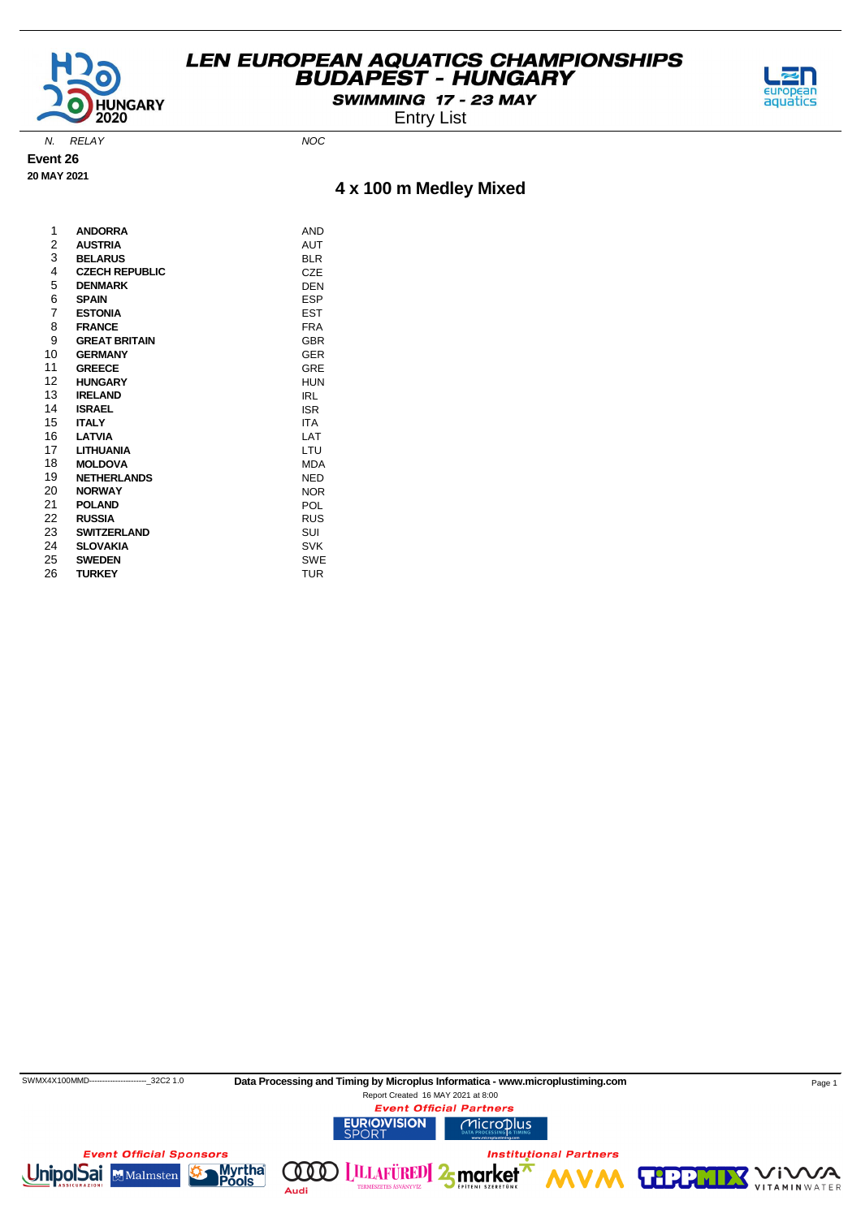

SWIMMING 17 - 23 MAY Entry List



N. RELAY NOC

**Event 26 20 MAY 2021**

# **4 x 100 m Medley Mixed**

| 1              | <b>ANDORRA</b>        | <b>AND</b> |
|----------------|-----------------------|------------|
| 2              | <b>AUSTRIA</b>        | <b>AUT</b> |
| 3              | <b>BELARUS</b>        | BLR        |
| 4              | <b>CZECH REPUBLIC</b> | CZE        |
| 5              | <b>DENMARK</b>        | <b>DEN</b> |
| 6              | <b>SPAIN</b>          | <b>ESP</b> |
| $\overline{7}$ | <b>ESTONIA</b>        | <b>EST</b> |
| 8              | <b>FRANCE</b>         | <b>FRA</b> |
| 9              | <b>GREAT BRITAIN</b>  | <b>GBR</b> |
| 10             | <b>GERMANY</b>        | <b>GER</b> |
| 11             | <b>GREECE</b>         | GRE        |
| 12             | <b>HUNGARY</b>        | HUN        |
| 13             | <b>IRELAND</b>        | IRL        |
| 14             | <b>ISRAEL</b>         | <b>ISR</b> |
| 15             | <b>ITALY</b>          | <b>ITA</b> |
| 16             | <b>LATVIA</b>         | LAT        |
| 17             | <b>LITHUANIA</b>      | LTU        |
| 18             | <b>MOLDOVA</b>        | MDA        |
| 19             | <b>NETHERLANDS</b>    | NED        |
| 20             | <b>NORWAY</b>         | <b>NOR</b> |
| 21             | <b>POLAND</b>         | POL        |
| 22             | <b>RUSSIA</b>         | <b>RUS</b> |
| 23             | <b>SWITZERLAND</b>    | SUI        |
| 24             | <b>SLOVAKIA</b>       | <b>SVK</b> |
| 25             | <b>SWEDEN</b>         | SWE        |
| 26             | <b>TURKEY</b>         | TUR        |

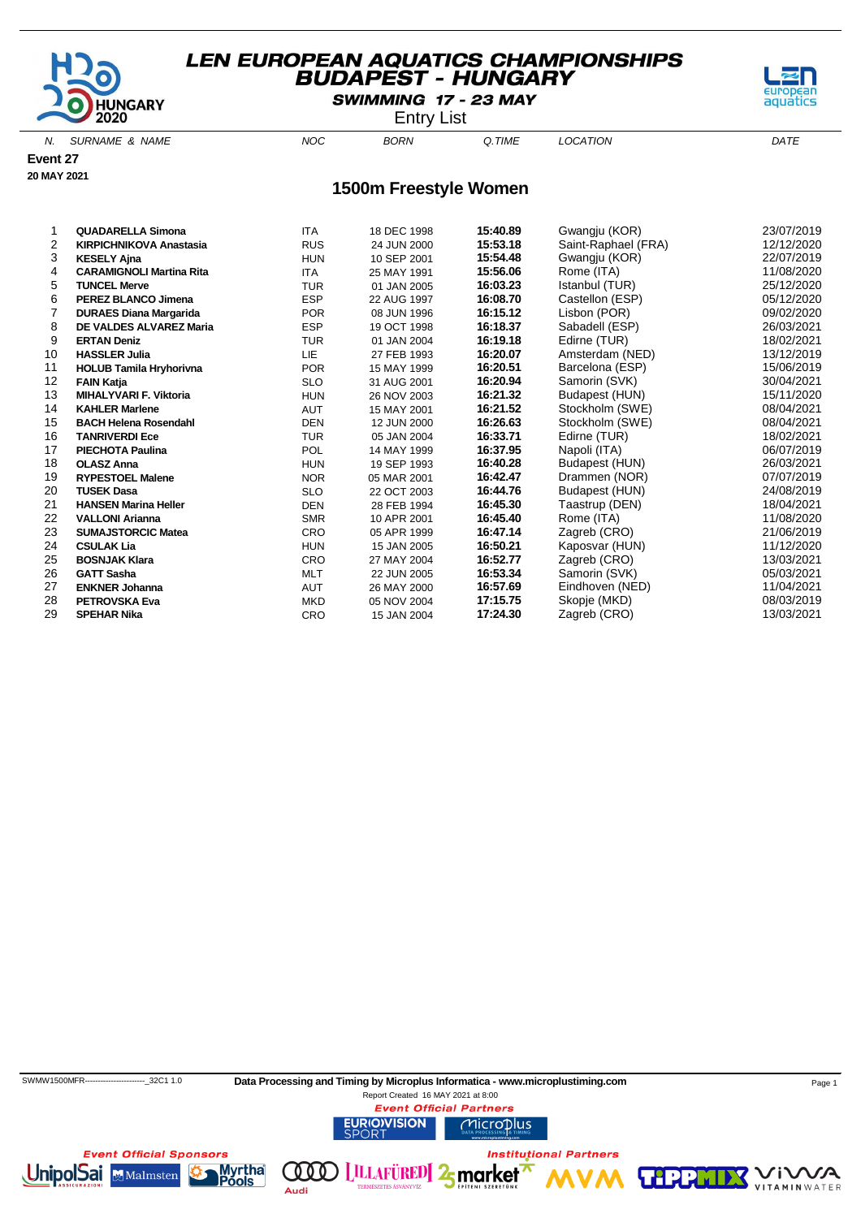

SWIMMING 17 - 23 MAY

Entry List

N. SURNAME & NAME  $NOC$  BORN Q.TIME LOCATION DATE

**Event 27**

# **20 MAY 2021**

#### **1500m Freestyle Women**

|    | <b>QUADARELLA Simona</b>        | <b>ITA</b> | 18 DEC 1998 | 15:40.89 | Gwangju (KOR)       | 23/07/2019 |
|----|---------------------------------|------------|-------------|----------|---------------------|------------|
| 2  | <b>KIRPICHNIKOVA Anastasia</b>  | <b>RUS</b> | 24 JUN 2000 | 15:53.18 | Saint-Raphael (FRA) | 12/12/2020 |
| 3  | <b>KESELY Ajna</b>              | <b>HUN</b> | 10 SEP 2001 | 15:54.48 | Gwangju (KOR)       | 22/07/2019 |
| 4  | <b>CARAMIGNOLI Martina Rita</b> | <b>ITA</b> | 25 MAY 1991 | 15:56.06 | Rome (ITA)          | 11/08/2020 |
| 5  | <b>TUNCEL Merve</b>             | <b>TUR</b> | 01 JAN 2005 | 16:03.23 | Istanbul (TUR)      | 25/12/2020 |
| 6  | <b>PEREZ BLANCO Jimena</b>      | <b>ESP</b> | 22 AUG 1997 | 16:08.70 | Castellon (ESP)     | 05/12/2020 |
|    | <b>DURAES Diana Margarida</b>   | <b>POR</b> | 08 JUN 1996 | 16:15.12 | Lisbon (POR)        | 09/02/2020 |
| 8  | <b>DE VALDES ALVAREZ Maria</b>  | <b>ESP</b> | 19 OCT 1998 | 16:18.37 | Sabadell (ESP)      | 26/03/2021 |
| 9  | <b>ERTAN Deniz</b>              | <b>TUR</b> | 01 JAN 2004 | 16:19.18 | Edirne (TUR)        | 18/02/2021 |
| 10 | <b>HASSLER Julia</b>            | <b>LIE</b> | 27 FEB 1993 | 16:20.07 | Amsterdam (NED)     | 13/12/2019 |
| 11 | <b>HOLUB Tamila Hryhorivna</b>  | <b>POR</b> | 15 MAY 1999 | 16:20.51 | Barcelona (ESP)     | 15/06/2019 |
| 12 | <b>FAIN Katja</b>               | <b>SLO</b> | 31 AUG 2001 | 16:20.94 | Samorin (SVK)       | 30/04/2021 |
| 13 | <b>MIHALYVARI F. Viktoria</b>   | <b>HUN</b> | 26 NOV 2003 | 16:21.32 | Budapest (HUN)      | 15/11/2020 |
| 14 | <b>KAHLER Marlene</b>           | <b>AUT</b> | 15 MAY 2001 | 16:21.52 | Stockholm (SWE)     | 08/04/2021 |
| 15 | <b>BACH Helena Rosendahl</b>    | <b>DEN</b> | 12 JUN 2000 | 16:26.63 | Stockholm (SWE)     | 08/04/2021 |
| 16 | <b>TANRIVERDI Ece</b>           | <b>TUR</b> | 05 JAN 2004 | 16:33.71 | Edirne (TUR)        | 18/02/2021 |
| 17 | <b>PIECHOTA Paulina</b>         | <b>POL</b> | 14 MAY 1999 | 16:37.95 | Napoli (ITA)        | 06/07/2019 |
| 18 | <b>OLASZ Anna</b>               | <b>HUN</b> | 19 SEP 1993 | 16:40.28 | Budapest (HUN)      | 26/03/2021 |
| 19 | <b>RYPESTOEL Malene</b>         | <b>NOR</b> | 05 MAR 2001 | 16:42.47 | Drammen (NOR)       | 07/07/2019 |
| 20 | <b>TUSEK Dasa</b>               | <b>SLO</b> | 22 OCT 2003 | 16:44.76 | Budapest (HUN)      | 24/08/2019 |
| 21 | <b>HANSEN Marina Heller</b>     | <b>DEN</b> | 28 FEB 1994 | 16:45.30 | Taastrup (DEN)      | 18/04/2021 |
| 22 | <b>VALLONI Arianna</b>          | <b>SMR</b> | 10 APR 2001 | 16:45.40 | Rome (ITA)          | 11/08/2020 |
| 23 | <b>SUMAJSTORCIC Matea</b>       | CRO        | 05 APR 1999 | 16:47.14 | Zagreb (CRO)        | 21/06/2019 |
| 24 | <b>CSULAK Lia</b>               | <b>HUN</b> | 15 JAN 2005 | 16:50.21 | Kaposvar (HUN)      | 11/12/2020 |
| 25 | <b>BOSNJAK Klara</b>            | CRO        | 27 MAY 2004 | 16:52.77 | Zagreb (CRO)        | 13/03/2021 |
| 26 | <b>GATT Sasha</b>               | <b>MLT</b> | 22 JUN 2005 | 16:53.34 | Samorin (SVK)       | 05/03/2021 |
| 27 | <b>ENKNER Johanna</b>           | <b>AUT</b> | 26 MAY 2000 | 16:57.69 | Eindhoven (NED)     | 11/04/2021 |
| 28 | <b>PETROVSKA Eva</b>            | <b>MKD</b> | 05 NOV 2004 | 17:15.75 | Skopje (MKD)        | 08/03/2019 |
| 29 | <b>SPEHAR Nika</b>              | CRO        | 15 JAN 2004 | 17:24.30 | Zagreb (CRO)        | 13/03/2021 |
|    |                                 |            |             |          |                     |            |

(000)

Audi



Report Created 16 MAY 2021 at 8:00**Event Official Partners URIOVISION** Microplus

**LILLAFÜRED** 2 market

**Institutional Partners** 





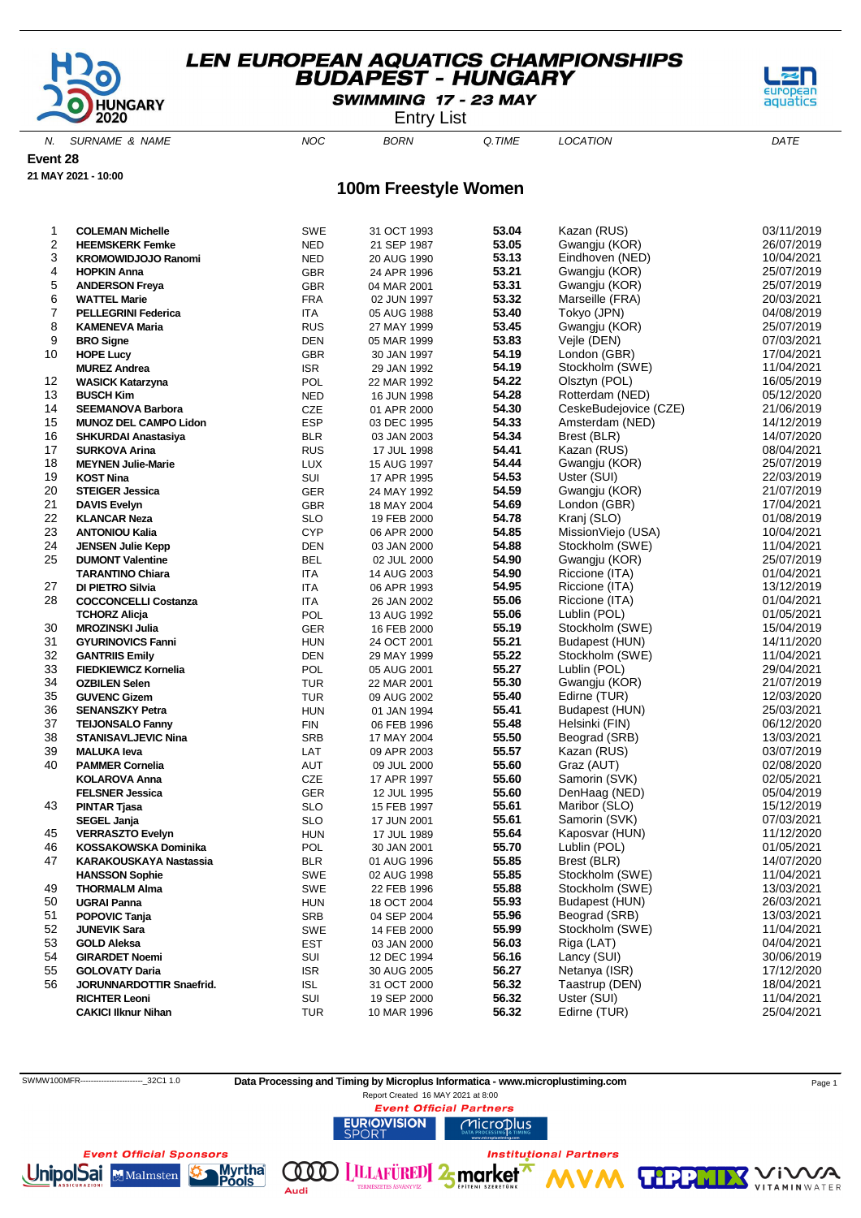

SWIMMING 17 - 23 MAY

Entry List

N. SURNAME & NAME  $NOC$  BORN Q.TIME LOCATION DATE

**Event 28**

**21 MAY 2021 - 10:00**

#### **100m Freestyle Women**

| 1              | <b>COLEMAN Michelle</b>                          | <b>SWE</b> | 31 OCT 1993                | 53.04          | Kazan (RUS)                  | 03/11/2019               |
|----------------|--------------------------------------------------|------------|----------------------------|----------------|------------------------------|--------------------------|
| 2              | <b>HEEMSKERK Femke</b>                           | <b>NED</b> | 21 SEP 1987                | 53.05          | Gwangju (KOR)                | 26/07/2019               |
| 3              | <b>KROMOWIDJOJO Ranomi</b>                       | <b>NED</b> | 20 AUG 1990                | 53.13          | Eindhoven (NED)              | 10/04/2021               |
| 4              | <b>HOPKIN Anna</b>                               | <b>GBR</b> | 24 APR 1996                | 53.21          | Gwangju (KOR)                | 25/07/2019               |
| 5              | <b>ANDERSON Freya</b>                            | <b>GBR</b> | 04 MAR 2001                | 53.31          | Gwangju (KOR)                | 25/07/2019               |
| 6              | <b>WATTEL Marie</b>                              | <b>FRA</b> | 02 JUN 1997                | 53.32          | Marseille (FRA)              | 20/03/2021               |
| $\overline{7}$ | <b>PELLEGRINI Federica</b>                       | <b>ITA</b> | 05 AUG 1988                | 53.40          | Tokyo (JPN)                  | 04/08/2019               |
| 8              | <b>KAMENEVA Maria</b>                            | <b>RUS</b> | 27 MAY 1999                | 53.45          | Gwangju (KOR)                | 25/07/2019               |
| 9              | <b>BRO Signe</b>                                 | <b>DEN</b> | 05 MAR 1999                | 53.83          | Vejle (DEN)                  | 07/03/2021               |
| 10             | <b>HOPE Lucy</b>                                 | <b>GBR</b> | 30 JAN 1997                | 54.19          | London (GBR)                 | 17/04/2021               |
|                | <b>MUREZ Andrea</b>                              | <b>ISR</b> | 29 JAN 1992                | 54.19          | Stockholm (SWE)              | 11/04/2021               |
| 12             | <b>WASICK Katarzyna</b>                          | POL        | 22 MAR 1992                | 54.22          | Olsztyn (POL)                | 16/05/2019               |
| 13             | <b>BUSCH Kim</b>                                 | <b>NED</b> | 16 JUN 1998                | 54.28          | Rotterdam (NED)              | 05/12/2020               |
| 14             | <b>SEEMANOVA Barbora</b>                         | CZE        | 01 APR 2000                | 54.30          | CeskeBudejovice (CZE)        | 21/06/2019               |
| 15             | <b>MUNOZ DEL CAMPO Lidon</b>                     | <b>ESP</b> | 03 DEC 1995                | 54.33          | Amsterdam (NED)              | 14/12/2019               |
| 16             | <b>SHKURDAI Anastasiya</b>                       | <b>BLR</b> | 03 JAN 2003                | 54.34          | Brest (BLR)                  | 14/07/2020               |
| 17             | <b>SURKOVA Arina</b>                             | <b>RUS</b> | 17 JUL 1998                | 54.41          | Kazan (RUS)                  | 08/04/2021               |
| 18             | <b>MEYNEN Julie-Marie</b>                        | LUX        | 15 AUG 1997                | 54.44          | Gwangju (KOR)                | 25/07/2019               |
| 19             | <b>KOST Nina</b>                                 | SUI        | 17 APR 1995                | 54.53          | Uster (SUI)                  | 22/03/2019               |
| 20             | <b>STEIGER Jessica</b>                           | GER        | 24 MAY 1992                | 54.59          | Gwangju (KOR)                | 21/07/2019               |
| 21             | <b>DAVIS Evelyn</b>                              | <b>GBR</b> | 18 MAY 2004                | 54.69          | London (GBR)                 | 17/04/2021               |
| 22             | <b>KLANCAR Neza</b>                              | <b>SLO</b> | 19 FEB 2000                | 54.78          | Kranj (SLO)                  | 01/08/2019               |
| 23             | <b>ANTONIOU Kalia</b>                            | <b>CYP</b> | 06 APR 2000                | 54.85          | MissionViejo (USA)           | 10/04/2021               |
| 24             | <b>JENSEN Julie Kepp</b>                         | <b>DEN</b> | 03 JAN 2000                | 54.88          | Stockholm (SWE)              | 11/04/2021               |
| 25             | <b>DUMONT Valentine</b>                          | <b>BEL</b> | 02 JUL 2000                | 54.90          | Gwangju (KOR)                | 25/07/2019               |
|                | <b>TARANTINO Chiara</b>                          | ITA        | 14 AUG 2003                | 54.90          | Riccione (ITA)               | 01/04/2021               |
| 27             | DI PIETRO Silvia                                 | <b>ITA</b> | 06 APR 1993                | 54.95          | Riccione (ITA)               | 13/12/2019               |
| 28             | <b>COCCONCELLI Costanza</b>                      | ITA        | 26 JAN 2002                | 55.06          | Riccione (ITA)               | 01/04/2021               |
|                | <b>TCHORZ Alicja</b>                             | POL        | 13 AUG 1992                | 55.06          | Lublin (POL)                 | 01/05/2021               |
| 30             | <b>MROZINSKI Julia</b>                           | GER        | 16 FEB 2000                | 55.19          | Stockholm (SWE)              | 15/04/2019               |
| 31             | <b>GYURINOVICS Fanni</b>                         | <b>HUN</b> | 24 OCT 2001                | 55.21          | Budapest (HUN)               | 14/11/2020               |
| 32             | <b>GANTRIIS Emily</b>                            | DEN        | 29 MAY 1999                | 55.22          | Stockholm (SWE)              | 11/04/2021               |
| 33             | <b>FIEDKIEWICZ Kornelia</b>                      | POL        | 05 AUG 2001                | 55.27          | Lublin (POL)                 | 29/04/2021               |
| 34             | <b>OZBILEN Selen</b>                             | <b>TUR</b> | 22 MAR 2001                | 55.30          | Gwangju (KOR)                | 21/07/2019               |
| 35             | <b>GUVENC Gizem</b>                              | TUR        | 09 AUG 2002                | 55.40<br>55.41 | Edirne (TUR)                 | 12/03/2020               |
| 36<br>37       | <b>SENANSZKY Petra</b>                           | <b>HUN</b> | 01 JAN 1994                | 55.48          | Budapest (HUN)               | 25/03/2021<br>06/12/2020 |
| 38             | <b>TEIJONSALO Fanny</b>                          | <b>FIN</b> | 06 FEB 1996                | 55.50          | Helsinki (FIN)               | 13/03/2021               |
| 39             | <b>STANISAVLJEVIC Nina</b><br><b>MALUKA leva</b> | SRB<br>LAT | 17 MAY 2004                | 55.57          | Beograd (SRB)<br>Kazan (RUS) | 03/07/2019               |
| 40             |                                                  | AUT        | 09 APR 2003                | 55.60          | Graz (AUT)                   | 02/08/2020               |
|                | <b>PAMMER Cornelia</b><br><b>KOLAROVA Anna</b>   | CZE        | 09 JUL 2000                | 55.60          | Samorin (SVK)                | 02/05/2021               |
|                | <b>FELSNER Jessica</b>                           | GER        | 17 APR 1997<br>12 JUL 1995 | 55.60          | DenHaag (NED)                | 05/04/2019               |
| 43             | <b>PINTAR Tjasa</b>                              | <b>SLO</b> | 15 FEB 1997                | 55.61          | Maribor (SLO)                | 15/12/2019               |
|                | <b>SEGEL Janja</b>                               | <b>SLO</b> | 17 JUN 2001                | 55.61          | Samorin (SVK)                | 07/03/2021               |
| 45             | <b>VERRASZTO Evelyn</b>                          | <b>HUN</b> | 17 JUL 1989                | 55.64          | Kaposvar (HUN)               | 11/12/2020               |
| 46             | <b>KOSSAKOWSKA Dominika</b>                      | POL        | 30 JAN 2001                | 55.70          | Lublin (POL)                 | 01/05/2021               |
| 47             | <b>KARAKOUSKAYA Nastassia</b>                    | <b>BLR</b> | 01 AUG 1996                | 55.85          | Brest (BLR)                  | 14/07/2020               |
|                | <b>HANSSON Sophie</b>                            | SWE        | 02 AUG 1998                | 55.85          | Stockholm (SWE)              | 11/04/2021               |
| 49             | <b>THORMALM Alma</b>                             | SWE        | 22 FEB 1996                | 55.88          | Stockholm (SWE)              | 13/03/2021               |
| 50             | <b>UGRAI Panna</b>                               | <b>HUN</b> | 18 OCT 2004                | 55.93          | Budapest (HUN)               | 26/03/2021               |
| 51             | POPOVIC Tanja                                    | <b>SRB</b> | 04 SEP 2004                | 55.96          | Beograd (SRB)                | 13/03/2021               |
| 52             | <b>JUNEVIK Sara</b>                              | SWE        | 14 FEB 2000                | 55.99          | Stockholm (SWE)              | 11/04/2021               |
| 53             | <b>GOLD Aleksa</b>                               | <b>EST</b> | 03 JAN 2000                | 56.03          | Riga (LAT)                   | 04/04/2021               |
| 54             | <b>GIRARDET Noemi</b>                            | SUI        | 12 DEC 1994                | 56.16          | Lancy (SUI)                  | 30/06/2019               |
| 55             | <b>GOLOVATY Daria</b>                            | <b>ISR</b> | 30 AUG 2005                | 56.27          | Netanya (ISR)                | 17/12/2020               |
| 56             | JORUNNARDOTTIR Snaefrid.                         | <b>ISL</b> | 31 OCT 2000                | 56.32          | Taastrup (DEN)               | 18/04/2021               |
|                | <b>RICHTER Leoni</b>                             | SUI        | 19 SEP 2000                | 56.32          | Uster (SUI)                  | 11/04/2021               |
|                | <b>CAKICI Ilknur Nihan</b>                       | <b>TUR</b> | 10 MAR 1996                | 56.32          | Edirne (TUR)                 | 25/04/2021               |
|                |                                                  |            |                            |                |                              |                          |

SWMW100MFR----------------------------32C1 1.0 Data Processing and Timing by Microplus Informatica - www.microplustiming.com Page 1

**LILLAFÜRED** 2 market

**URIO)VISION** 

(000)

Audi

Report Created 16 MAY 2021 at 8:00**Event Official Partners** 

Microplus

**Institutional Partners** 







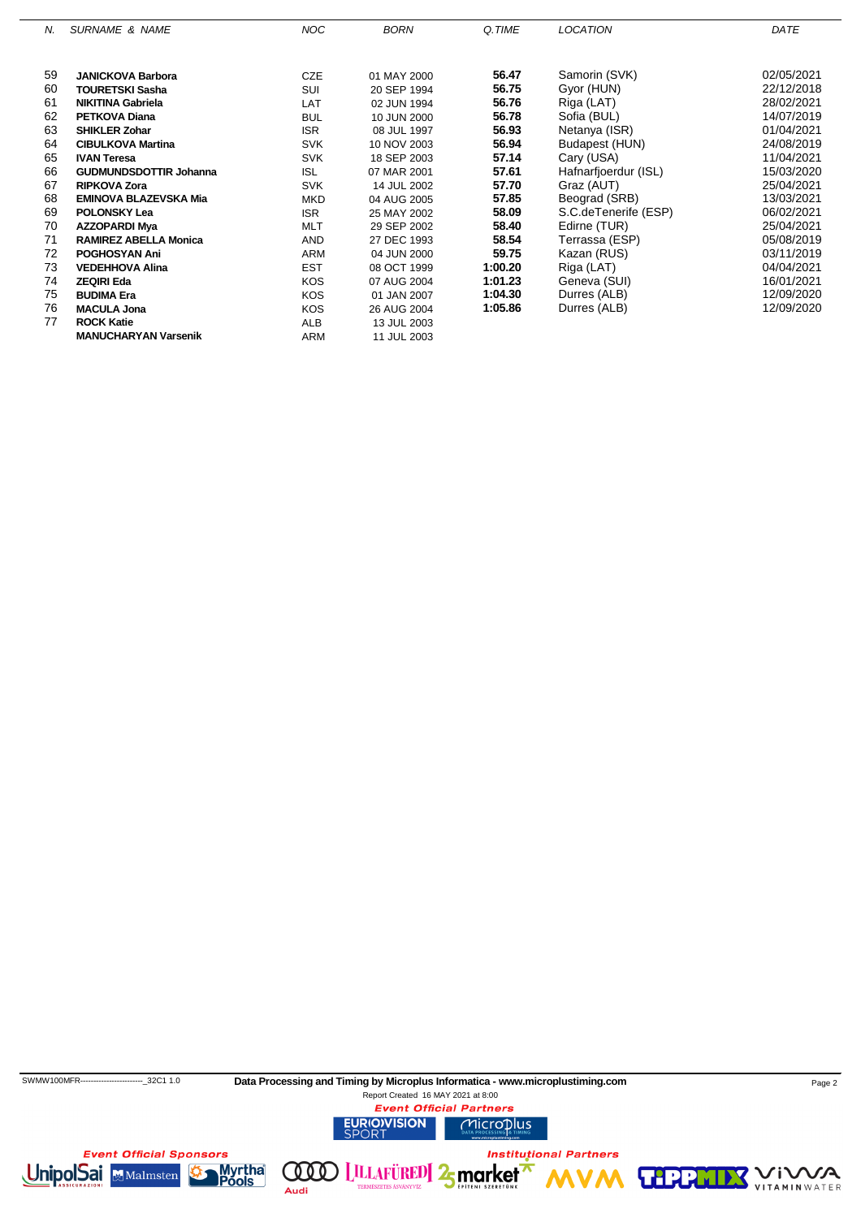| N. | <b>SURNAME &amp; NAME</b>     | <b>NOC</b> | <b>BORN</b> | Q.TIME  | <b>LOCATION</b>      | DATE       |
|----|-------------------------------|------------|-------------|---------|----------------------|------------|
|    |                               |            |             |         |                      |            |
| 59 | <b>JANICKOVA Barbora</b>      | <b>CZE</b> | 01 MAY 2000 | 56.47   | Samorin (SVK)        | 02/05/2021 |
| 60 | <b>TOURETSKI Sasha</b>        | SUI        | 20 SEP 1994 | 56.75   | Gyor (HUN)           | 22/12/2018 |
| 61 | <b>NIKITINA Gabriela</b>      | LAT        | 02 JUN 1994 | 56.76   | Riga (LAT)           | 28/02/2021 |
| 62 | <b>PETKOVA Diana</b>          | <b>BUL</b> | 10 JUN 2000 | 56.78   | Sofia (BUL)          | 14/07/2019 |
| 63 | <b>SHIKLER Zohar</b>          | <b>ISR</b> | 08 JUL 1997 | 56.93   | Netanya (ISR)        | 01/04/2021 |
| 64 | <b>CIBULKOVA Martina</b>      | <b>SVK</b> | 10 NOV 2003 | 56.94   | Budapest (HUN)       | 24/08/2019 |
| 65 | <b>IVAN Teresa</b>            | <b>SVK</b> | 18 SEP 2003 | 57.14   | Cary (USA)           | 11/04/2021 |
| 66 | <b>GUDMUNDSDOTTIR Johanna</b> | <b>ISL</b> | 07 MAR 2001 | 57.61   | Hafnarfjoerdur (ISL) | 15/03/2020 |
| 67 | <b>RIPKOVA Zora</b>           | <b>SVK</b> | 14 JUL 2002 | 57.70   | Graz (AUT)           | 25/04/2021 |
| 68 | <b>EMINOVA BLAZEVSKA Mia</b>  | <b>MKD</b> | 04 AUG 2005 | 57.85   | Beograd (SRB)        | 13/03/2021 |
| 69 | <b>POLONSKY Lea</b>           | <b>ISR</b> | 25 MAY 2002 | 58.09   | S.C.deTenerife (ESP) | 06/02/2021 |
| 70 | <b>AZZOPARDI Mya</b>          | <b>MLT</b> | 29 SEP 2002 | 58.40   | Edirne (TUR)         | 25/04/2021 |
| 71 | <b>RAMIREZ ABELLA Monica</b>  | <b>AND</b> | 27 DEC 1993 | 58.54   | Terrassa (ESP)       | 05/08/2019 |
| 72 | <b>POGHOSYAN Ani</b>          | <b>ARM</b> | 04 JUN 2000 | 59.75   | Kazan (RUS)          | 03/11/2019 |
| 73 | <b>VEDEHHOVA Alina</b>        | <b>EST</b> | 08 OCT 1999 | 1:00.20 | Riga (LAT)           | 04/04/2021 |
| 74 | <b>ZEQIRI Eda</b>             | <b>KOS</b> | 07 AUG 2004 | 1:01.23 | Geneva (SUI)         | 16/01/2021 |
| 75 | <b>BUDIMA Era</b>             | <b>KOS</b> | 01 JAN 2007 | 1:04.30 | Durres (ALB)         | 12/09/2020 |
| 76 | <b>MACULA Jona</b>            | <b>KOS</b> | 26 AUG 2004 | 1:05.86 | Durres (ALB)         | 12/09/2020 |
| 77 | <b>ROCK Katie</b>             | <b>ALB</b> | 13 JUL 2003 |         |                      |            |
|    | <b>MANUCHARYAN Varsenik</b>   | ARM        | 11 JUL 2003 |         |                      |            |

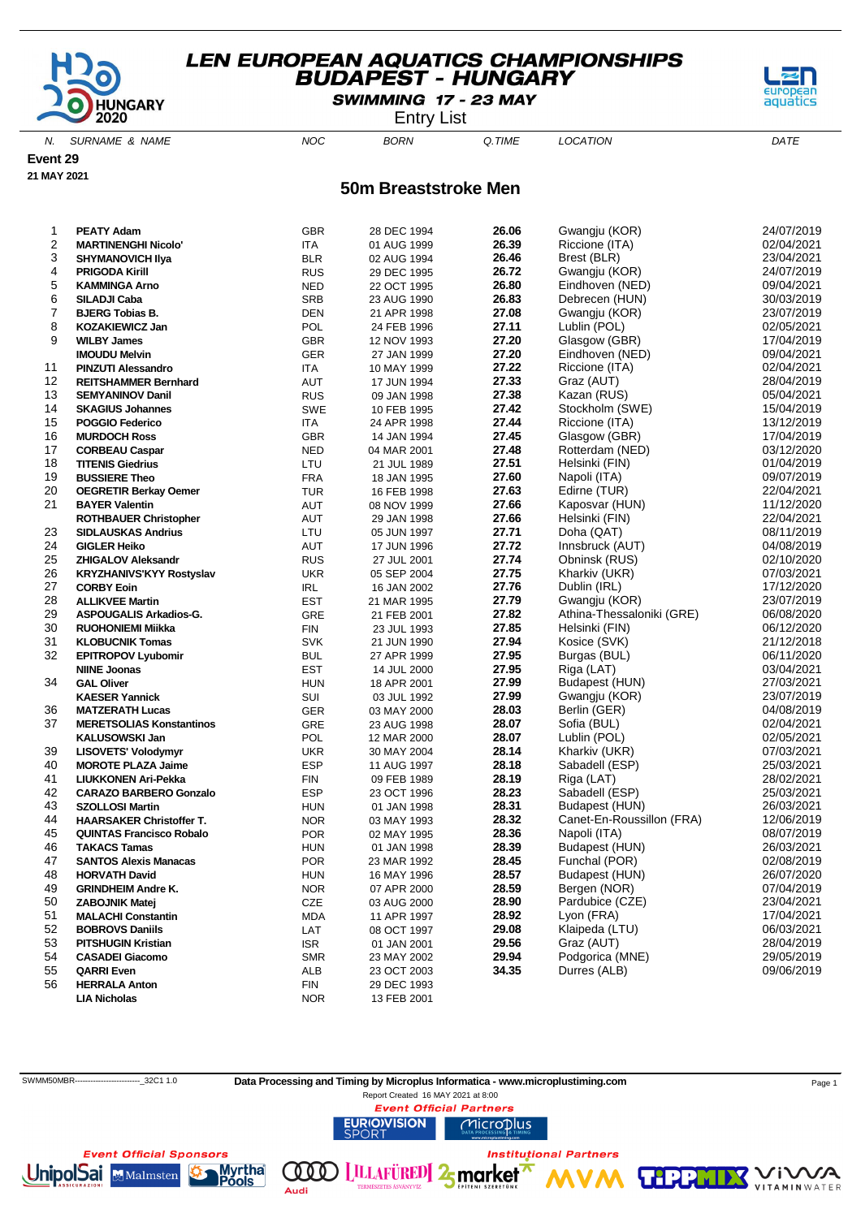

SWIMMING 17 - 23 MAY

Entry List

N. SURNAME & NAME  $NOC$  BORN Q.TIME LOCATION DATE

**Event 29**

**21 MAY 2021**

#### **50m Breaststroke Men**

| 1  | <b>PEATY Adam</b>               | GBR        | 28 DEC 1994 | 26.06 | Gwangju (KOR)             | 24/07/2019 |
|----|---------------------------------|------------|-------------|-------|---------------------------|------------|
| 2  | <b>MARTINENGHI Nicolo'</b>      | <b>ITA</b> | 01 AUG 1999 | 26.39 | Riccione (ITA)            | 02/04/2021 |
| 3  | <b>SHYMANOVICH IIya</b>         | <b>BLR</b> | 02 AUG 1994 | 26.46 | Brest (BLR)               | 23/04/2021 |
| 4  | <b>PRIGODA Kirill</b>           | <b>RUS</b> | 29 DEC 1995 | 26.72 | Gwangju (KOR)             | 24/07/2019 |
| 5  | <b>KAMMINGA Arno</b>            | <b>NED</b> | 22 OCT 1995 | 26.80 | Eindhoven (NED)           | 09/04/2021 |
| 6  | SILADJI Caba                    | <b>SRB</b> | 23 AUG 1990 | 26.83 | Debrecen (HUN)            | 30/03/2019 |
| 7  | <b>BJERG Tobias B.</b>          | <b>DEN</b> | 21 APR 1998 | 27.08 | Gwangju (KOR)             | 23/07/2019 |
| 8  | <b>KOZAKIEWICZ Jan</b>          | POL        | 24 FEB 1996 | 27.11 | Lublin (POL)              | 02/05/2021 |
| 9  | <b>WILBY James</b>              | <b>GBR</b> | 12 NOV 1993 | 27.20 | Glasgow (GBR)             | 17/04/2019 |
|    | <b>IMOUDU Melvin</b>            | <b>GER</b> | 27 JAN 1999 | 27.20 | Eindhoven (NED)           | 09/04/2021 |
| 11 | <b>PINZUTI Alessandro</b>       | ITA        | 10 MAY 1999 | 27.22 | Riccione (ITA)            | 02/04/2021 |
| 12 | <b>REITSHAMMER Bernhard</b>     | AUT        | 17 JUN 1994 | 27.33 | Graz (AUT)                | 28/04/2019 |
| 13 | <b>SEMYANINOV Danil</b>         | <b>RUS</b> | 09 JAN 1998 | 27.38 | Kazan (RUS)               | 05/04/2021 |
| 14 | <b>SKAGIUS Johannes</b>         | <b>SWE</b> | 10 FEB 1995 | 27.42 | Stockholm (SWE)           | 15/04/2019 |
| 15 | <b>POGGIO Federico</b>          | <b>ITA</b> | 24 APR 1998 | 27.44 | Riccione (ITA)            | 13/12/2019 |
| 16 | <b>MURDOCH Ross</b>             | <b>GBR</b> | 14 JAN 1994 | 27.45 | Glasgow (GBR)             | 17/04/2019 |
| 17 | <b>CORBEAU Caspar</b>           | <b>NED</b> | 04 MAR 2001 | 27.48 | Rotterdam (NED)           | 03/12/2020 |
| 18 | <b>TITENIS Giedrius</b>         | LTU        | 21 JUL 1989 | 27.51 | Helsinki (FIN)            | 01/04/2019 |
| 19 | <b>BUSSIERE Theo</b>            | <b>FRA</b> | 18 JAN 1995 | 27.60 | Napoli (ITA)              | 09/07/2019 |
| 20 | <b>OEGRETIR Berkay Oemer</b>    | <b>TUR</b> | 16 FEB 1998 | 27.63 | Edirne (TUR)              | 22/04/2021 |
| 21 | <b>BAYER Valentin</b>           | AUT        | 08 NOV 1999 | 27.66 | Kaposvar (HUN)            | 11/12/2020 |
|    | <b>ROTHBAUER Christopher</b>    | AUT        | 29 JAN 1998 | 27.66 | Helsinki (FIN)            | 22/04/2021 |
| 23 | <b>SIDLAUSKAS Andrius</b>       | LTU        | 05 JUN 1997 | 27.71 | Doha (QAT)                | 08/11/2019 |
| 24 | <b>GIGLER Heiko</b>             | AUT        | 17 JUN 1996 | 27.72 | Innsbruck (AUT)           | 04/08/2019 |
| 25 | <b>ZHIGALOV Aleksandr</b>       | <b>RUS</b> | 27 JUL 2001 | 27.74 | Obninsk (RUS)             | 02/10/2020 |
| 26 | <b>KRYZHANIVS'KYY Rostyslav</b> | <b>UKR</b> | 05 SEP 2004 | 27.75 | Kharkiv (UKR)             | 07/03/2021 |
| 27 | <b>CORBY Eoin</b>               | <b>IRL</b> | 16 JAN 2002 | 27.76 | Dublin (IRL)              | 17/12/2020 |
| 28 | <b>ALLIKVEE Martin</b>          | <b>EST</b> | 21 MAR 1995 | 27.79 | Gwangju (KOR)             | 23/07/2019 |
| 29 | ASPOUGALIS Arkadios-G.          | <b>GRE</b> | 21 FEB 2001 | 27.82 | Athina-Thessaloniki (GRE) | 06/08/2020 |
| 30 | <b>RUOHONIEMI Miikka</b>        | <b>FIN</b> | 23 JUL 1993 | 27.85 | Helsinki (FIN)            | 06/12/2020 |
| 31 | <b>KLOBUCNIK Tomas</b>          | <b>SVK</b> | 21 JUN 1990 | 27.94 | Kosice (SVK)              | 21/12/2018 |
| 32 | <b>EPITROPOV Lyubomir</b>       | <b>BUL</b> | 27 APR 1999 | 27.95 | Burgas (BUL)              | 06/11/2020 |
|    | <b>NIINE Joonas</b>             | <b>EST</b> | 14 JUL 2000 | 27.95 | Riga (LAT)                | 03/04/2021 |
| 34 | <b>GAL Oliver</b>               | <b>HUN</b> | 18 APR 2001 | 27.99 | Budapest (HUN)            | 27/03/2021 |
|    | <b>KAESER Yannick</b>           | SUI        | 03 JUL 1992 | 27.99 | Gwangju (KOR)             | 23/07/2019 |
| 36 | <b>MATZERATH Lucas</b>          | <b>GER</b> | 03 MAY 2000 | 28.03 | Berlin (GER)              | 04/08/2019 |
| 37 | <b>MERETSOLIAS Konstantinos</b> | GRE        | 23 AUG 1998 | 28.07 | Sofia (BUL)               | 02/04/2021 |
|    | <b>KALUSOWSKI Jan</b>           | POL        | 12 MAR 2000 | 28.07 | Lublin (POL)              | 02/05/2021 |
| 39 | LISOVETS' Volodymyr             | <b>UKR</b> | 30 MAY 2004 | 28.14 | Kharkiv (UKR)             | 07/03/2021 |
| 40 | <b>MOROTE PLAZA Jaime</b>       | <b>ESP</b> | 11 AUG 1997 | 28.18 | Sabadell (ESP)            | 25/03/2021 |
| 41 | <b>LIUKKONEN Ari-Pekka</b>      | <b>FIN</b> | 09 FEB 1989 | 28.19 | Riga (LAT)                | 28/02/2021 |
| 42 | <b>CARAZO BARBERO Gonzalo</b>   | ESP        | 23 OCT 1996 | 28.23 | Sabadell (ESP)            | 25/03/2021 |
| 43 | <b>SZOLLOSI Martin</b>          | <b>HUN</b> | 01 JAN 1998 | 28.31 | Budapest (HUN)            | 26/03/2021 |
| 44 | <b>HAARSAKER Christoffer T.</b> | <b>NOR</b> | 03 MAY 1993 | 28.32 | Canet-En-Roussillon (FRA) | 12/06/2019 |
| 45 | <b>QUINTAS Francisco Robalo</b> | <b>POR</b> | 02 MAY 1995 | 28.36 | Napoli (ITA)              | 08/07/2019 |
| 46 | <b>TAKACS Tamas</b>             | <b>HUN</b> | 01 JAN 1998 | 28.39 | Budapest (HUN)            | 26/03/2021 |
| 47 | <b>SANTOS Alexis Manacas</b>    | <b>POR</b> | 23 MAR 1992 | 28.45 | Funchal (POR)             | 02/08/2019 |
| 48 | <b>HORVATH David</b>            | <b>HUN</b> | 16 MAY 1996 | 28.57 | Budapest (HUN)            | 26/07/2020 |
| 49 | <b>GRINDHEIM Andre K.</b>       | <b>NOR</b> | 07 APR 2000 | 28.59 | Bergen (NOR)              | 07/04/2019 |
| 50 | <b>ZABOJNIK Matej</b>           | CZE        | 03 AUG 2000 | 28.90 | Pardubice (CZE)           | 23/04/2021 |
| 51 | <b>MALACHI Constantin</b>       | <b>MDA</b> | 11 APR 1997 | 28.92 | Lyon (FRA)                | 17/04/2021 |
| 52 | <b>BOBROVS Daniils</b>          | LAT        | 08 OCT 1997 | 29.08 | Klaipeda (LTU)            | 06/03/2021 |
| 53 | <b>PITSHUGIN Kristian</b>       | <b>ISR</b> | 01 JAN 2001 | 29.56 | Graz (AUT)                | 28/04/2019 |
| 54 | <b>CASADEI Giacomo</b>          | <b>SMR</b> | 23 MAY 2002 | 29.94 | Podgorica (MNE)           | 29/05/2019 |
| 55 | <b>QARRI Even</b>               | ALB        | 23 OCT 2003 | 34.35 | Durres (ALB)              | 09/06/2019 |
| 56 | <b>HERRALA Anton</b>            | FIN        | 29 DEC 1993 |       |                           |            |
|    | <b>LIA Nicholas</b>             | <b>NOR</b> | 13 FEB 2001 |       |                           |            |
|    |                                 |            |             |       |                           |            |



Audi

 $\mathcal{N}\mathcal{A}$ 

'i V

**VITAMIN** WATER

**THPP** 



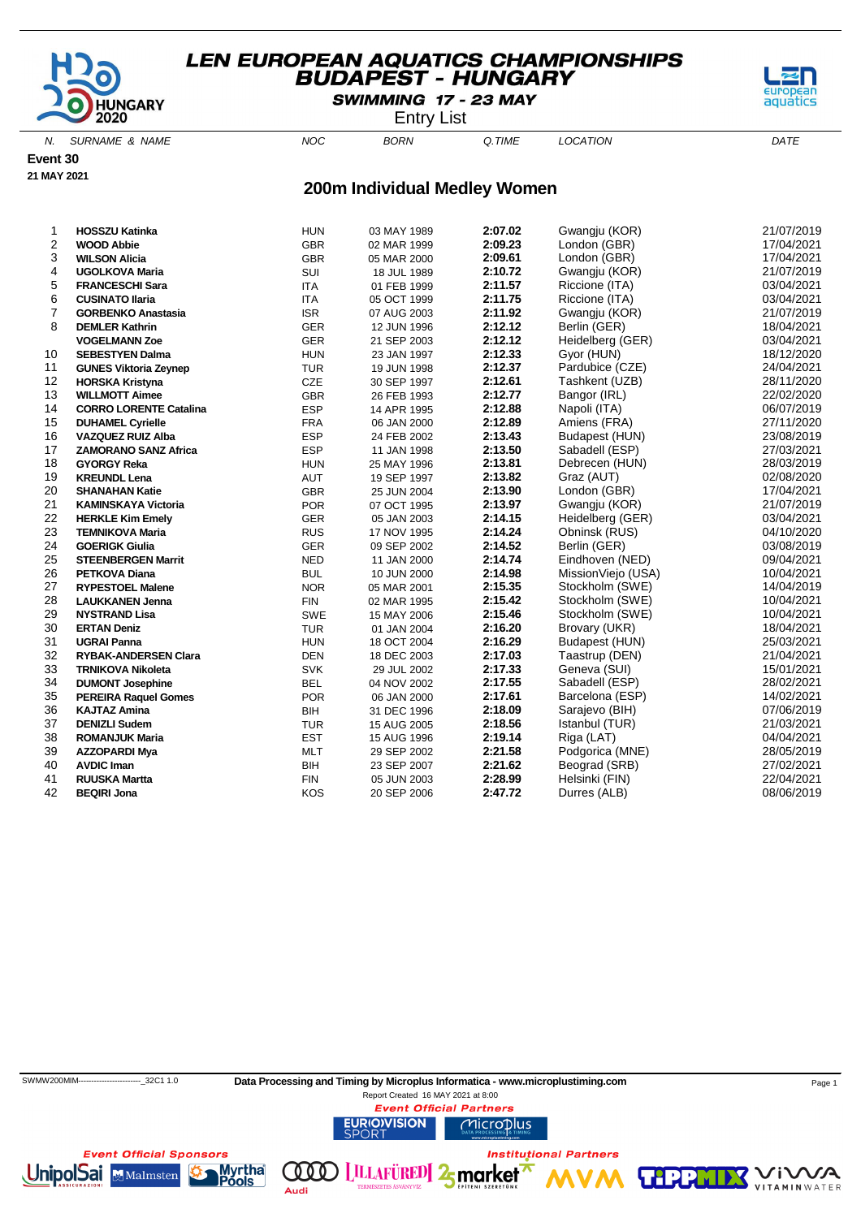

SWIMMING 17 - 23 MAY

Entry List

aquati

N. SURNAME & NAME  $NOC$  BORN Q.TIME LOCATION DATE

**Event 30**

# **21 MAY 2021**

#### **200m Individual Medley Women**

| 1              | <b>HOSSZU Katinka</b>         | <b>HUN</b> | 03 MAY 1989 | 2:07.02 | Gwangju (KOR)      | 21/07/2019 |
|----------------|-------------------------------|------------|-------------|---------|--------------------|------------|
| 2              | <b>WOOD Abbie</b>             | <b>GBR</b> | 02 MAR 1999 | 2:09.23 | London (GBR)       | 17/04/2021 |
| 3              | <b>WILSON Alicia</b>          | <b>GBR</b> | 05 MAR 2000 | 2:09.61 | London (GBR)       | 17/04/2021 |
| 4              | <b>UGOLKOVA Maria</b>         | SUI        | 18 JUL 1989 | 2:10.72 | Gwangju (KOR)      | 21/07/2019 |
| 5              | <b>FRANCESCHI Sara</b>        | <b>ITA</b> | 01 FEB 1999 | 2:11.57 | Riccione (ITA)     | 03/04/2021 |
| 6              | <b>CUSINATO Ilaria</b>        | <b>ITA</b> | 05 OCT 1999 | 2:11.75 | Riccione (ITA)     | 03/04/2021 |
| $\overline{7}$ | <b>GORBENKO Anastasia</b>     | <b>ISR</b> | 07 AUG 2003 | 2:11.92 | Gwangju (KOR)      | 21/07/2019 |
| 8              | <b>DEMLER Kathrin</b>         | <b>GER</b> | 12 JUN 1996 | 2:12.12 | Berlin (GER)       | 18/04/2021 |
|                | <b>VOGELMANN Zoe</b>          | <b>GER</b> | 21 SEP 2003 | 2:12.12 | Heidelberg (GER)   | 03/04/2021 |
| 10             | <b>SEBESTYEN Dalma</b>        | <b>HUN</b> | 23 JAN 1997 | 2:12.33 | Gyor (HUN)         | 18/12/2020 |
| 11             | <b>GUNES Viktoria Zeynep</b>  | <b>TUR</b> | 19 JUN 1998 | 2:12.37 | Pardubice (CZE)    | 24/04/2021 |
| 12             | <b>HORSKA Kristyna</b>        | CZE        | 30 SEP 1997 | 2:12.61 | Tashkent (UZB)     | 28/11/2020 |
| 13             | <b>WILLMOTT Aimee</b>         | <b>GBR</b> | 26 FEB 1993 | 2:12.77 | Bangor (IRL)       | 22/02/2020 |
| 14             | <b>CORRO LORENTE Catalina</b> | <b>ESP</b> | 14 APR 1995 | 2:12.88 | Napoli (ITA)       | 06/07/2019 |
| 15             | <b>DUHAMEL Cyrielle</b>       | <b>FRA</b> | 06 JAN 2000 | 2:12.89 | Amiens (FRA)       | 27/11/2020 |
| 16             | <b>VAZQUEZ RUIZ Alba</b>      | <b>ESP</b> | 24 FEB 2002 | 2:13.43 | Budapest (HUN)     | 23/08/2019 |
| 17             | <b>ZAMORANO SANZ Africa</b>   | <b>ESP</b> | 11 JAN 1998 | 2:13.50 | Sabadell (ESP)     | 27/03/2021 |
| 18             | <b>GYORGY Reka</b>            | <b>HUN</b> | 25 MAY 1996 | 2:13.81 | Debrecen (HUN)     | 28/03/2019 |
| 19             | <b>KREUNDL Lena</b>           | AUT        | 19 SEP 1997 | 2:13.82 | Graz (AUT)         | 02/08/2020 |
| 20             | <b>SHANAHAN Katie</b>         | <b>GBR</b> | 25 JUN 2004 | 2:13.90 | London (GBR)       | 17/04/2021 |
| 21             | <b>KAMINSKAYA Victoria</b>    | <b>POR</b> | 07 OCT 1995 | 2:13.97 | Gwangju (KOR)      | 21/07/2019 |
| 22             | <b>HERKLE Kim Emely</b>       | GER        | 05 JAN 2003 | 2:14.15 | Heidelberg (GER)   | 03/04/2021 |
| 23             | <b>TEMNIKOVA Maria</b>        | <b>RUS</b> | 17 NOV 1995 | 2:14.24 | Obninsk (RUS)      | 04/10/2020 |
| 24             | <b>GOERIGK Giulia</b>         | <b>GER</b> | 09 SEP 2002 | 2:14.52 | Berlin (GER)       | 03/08/2019 |
| 25             | <b>STEENBERGEN Marrit</b>     | <b>NED</b> | 11 JAN 2000 | 2:14.74 | Eindhoven (NED)    | 09/04/2021 |
| 26             | <b>PETKOVA Diana</b>          | <b>BUL</b> | 10 JUN 2000 | 2:14.98 | MissionViejo (USA) | 10/04/2021 |
| 27             | <b>RYPESTOEL Malene</b>       | <b>NOR</b> | 05 MAR 2001 | 2:15.35 | Stockholm (SWE)    | 14/04/2019 |
| 28             | <b>LAUKKANEN Jenna</b>        | <b>FIN</b> | 02 MAR 1995 | 2:15.42 | Stockholm (SWE)    | 10/04/2021 |
| 29             | <b>NYSTRAND Lisa</b>          | SWE        | 15 MAY 2006 | 2:15.46 | Stockholm (SWE)    | 10/04/2021 |
| 30             | <b>ERTAN Deniz</b>            | TUR        | 01 JAN 2004 | 2:16.20 | Brovary (UKR)      | 18/04/2021 |
| 31             | <b>UGRAI Panna</b>            | <b>HUN</b> | 18 OCT 2004 | 2:16.29 | Budapest (HUN)     | 25/03/2021 |
| 32             | <b>RYBAK-ANDERSEN Clara</b>   | <b>DEN</b> | 18 DEC 2003 | 2:17.03 | Taastrup (DEN)     | 21/04/2021 |
| 33             | <b>TRNIKOVA Nikoleta</b>      | <b>SVK</b> | 29 JUL 2002 | 2:17.33 | Geneva (SUI)       | 15/01/2021 |
| 34             | <b>DUMONT Josephine</b>       | <b>BEL</b> | 04 NOV 2002 | 2:17.55 | Sabadell (ESP)     | 28/02/2021 |
| 35             | <b>PEREIRA Raquel Gomes</b>   | <b>POR</b> | 06 JAN 2000 | 2:17.61 | Barcelona (ESP)    | 14/02/2021 |
| 36             | <b>KAJTAZ Amina</b>           | <b>BIH</b> | 31 DEC 1996 | 2:18.09 | Sarajevo (BIH)     | 07/06/2019 |
| 37             | <b>DENIZLI Sudem</b>          | <b>TUR</b> | 15 AUG 2005 | 2:18.56 | Istanbul (TUR)     | 21/03/2021 |
| 38             | <b>ROMANJUK Maria</b>         | <b>EST</b> | 15 AUG 1996 | 2:19.14 | Riga (LAT)         | 04/04/2021 |
| 39             | <b>AZZOPARDI Mya</b>          | <b>MLT</b> | 29 SEP 2002 | 2:21.58 | Podgorica (MNE)    | 28/05/2019 |
| 40             | <b>AVDIC Iman</b>             | BIH        | 23 SEP 2007 | 2:21.62 | Beograd (SRB)      | 27/02/2021 |
| 41             | <b>RUUSKA Martta</b>          | <b>FIN</b> | 05 JUN 2003 | 2:28.99 | Helsinki (FIN)     | 22/04/2021 |
| 42             | <b>BEQIRI Jona</b>            | KOS        | 20 SEP 2006 | 2:47.72 | Durres (ALB)       | 08/06/2019 |
|                |                               |            |             |         |                    |            |



Audi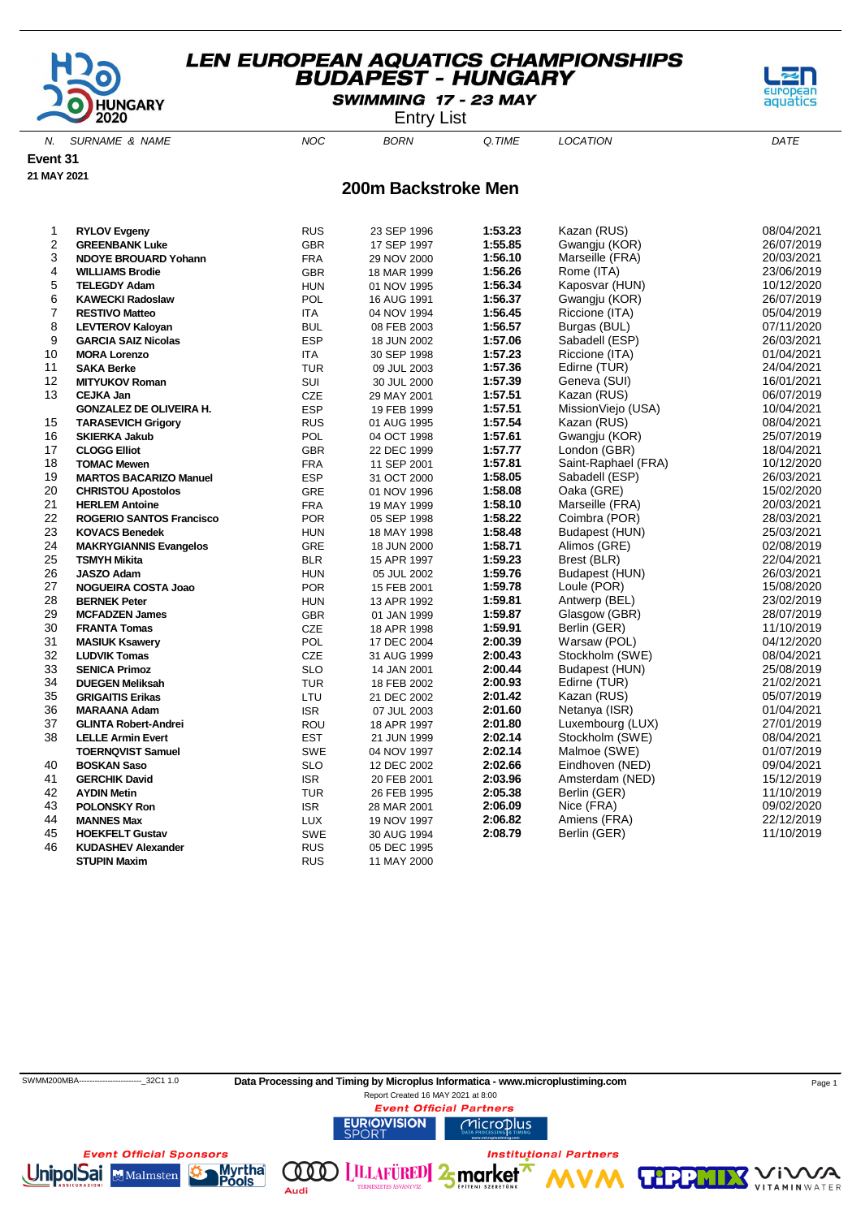

SWIMMING 17 - 23 MAY

Entry List

N. SURNAME & NAME  $NOC$  BORN Q.TIME LOCATION DATE

Malmsten

ools

Audi

**Event 31**

**21 MAY 2021**

#### **200m Backstroke Men**

| 1              | <b>RYLOV Evgeny</b>             | <b>RUS</b> | 23 SEP 1996 | 1:53.23 | Kazan (RUS)         | 08/04/2021 |
|----------------|---------------------------------|------------|-------------|---------|---------------------|------------|
| 2              | <b>GREENBANK Luke</b>           | <b>GBR</b> | 17 SEP 1997 | 1:55.85 | Gwangju (KOR)       | 26/07/2019 |
| 3              | <b>NDOYE BROUARD Yohann</b>     | <b>FRA</b> | 29 NOV 2000 | 1:56.10 | Marseille (FRA)     | 20/03/2021 |
| 4              | <b>WILLIAMS Brodie</b>          | <b>GBR</b> | 18 MAR 1999 | 1:56.26 | Rome (ITA)          | 23/06/2019 |
| 5              | <b>TELEGDY Adam</b>             | <b>HUN</b> | 01 NOV 1995 | 1:56.34 | Kaposvar (HUN)      | 10/12/2020 |
| 6              | <b>KAWECKI Radoslaw</b>         | POL        | 16 AUG 1991 | 1:56.37 | Gwangju (KOR)       | 26/07/2019 |
| $\overline{7}$ | <b>RESTIVO Matteo</b>           | ITA        | 04 NOV 1994 | 1:56.45 | Riccione (ITA)      | 05/04/2019 |
| 8              | <b>LEVTEROV Kaloyan</b>         | <b>BUL</b> | 08 FEB 2003 | 1:56.57 | Burgas (BUL)        | 07/11/2020 |
| 9              | <b>GARCIA SAIZ Nicolas</b>      | <b>ESP</b> | 18 JUN 2002 | 1:57.06 | Sabadell (ESP)      | 26/03/2021 |
| 10             | <b>MORA Lorenzo</b>             | <b>ITA</b> | 30 SEP 1998 | 1:57.23 | Riccione (ITA)      | 01/04/2021 |
| 11             | <b>SAKA Berke</b>               | <b>TUR</b> | 09 JUL 2003 | 1:57.36 | Edirne (TUR)        | 24/04/2021 |
| 12             | <b>MITYUKOV Roman</b>           | SUI        | 30 JUL 2000 | 1:57.39 | Geneva (SUI)        | 16/01/2021 |
| 13             | <b>CEJKA Jan</b>                | CZE        | 29 MAY 2001 | 1:57.51 | Kazan (RUS)         | 06/07/2019 |
|                | <b>GONZALEZ DE OLIVEIRA H.</b>  | <b>ESP</b> | 19 FEB 1999 | 1:57.51 | MissionViejo (USA)  | 10/04/2021 |
| 15             | <b>TARASEVICH Grigory</b>       | <b>RUS</b> | 01 AUG 1995 | 1:57.54 | Kazan (RUS)         | 08/04/2021 |
| 16             | <b>SKIERKA Jakub</b>            | POL        | 04 OCT 1998 | 1:57.61 | Gwangju (KOR)       | 25/07/2019 |
| 17             | <b>CLOGG Elliot</b>             | <b>GBR</b> | 22 DEC 1999 | 1:57.77 | London (GBR)        | 18/04/2021 |
| 18             | <b>TOMAC Mewen</b>              | <b>FRA</b> | 11 SEP 2001 | 1:57.81 | Saint-Raphael (FRA) | 10/12/2020 |
| 19             | <b>MARTOS BACARIZO Manuel</b>   | <b>ESP</b> | 31 OCT 2000 | 1:58.05 | Sabadell (ESP)      | 26/03/2021 |
| 20             | <b>CHRISTOU Apostolos</b>       | <b>GRE</b> | 01 NOV 1996 | 1:58.08 | Oaka (GRE)          | 15/02/2020 |
| 21             | <b>HERLEM Antoine</b>           | <b>FRA</b> | 19 MAY 1999 | 1:58.10 | Marseille (FRA)     | 20/03/2021 |
| 22             | <b>ROGERIO SANTOS Francisco</b> | <b>POR</b> | 05 SEP 1998 | 1:58.22 | Coimbra (POR)       | 28/03/2021 |
| 23             | <b>KOVACS Benedek</b>           | <b>HUN</b> | 18 MAY 1998 | 1:58.48 | Budapest (HUN)      | 25/03/2021 |
| 24             | <b>MAKRYGIANNIS Evangelos</b>   | <b>GRE</b> | 18 JUN 2000 | 1:58.71 | Alimos (GRE)        | 02/08/2019 |
| 25             | <b>TSMYH Mikita</b>             | <b>BLR</b> | 15 APR 1997 | 1:59.23 | Brest (BLR)         | 22/04/2021 |
| 26             | <b>JASZO Adam</b>               | <b>HUN</b> | 05 JUL 2002 | 1:59.76 | Budapest (HUN)      | 26/03/2021 |
| 27             | <b>NOGUEIRA COSTA Joao</b>      | <b>POR</b> | 15 FEB 2001 | 1:59.78 | Loule (POR)         | 15/08/2020 |
| 28             | <b>BERNEK Peter</b>             | <b>HUN</b> | 13 APR 1992 | 1:59.81 | Antwerp (BEL)       | 23/02/2019 |
| 29             | <b>MCFADZEN James</b>           | GBR        | 01 JAN 1999 | 1:59.87 | Glasgow (GBR)       | 28/07/2019 |
| 30             | <b>FRANTA Tomas</b>             | CZE        | 18 APR 1998 | 1:59.91 | Berlin (GER)        | 11/10/2019 |
| 31             | <b>MASIUK Ksawery</b>           | POL        | 17 DEC 2004 | 2:00.39 | Warsaw (POL)        | 04/12/2020 |
| 32             | <b>LUDVIK Tomas</b>             | CZE        | 31 AUG 1999 | 2:00.43 | Stockholm (SWE)     | 08/04/2021 |
| 33             | <b>SENICA Primoz</b>            | <b>SLO</b> | 14 JAN 2001 | 2:00.44 | Budapest (HUN)      | 25/08/2019 |
| 34             | <b>DUEGEN Meliksah</b>          | <b>TUR</b> | 18 FEB 2002 | 2:00.93 | Edirne (TUR)        | 21/02/2021 |
| 35             | <b>GRIGAITIS Erikas</b>         | LTU        | 21 DEC 2002 | 2:01.42 | Kazan (RUS)         | 05/07/2019 |
| 36             | <b>MARAANA Adam</b>             | <b>ISR</b> | 07 JUL 2003 | 2:01.60 | Netanya (ISR)       | 01/04/2021 |
| 37             | <b>GLINTA Robert-Andrei</b>     | ROU        | 18 APR 1997 | 2:01.80 | Luxembourg (LUX)    | 27/01/2019 |
| 38             | <b>LELLE Armin Evert</b>        | <b>EST</b> | 21 JUN 1999 | 2:02.14 | Stockholm (SWE)     | 08/04/2021 |
|                | <b>TOERNQVIST Samuel</b>        | <b>SWE</b> | 04 NOV 1997 | 2:02.14 | Malmoe (SWE)        | 01/07/2019 |
| 40             | <b>BOSKAN Saso</b>              | <b>SLO</b> | 12 DEC 2002 | 2:02.66 | Eindhoven (NED)     | 09/04/2021 |
| 41             | <b>GERCHIK David</b>            | <b>ISR</b> | 20 FEB 2001 | 2:03.96 | Amsterdam (NED)     | 15/12/2019 |
| 42             | <b>AYDIN Metin</b>              | <b>TUR</b> | 26 FEB 1995 | 2:05.38 | Berlin (GER)        | 11/10/2019 |
| 43             | <b>POLONSKY Ron</b>             | <b>ISR</b> | 28 MAR 2001 | 2:06.09 | Nice (FRA)          | 09/02/2020 |
| 44             | <b>MANNES Max</b>               | <b>LUX</b> | 19 NOV 1997 | 2:06.82 | Amiens (FRA)        | 22/12/2019 |
| 45             | <b>HOEKFELT Gustav</b>          | <b>SWE</b> | 30 AUG 1994 | 2:08.79 | Berlin (GER)        | 11/10/2019 |
| 46             | <b>KUDASHEV Alexander</b>       | <b>RUS</b> | 05 DEC 1995 |         |                     |            |
|                | <b>STUPIN Maxim</b>             | <b>RUS</b> | 11 MAY 2000 |         |                     |            |
|                |                                 |            |             |         |                     |            |



VA

'i V

**VITAMIN** WATER

**TIPP**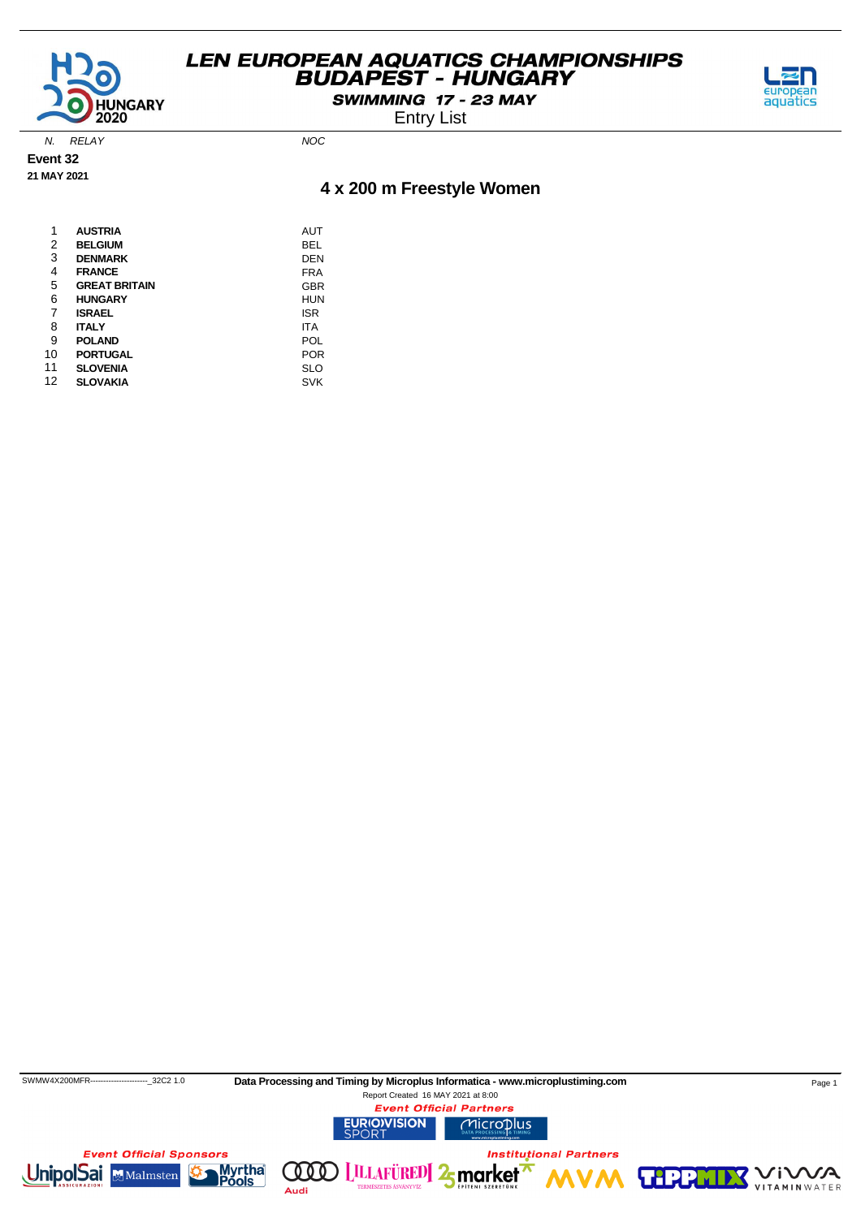

SWIMMING 17 - 23 MAY



Entry List

N. RELAY NOC

**Event 32 21 MAY 2021**

### **4 x 200 m Freestyle Women**

| 1  | <b>AUSTRIA</b>       | AUT        |
|----|----------------------|------------|
| 2  | <b>BELGIUM</b>       | BEL        |
| 3  | <b>DENMARK</b>       | DEN        |
| 4  | <b>FRANCE</b>        | <b>FRA</b> |
| 5  | <b>GREAT BRITAIN</b> | <b>GBR</b> |
| 6  | <b>HUNGARY</b>       | HUN        |
| 7  | <b>ISRAEL</b>        | ISR        |
| 8  | <b>ITALY</b>         | ITA        |
| 9  | <b>POLAND</b>        | POL        |
| 10 | <b>PORTUGAL</b>      | <b>POR</b> |
| 11 | <b>SLOVENIA</b>      | <b>SLO</b> |
| 12 | <b>SLOVAKIA</b>      | <b>SVK</b> |

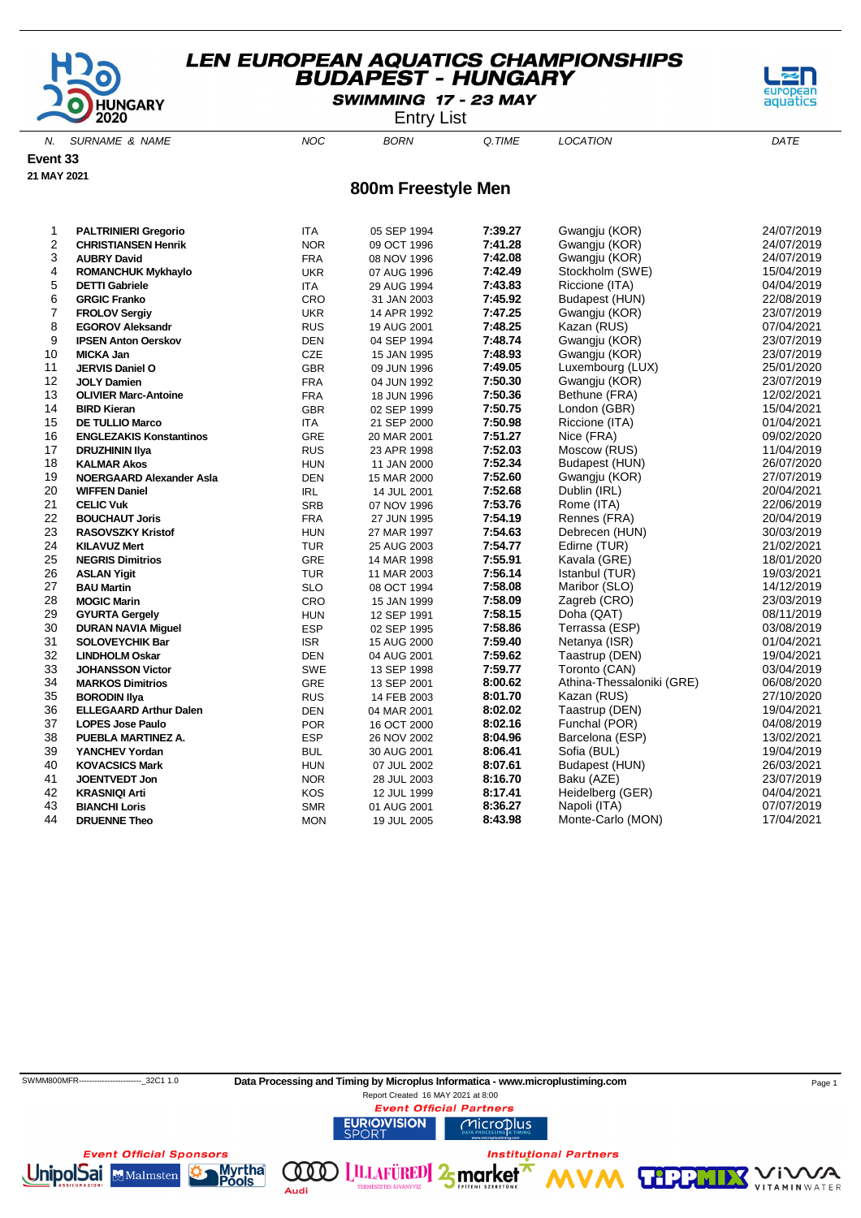

SWIMMING 17 - 23 MAY

Entry List

N. SURNAME & NAME  $NOC$  BORN Q.TIME LOCATION DATE

**Event 33**

**21 MAY 2021**

#### **800m Freestyle Men**

| $\overline{c}$<br>7:41.28<br>Gwangju (KOR)<br>24/07/2019<br><b>NOR</b><br><b>CHRISTIANSEN Henrik</b><br>09 OCT 1996<br>3<br>7:42.08<br>Gwangju (KOR)<br>24/07/2019<br><b>FRA</b><br><b>AUBRY David</b><br>08 NOV 1996<br>4<br>7:42.49<br>Stockholm (SWE)<br><b>UKR</b><br>15/04/2019<br><b>ROMANCHUK Mykhaylo</b><br>07 AUG 1996<br>5<br>7:43.83<br>04/04/2019<br>Riccione (ITA)<br><b>DETTI Gabriele</b><br><b>ITA</b><br>29 AUG 1994<br>6<br>7:45.92<br>22/08/2019<br>CRO<br>Budapest (HUN)<br><b>GRGIC Franko</b><br>31 JAN 2003<br>$\overline{7}$<br>7:47.25<br>Gwangju (KOR)<br>23/07/2019<br><b>UKR</b><br>14 APR 1992<br><b>FROLOV Sergiy</b><br>8<br>7:48.25<br>Kazan (RUS)<br>07/04/2021<br><b>RUS</b><br><b>EGOROV Aleksandr</b><br>19 AUG 2001<br>9<br>7:48.74<br>Gwangju (KOR)<br>23/07/2019<br><b>DEN</b><br><b>IPSEN Anton Oerskov</b><br>04 SEP 1994<br>7:48.93<br>10<br>Gwangju (KOR)<br>23/07/2019<br>CZE<br><b>MICKA Jan</b><br>15 JAN 1995<br>11<br><b>GBR</b><br>7:49.05<br>25/01/2020<br>JERVIS Daniel O<br>Luxembourg (LUX)<br>09 JUN 1996<br>7:50.30<br>12<br>Gwangju (KOR)<br>23/07/2019<br><b>FRA</b><br><b>JOLY Damien</b><br>04 JUN 1992<br>13<br>7:50.36<br>Bethune (FRA)<br>12/02/2021<br><b>FRA</b><br><b>OLIVIER Marc-Antoine</b><br>18 JUN 1996<br>7:50.75<br>14<br><b>GBR</b><br>15/04/2021<br>London (GBR)<br><b>BIRD Kieran</b><br>02 SEP 1999<br>7:50.98<br>15<br><b>ITA</b><br>Riccione (ITA)<br>01/04/2021<br><b>DE TULLIO Marco</b><br>21 SEP 2000<br>7:51.27<br>16<br>Nice (FRA)<br>09/02/2020<br><b>ENGLEZAKIS Konstantinos</b><br><b>GRE</b><br>20 MAR 2001<br>7:52.03<br>17<br>11/04/2019<br>Moscow (RUS)<br><b>RUS</b><br><b>DRUZHININ IIya</b><br>23 APR 1998<br>7:52.34<br>18<br>26/07/2020<br><b>HUN</b><br>Budapest (HUN)<br><b>KALMAR Akos</b><br>11 JAN 2000<br>7:52.60<br>19<br><b>DEN</b><br>27/07/2019<br><b>NOERGAARD Alexander Asla</b><br>15 MAR 2000<br>Gwangju (KOR)<br>7:52.68<br>20<br>20/04/2021<br>Dublin (IRL)<br><b>WIFFEN Daniel</b><br><b>IRL</b><br>14 JUL 2001<br>7:53.76<br>21<br>Rome (ITA)<br>22/06/2019<br><b>SRB</b><br><b>CELIC Vuk</b><br>07 NOV 1996<br>22<br>7:54.19<br>Rennes (FRA)<br>20/04/2019<br><b>FRA</b><br><b>BOUCHAUT Joris</b><br>27 JUN 1995<br>23<br>7:54.63<br>Debrecen (HUN)<br>30/03/2019<br><b>RASOVSZKY Kristof</b><br><b>HUN</b><br>27 MAR 1997<br>24<br>7:54.77<br>Edirne (TUR)<br>21/02/2021<br><b>KILAVUZ Mert</b><br><b>TUR</b><br>25 AUG 2003<br>25<br>7:55.91<br>Kavala (GRE)<br>18/01/2020<br><b>GRE</b><br><b>NEGRIS Dimitrios</b><br>14 MAR 1998<br>7:56.14<br>26<br><b>TUR</b><br>Istanbul (TUR)<br>19/03/2021<br><b>ASLAN Yigit</b><br>11 MAR 2003<br>27<br>7:58.08<br>Maribor (SLO)<br>14/12/2019<br><b>BAU Martin</b><br><b>SLO</b><br>08 OCT 1994<br>28<br>7:58.09<br>23/03/2019<br>Zagreb (CRO)<br>CRO<br><b>MOGIC Marin</b><br>15 JAN 1999<br>29<br>7:58.15<br>08/11/2019<br>Doha (QAT)<br><b>HUN</b><br><b>GYURTA Gergely</b><br>12 SEP 1991<br>7:58.86<br>30<br><b>ESP</b><br>Terrassa (ESP)<br>03/08/2019<br><b>DURAN NAVIA Miguel</b><br>02 SEP 1995<br>31<br>7:59.40<br>01/04/2021<br>Netanya (ISR)<br><b>SOLOVEYCHIK Bar</b><br><b>ISR</b><br>15 AUG 2000<br>32<br>7:59.62<br>19/04/2021<br>Taastrup (DEN)<br><b>LINDHOLM Oskar</b><br><b>DEN</b><br>04 AUG 2001<br>33<br>7:59.77<br>Toronto (CAN)<br>03/04/2019<br>SWE<br><b>JOHANSSON Victor</b><br>13 SEP 1998<br>34<br>8:00.62<br>Athina-Thessaloniki (GRE)<br>06/08/2020<br>GRE<br><b>MARKOS Dimitrios</b><br>13 SEP 2001<br>35<br>8:01.70<br>Kazan (RUS)<br>27/10/2020<br><b>BORODIN IIva</b><br><b>RUS</b><br>14 FEB 2003<br>8:02.02<br>36<br>Taastrup (DEN)<br>19/04/2021<br><b>DEN</b><br><b>ELLEGAARD Arthur Dalen</b><br>04 MAR 2001<br>37<br>8:02.16<br>04/08/2019<br>Funchal (POR)<br><b>POR</b><br><b>LOPES Jose Paulo</b><br>16 OCT 2000<br>38<br>8:04.96<br><b>ESP</b><br>Barcelona (ESP)<br>13/02/2021<br>PUEBLA MARTINEZ A.<br>26 NOV 2002<br>8:06.41<br>19/04/2019<br>39<br><b>BUL</b><br>Sofia (BUL)<br>YANCHEV Yordan<br>30 AUG 2001<br>26/03/2021<br>40<br>8:07.61<br>Budapest (HUN)<br><b>HUN</b><br><b>KOVACSICS Mark</b><br>07 JUL 2002<br>8:16.70<br>23/07/2019<br>41<br>JOENTVEDT Jon<br><b>NOR</b><br>Baku (AZE)<br>28 JUL 2003<br>8:17.41<br>42<br>Heidelberg (GER)<br>04/04/2021<br><b>KRASNIQI Arti</b><br>KOS<br>12 JUL 1999 | 1  | <b>PALTRINIERI Gregorio</b> | <b>ITA</b> | 05 SEP 1994 | 7:39.27 | Gwangju (KOR) | 24/07/2019 |
|------------------------------------------------------------------------------------------------------------------------------------------------------------------------------------------------------------------------------------------------------------------------------------------------------------------------------------------------------------------------------------------------------------------------------------------------------------------------------------------------------------------------------------------------------------------------------------------------------------------------------------------------------------------------------------------------------------------------------------------------------------------------------------------------------------------------------------------------------------------------------------------------------------------------------------------------------------------------------------------------------------------------------------------------------------------------------------------------------------------------------------------------------------------------------------------------------------------------------------------------------------------------------------------------------------------------------------------------------------------------------------------------------------------------------------------------------------------------------------------------------------------------------------------------------------------------------------------------------------------------------------------------------------------------------------------------------------------------------------------------------------------------------------------------------------------------------------------------------------------------------------------------------------------------------------------------------------------------------------------------------------------------------------------------------------------------------------------------------------------------------------------------------------------------------------------------------------------------------------------------------------------------------------------------------------------------------------------------------------------------------------------------------------------------------------------------------------------------------------------------------------------------------------------------------------------------------------------------------------------------------------------------------------------------------------------------------------------------------------------------------------------------------------------------------------------------------------------------------------------------------------------------------------------------------------------------------------------------------------------------------------------------------------------------------------------------------------------------------------------------------------------------------------------------------------------------------------------------------------------------------------------------------------------------------------------------------------------------------------------------------------------------------------------------------------------------------------------------------------------------------------------------------------------------------------------------------------------------------------------------------------------------------------------------------------------------------------------------------------------------------------------------------------------------------------------------------------------------------------------------------------------------------------------------------------------------------------------------------------------------------------------------------------------------------------------------------------------------------------------------------------------------------------------------------------------------------------------------------------------------------------------------------------------------------------------------------------|----|-----------------------------|------------|-------------|---------|---------------|------------|
|                                                                                                                                                                                                                                                                                                                                                                                                                                                                                                                                                                                                                                                                                                                                                                                                                                                                                                                                                                                                                                                                                                                                                                                                                                                                                                                                                                                                                                                                                                                                                                                                                                                                                                                                                                                                                                                                                                                                                                                                                                                                                                                                                                                                                                                                                                                                                                                                                                                                                                                                                                                                                                                                                                                                                                                                                                                                                                                                                                                                                                                                                                                                                                                                                                                                                                                                                                                                                                                                                                                                                                                                                                                                                                                                                                                                                                                                                                                                                                                                                                                                                                                                                                                                                                                                                                                                    |    |                             |            |             |         |               |            |
|                                                                                                                                                                                                                                                                                                                                                                                                                                                                                                                                                                                                                                                                                                                                                                                                                                                                                                                                                                                                                                                                                                                                                                                                                                                                                                                                                                                                                                                                                                                                                                                                                                                                                                                                                                                                                                                                                                                                                                                                                                                                                                                                                                                                                                                                                                                                                                                                                                                                                                                                                                                                                                                                                                                                                                                                                                                                                                                                                                                                                                                                                                                                                                                                                                                                                                                                                                                                                                                                                                                                                                                                                                                                                                                                                                                                                                                                                                                                                                                                                                                                                                                                                                                                                                                                                                                                    |    |                             |            |             |         |               |            |
|                                                                                                                                                                                                                                                                                                                                                                                                                                                                                                                                                                                                                                                                                                                                                                                                                                                                                                                                                                                                                                                                                                                                                                                                                                                                                                                                                                                                                                                                                                                                                                                                                                                                                                                                                                                                                                                                                                                                                                                                                                                                                                                                                                                                                                                                                                                                                                                                                                                                                                                                                                                                                                                                                                                                                                                                                                                                                                                                                                                                                                                                                                                                                                                                                                                                                                                                                                                                                                                                                                                                                                                                                                                                                                                                                                                                                                                                                                                                                                                                                                                                                                                                                                                                                                                                                                                                    |    |                             |            |             |         |               |            |
|                                                                                                                                                                                                                                                                                                                                                                                                                                                                                                                                                                                                                                                                                                                                                                                                                                                                                                                                                                                                                                                                                                                                                                                                                                                                                                                                                                                                                                                                                                                                                                                                                                                                                                                                                                                                                                                                                                                                                                                                                                                                                                                                                                                                                                                                                                                                                                                                                                                                                                                                                                                                                                                                                                                                                                                                                                                                                                                                                                                                                                                                                                                                                                                                                                                                                                                                                                                                                                                                                                                                                                                                                                                                                                                                                                                                                                                                                                                                                                                                                                                                                                                                                                                                                                                                                                                                    |    |                             |            |             |         |               |            |
|                                                                                                                                                                                                                                                                                                                                                                                                                                                                                                                                                                                                                                                                                                                                                                                                                                                                                                                                                                                                                                                                                                                                                                                                                                                                                                                                                                                                                                                                                                                                                                                                                                                                                                                                                                                                                                                                                                                                                                                                                                                                                                                                                                                                                                                                                                                                                                                                                                                                                                                                                                                                                                                                                                                                                                                                                                                                                                                                                                                                                                                                                                                                                                                                                                                                                                                                                                                                                                                                                                                                                                                                                                                                                                                                                                                                                                                                                                                                                                                                                                                                                                                                                                                                                                                                                                                                    |    |                             |            |             |         |               |            |
|                                                                                                                                                                                                                                                                                                                                                                                                                                                                                                                                                                                                                                                                                                                                                                                                                                                                                                                                                                                                                                                                                                                                                                                                                                                                                                                                                                                                                                                                                                                                                                                                                                                                                                                                                                                                                                                                                                                                                                                                                                                                                                                                                                                                                                                                                                                                                                                                                                                                                                                                                                                                                                                                                                                                                                                                                                                                                                                                                                                                                                                                                                                                                                                                                                                                                                                                                                                                                                                                                                                                                                                                                                                                                                                                                                                                                                                                                                                                                                                                                                                                                                                                                                                                                                                                                                                                    |    |                             |            |             |         |               |            |
|                                                                                                                                                                                                                                                                                                                                                                                                                                                                                                                                                                                                                                                                                                                                                                                                                                                                                                                                                                                                                                                                                                                                                                                                                                                                                                                                                                                                                                                                                                                                                                                                                                                                                                                                                                                                                                                                                                                                                                                                                                                                                                                                                                                                                                                                                                                                                                                                                                                                                                                                                                                                                                                                                                                                                                                                                                                                                                                                                                                                                                                                                                                                                                                                                                                                                                                                                                                                                                                                                                                                                                                                                                                                                                                                                                                                                                                                                                                                                                                                                                                                                                                                                                                                                                                                                                                                    |    |                             |            |             |         |               |            |
|                                                                                                                                                                                                                                                                                                                                                                                                                                                                                                                                                                                                                                                                                                                                                                                                                                                                                                                                                                                                                                                                                                                                                                                                                                                                                                                                                                                                                                                                                                                                                                                                                                                                                                                                                                                                                                                                                                                                                                                                                                                                                                                                                                                                                                                                                                                                                                                                                                                                                                                                                                                                                                                                                                                                                                                                                                                                                                                                                                                                                                                                                                                                                                                                                                                                                                                                                                                                                                                                                                                                                                                                                                                                                                                                                                                                                                                                                                                                                                                                                                                                                                                                                                                                                                                                                                                                    |    |                             |            |             |         |               |            |
|                                                                                                                                                                                                                                                                                                                                                                                                                                                                                                                                                                                                                                                                                                                                                                                                                                                                                                                                                                                                                                                                                                                                                                                                                                                                                                                                                                                                                                                                                                                                                                                                                                                                                                                                                                                                                                                                                                                                                                                                                                                                                                                                                                                                                                                                                                                                                                                                                                                                                                                                                                                                                                                                                                                                                                                                                                                                                                                                                                                                                                                                                                                                                                                                                                                                                                                                                                                                                                                                                                                                                                                                                                                                                                                                                                                                                                                                                                                                                                                                                                                                                                                                                                                                                                                                                                                                    |    |                             |            |             |         |               |            |
|                                                                                                                                                                                                                                                                                                                                                                                                                                                                                                                                                                                                                                                                                                                                                                                                                                                                                                                                                                                                                                                                                                                                                                                                                                                                                                                                                                                                                                                                                                                                                                                                                                                                                                                                                                                                                                                                                                                                                                                                                                                                                                                                                                                                                                                                                                                                                                                                                                                                                                                                                                                                                                                                                                                                                                                                                                                                                                                                                                                                                                                                                                                                                                                                                                                                                                                                                                                                                                                                                                                                                                                                                                                                                                                                                                                                                                                                                                                                                                                                                                                                                                                                                                                                                                                                                                                                    |    |                             |            |             |         |               |            |
|                                                                                                                                                                                                                                                                                                                                                                                                                                                                                                                                                                                                                                                                                                                                                                                                                                                                                                                                                                                                                                                                                                                                                                                                                                                                                                                                                                                                                                                                                                                                                                                                                                                                                                                                                                                                                                                                                                                                                                                                                                                                                                                                                                                                                                                                                                                                                                                                                                                                                                                                                                                                                                                                                                                                                                                                                                                                                                                                                                                                                                                                                                                                                                                                                                                                                                                                                                                                                                                                                                                                                                                                                                                                                                                                                                                                                                                                                                                                                                                                                                                                                                                                                                                                                                                                                                                                    |    |                             |            |             |         |               |            |
|                                                                                                                                                                                                                                                                                                                                                                                                                                                                                                                                                                                                                                                                                                                                                                                                                                                                                                                                                                                                                                                                                                                                                                                                                                                                                                                                                                                                                                                                                                                                                                                                                                                                                                                                                                                                                                                                                                                                                                                                                                                                                                                                                                                                                                                                                                                                                                                                                                                                                                                                                                                                                                                                                                                                                                                                                                                                                                                                                                                                                                                                                                                                                                                                                                                                                                                                                                                                                                                                                                                                                                                                                                                                                                                                                                                                                                                                                                                                                                                                                                                                                                                                                                                                                                                                                                                                    |    |                             |            |             |         |               |            |
|                                                                                                                                                                                                                                                                                                                                                                                                                                                                                                                                                                                                                                                                                                                                                                                                                                                                                                                                                                                                                                                                                                                                                                                                                                                                                                                                                                                                                                                                                                                                                                                                                                                                                                                                                                                                                                                                                                                                                                                                                                                                                                                                                                                                                                                                                                                                                                                                                                                                                                                                                                                                                                                                                                                                                                                                                                                                                                                                                                                                                                                                                                                                                                                                                                                                                                                                                                                                                                                                                                                                                                                                                                                                                                                                                                                                                                                                                                                                                                                                                                                                                                                                                                                                                                                                                                                                    |    |                             |            |             |         |               |            |
|                                                                                                                                                                                                                                                                                                                                                                                                                                                                                                                                                                                                                                                                                                                                                                                                                                                                                                                                                                                                                                                                                                                                                                                                                                                                                                                                                                                                                                                                                                                                                                                                                                                                                                                                                                                                                                                                                                                                                                                                                                                                                                                                                                                                                                                                                                                                                                                                                                                                                                                                                                                                                                                                                                                                                                                                                                                                                                                                                                                                                                                                                                                                                                                                                                                                                                                                                                                                                                                                                                                                                                                                                                                                                                                                                                                                                                                                                                                                                                                                                                                                                                                                                                                                                                                                                                                                    |    |                             |            |             |         |               |            |
|                                                                                                                                                                                                                                                                                                                                                                                                                                                                                                                                                                                                                                                                                                                                                                                                                                                                                                                                                                                                                                                                                                                                                                                                                                                                                                                                                                                                                                                                                                                                                                                                                                                                                                                                                                                                                                                                                                                                                                                                                                                                                                                                                                                                                                                                                                                                                                                                                                                                                                                                                                                                                                                                                                                                                                                                                                                                                                                                                                                                                                                                                                                                                                                                                                                                                                                                                                                                                                                                                                                                                                                                                                                                                                                                                                                                                                                                                                                                                                                                                                                                                                                                                                                                                                                                                                                                    |    |                             |            |             |         |               |            |
|                                                                                                                                                                                                                                                                                                                                                                                                                                                                                                                                                                                                                                                                                                                                                                                                                                                                                                                                                                                                                                                                                                                                                                                                                                                                                                                                                                                                                                                                                                                                                                                                                                                                                                                                                                                                                                                                                                                                                                                                                                                                                                                                                                                                                                                                                                                                                                                                                                                                                                                                                                                                                                                                                                                                                                                                                                                                                                                                                                                                                                                                                                                                                                                                                                                                                                                                                                                                                                                                                                                                                                                                                                                                                                                                                                                                                                                                                                                                                                                                                                                                                                                                                                                                                                                                                                                                    |    |                             |            |             |         |               |            |
|                                                                                                                                                                                                                                                                                                                                                                                                                                                                                                                                                                                                                                                                                                                                                                                                                                                                                                                                                                                                                                                                                                                                                                                                                                                                                                                                                                                                                                                                                                                                                                                                                                                                                                                                                                                                                                                                                                                                                                                                                                                                                                                                                                                                                                                                                                                                                                                                                                                                                                                                                                                                                                                                                                                                                                                                                                                                                                                                                                                                                                                                                                                                                                                                                                                                                                                                                                                                                                                                                                                                                                                                                                                                                                                                                                                                                                                                                                                                                                                                                                                                                                                                                                                                                                                                                                                                    |    |                             |            |             |         |               |            |
|                                                                                                                                                                                                                                                                                                                                                                                                                                                                                                                                                                                                                                                                                                                                                                                                                                                                                                                                                                                                                                                                                                                                                                                                                                                                                                                                                                                                                                                                                                                                                                                                                                                                                                                                                                                                                                                                                                                                                                                                                                                                                                                                                                                                                                                                                                                                                                                                                                                                                                                                                                                                                                                                                                                                                                                                                                                                                                                                                                                                                                                                                                                                                                                                                                                                                                                                                                                                                                                                                                                                                                                                                                                                                                                                                                                                                                                                                                                                                                                                                                                                                                                                                                                                                                                                                                                                    |    |                             |            |             |         |               |            |
|                                                                                                                                                                                                                                                                                                                                                                                                                                                                                                                                                                                                                                                                                                                                                                                                                                                                                                                                                                                                                                                                                                                                                                                                                                                                                                                                                                                                                                                                                                                                                                                                                                                                                                                                                                                                                                                                                                                                                                                                                                                                                                                                                                                                                                                                                                                                                                                                                                                                                                                                                                                                                                                                                                                                                                                                                                                                                                                                                                                                                                                                                                                                                                                                                                                                                                                                                                                                                                                                                                                                                                                                                                                                                                                                                                                                                                                                                                                                                                                                                                                                                                                                                                                                                                                                                                                                    |    |                             |            |             |         |               |            |
|                                                                                                                                                                                                                                                                                                                                                                                                                                                                                                                                                                                                                                                                                                                                                                                                                                                                                                                                                                                                                                                                                                                                                                                                                                                                                                                                                                                                                                                                                                                                                                                                                                                                                                                                                                                                                                                                                                                                                                                                                                                                                                                                                                                                                                                                                                                                                                                                                                                                                                                                                                                                                                                                                                                                                                                                                                                                                                                                                                                                                                                                                                                                                                                                                                                                                                                                                                                                                                                                                                                                                                                                                                                                                                                                                                                                                                                                                                                                                                                                                                                                                                                                                                                                                                                                                                                                    |    |                             |            |             |         |               |            |
|                                                                                                                                                                                                                                                                                                                                                                                                                                                                                                                                                                                                                                                                                                                                                                                                                                                                                                                                                                                                                                                                                                                                                                                                                                                                                                                                                                                                                                                                                                                                                                                                                                                                                                                                                                                                                                                                                                                                                                                                                                                                                                                                                                                                                                                                                                                                                                                                                                                                                                                                                                                                                                                                                                                                                                                                                                                                                                                                                                                                                                                                                                                                                                                                                                                                                                                                                                                                                                                                                                                                                                                                                                                                                                                                                                                                                                                                                                                                                                                                                                                                                                                                                                                                                                                                                                                                    |    |                             |            |             |         |               |            |
|                                                                                                                                                                                                                                                                                                                                                                                                                                                                                                                                                                                                                                                                                                                                                                                                                                                                                                                                                                                                                                                                                                                                                                                                                                                                                                                                                                                                                                                                                                                                                                                                                                                                                                                                                                                                                                                                                                                                                                                                                                                                                                                                                                                                                                                                                                                                                                                                                                                                                                                                                                                                                                                                                                                                                                                                                                                                                                                                                                                                                                                                                                                                                                                                                                                                                                                                                                                                                                                                                                                                                                                                                                                                                                                                                                                                                                                                                                                                                                                                                                                                                                                                                                                                                                                                                                                                    |    |                             |            |             |         |               |            |
|                                                                                                                                                                                                                                                                                                                                                                                                                                                                                                                                                                                                                                                                                                                                                                                                                                                                                                                                                                                                                                                                                                                                                                                                                                                                                                                                                                                                                                                                                                                                                                                                                                                                                                                                                                                                                                                                                                                                                                                                                                                                                                                                                                                                                                                                                                                                                                                                                                                                                                                                                                                                                                                                                                                                                                                                                                                                                                                                                                                                                                                                                                                                                                                                                                                                                                                                                                                                                                                                                                                                                                                                                                                                                                                                                                                                                                                                                                                                                                                                                                                                                                                                                                                                                                                                                                                                    |    |                             |            |             |         |               |            |
|                                                                                                                                                                                                                                                                                                                                                                                                                                                                                                                                                                                                                                                                                                                                                                                                                                                                                                                                                                                                                                                                                                                                                                                                                                                                                                                                                                                                                                                                                                                                                                                                                                                                                                                                                                                                                                                                                                                                                                                                                                                                                                                                                                                                                                                                                                                                                                                                                                                                                                                                                                                                                                                                                                                                                                                                                                                                                                                                                                                                                                                                                                                                                                                                                                                                                                                                                                                                                                                                                                                                                                                                                                                                                                                                                                                                                                                                                                                                                                                                                                                                                                                                                                                                                                                                                                                                    |    |                             |            |             |         |               |            |
|                                                                                                                                                                                                                                                                                                                                                                                                                                                                                                                                                                                                                                                                                                                                                                                                                                                                                                                                                                                                                                                                                                                                                                                                                                                                                                                                                                                                                                                                                                                                                                                                                                                                                                                                                                                                                                                                                                                                                                                                                                                                                                                                                                                                                                                                                                                                                                                                                                                                                                                                                                                                                                                                                                                                                                                                                                                                                                                                                                                                                                                                                                                                                                                                                                                                                                                                                                                                                                                                                                                                                                                                                                                                                                                                                                                                                                                                                                                                                                                                                                                                                                                                                                                                                                                                                                                                    |    |                             |            |             |         |               |            |
|                                                                                                                                                                                                                                                                                                                                                                                                                                                                                                                                                                                                                                                                                                                                                                                                                                                                                                                                                                                                                                                                                                                                                                                                                                                                                                                                                                                                                                                                                                                                                                                                                                                                                                                                                                                                                                                                                                                                                                                                                                                                                                                                                                                                                                                                                                                                                                                                                                                                                                                                                                                                                                                                                                                                                                                                                                                                                                                                                                                                                                                                                                                                                                                                                                                                                                                                                                                                                                                                                                                                                                                                                                                                                                                                                                                                                                                                                                                                                                                                                                                                                                                                                                                                                                                                                                                                    |    |                             |            |             |         |               |            |
|                                                                                                                                                                                                                                                                                                                                                                                                                                                                                                                                                                                                                                                                                                                                                                                                                                                                                                                                                                                                                                                                                                                                                                                                                                                                                                                                                                                                                                                                                                                                                                                                                                                                                                                                                                                                                                                                                                                                                                                                                                                                                                                                                                                                                                                                                                                                                                                                                                                                                                                                                                                                                                                                                                                                                                                                                                                                                                                                                                                                                                                                                                                                                                                                                                                                                                                                                                                                                                                                                                                                                                                                                                                                                                                                                                                                                                                                                                                                                                                                                                                                                                                                                                                                                                                                                                                                    |    |                             |            |             |         |               |            |
|                                                                                                                                                                                                                                                                                                                                                                                                                                                                                                                                                                                                                                                                                                                                                                                                                                                                                                                                                                                                                                                                                                                                                                                                                                                                                                                                                                                                                                                                                                                                                                                                                                                                                                                                                                                                                                                                                                                                                                                                                                                                                                                                                                                                                                                                                                                                                                                                                                                                                                                                                                                                                                                                                                                                                                                                                                                                                                                                                                                                                                                                                                                                                                                                                                                                                                                                                                                                                                                                                                                                                                                                                                                                                                                                                                                                                                                                                                                                                                                                                                                                                                                                                                                                                                                                                                                                    |    |                             |            |             |         |               |            |
|                                                                                                                                                                                                                                                                                                                                                                                                                                                                                                                                                                                                                                                                                                                                                                                                                                                                                                                                                                                                                                                                                                                                                                                                                                                                                                                                                                                                                                                                                                                                                                                                                                                                                                                                                                                                                                                                                                                                                                                                                                                                                                                                                                                                                                                                                                                                                                                                                                                                                                                                                                                                                                                                                                                                                                                                                                                                                                                                                                                                                                                                                                                                                                                                                                                                                                                                                                                                                                                                                                                                                                                                                                                                                                                                                                                                                                                                                                                                                                                                                                                                                                                                                                                                                                                                                                                                    |    |                             |            |             |         |               |            |
|                                                                                                                                                                                                                                                                                                                                                                                                                                                                                                                                                                                                                                                                                                                                                                                                                                                                                                                                                                                                                                                                                                                                                                                                                                                                                                                                                                                                                                                                                                                                                                                                                                                                                                                                                                                                                                                                                                                                                                                                                                                                                                                                                                                                                                                                                                                                                                                                                                                                                                                                                                                                                                                                                                                                                                                                                                                                                                                                                                                                                                                                                                                                                                                                                                                                                                                                                                                                                                                                                                                                                                                                                                                                                                                                                                                                                                                                                                                                                                                                                                                                                                                                                                                                                                                                                                                                    |    |                             |            |             |         |               |            |
|                                                                                                                                                                                                                                                                                                                                                                                                                                                                                                                                                                                                                                                                                                                                                                                                                                                                                                                                                                                                                                                                                                                                                                                                                                                                                                                                                                                                                                                                                                                                                                                                                                                                                                                                                                                                                                                                                                                                                                                                                                                                                                                                                                                                                                                                                                                                                                                                                                                                                                                                                                                                                                                                                                                                                                                                                                                                                                                                                                                                                                                                                                                                                                                                                                                                                                                                                                                                                                                                                                                                                                                                                                                                                                                                                                                                                                                                                                                                                                                                                                                                                                                                                                                                                                                                                                                                    |    |                             |            |             |         |               |            |
|                                                                                                                                                                                                                                                                                                                                                                                                                                                                                                                                                                                                                                                                                                                                                                                                                                                                                                                                                                                                                                                                                                                                                                                                                                                                                                                                                                                                                                                                                                                                                                                                                                                                                                                                                                                                                                                                                                                                                                                                                                                                                                                                                                                                                                                                                                                                                                                                                                                                                                                                                                                                                                                                                                                                                                                                                                                                                                                                                                                                                                                                                                                                                                                                                                                                                                                                                                                                                                                                                                                                                                                                                                                                                                                                                                                                                                                                                                                                                                                                                                                                                                                                                                                                                                                                                                                                    |    |                             |            |             |         |               |            |
|                                                                                                                                                                                                                                                                                                                                                                                                                                                                                                                                                                                                                                                                                                                                                                                                                                                                                                                                                                                                                                                                                                                                                                                                                                                                                                                                                                                                                                                                                                                                                                                                                                                                                                                                                                                                                                                                                                                                                                                                                                                                                                                                                                                                                                                                                                                                                                                                                                                                                                                                                                                                                                                                                                                                                                                                                                                                                                                                                                                                                                                                                                                                                                                                                                                                                                                                                                                                                                                                                                                                                                                                                                                                                                                                                                                                                                                                                                                                                                                                                                                                                                                                                                                                                                                                                                                                    |    |                             |            |             |         |               |            |
|                                                                                                                                                                                                                                                                                                                                                                                                                                                                                                                                                                                                                                                                                                                                                                                                                                                                                                                                                                                                                                                                                                                                                                                                                                                                                                                                                                                                                                                                                                                                                                                                                                                                                                                                                                                                                                                                                                                                                                                                                                                                                                                                                                                                                                                                                                                                                                                                                                                                                                                                                                                                                                                                                                                                                                                                                                                                                                                                                                                                                                                                                                                                                                                                                                                                                                                                                                                                                                                                                                                                                                                                                                                                                                                                                                                                                                                                                                                                                                                                                                                                                                                                                                                                                                                                                                                                    |    |                             |            |             |         |               |            |
|                                                                                                                                                                                                                                                                                                                                                                                                                                                                                                                                                                                                                                                                                                                                                                                                                                                                                                                                                                                                                                                                                                                                                                                                                                                                                                                                                                                                                                                                                                                                                                                                                                                                                                                                                                                                                                                                                                                                                                                                                                                                                                                                                                                                                                                                                                                                                                                                                                                                                                                                                                                                                                                                                                                                                                                                                                                                                                                                                                                                                                                                                                                                                                                                                                                                                                                                                                                                                                                                                                                                                                                                                                                                                                                                                                                                                                                                                                                                                                                                                                                                                                                                                                                                                                                                                                                                    |    |                             |            |             |         |               |            |
|                                                                                                                                                                                                                                                                                                                                                                                                                                                                                                                                                                                                                                                                                                                                                                                                                                                                                                                                                                                                                                                                                                                                                                                                                                                                                                                                                                                                                                                                                                                                                                                                                                                                                                                                                                                                                                                                                                                                                                                                                                                                                                                                                                                                                                                                                                                                                                                                                                                                                                                                                                                                                                                                                                                                                                                                                                                                                                                                                                                                                                                                                                                                                                                                                                                                                                                                                                                                                                                                                                                                                                                                                                                                                                                                                                                                                                                                                                                                                                                                                                                                                                                                                                                                                                                                                                                                    |    |                             |            |             |         |               |            |
|                                                                                                                                                                                                                                                                                                                                                                                                                                                                                                                                                                                                                                                                                                                                                                                                                                                                                                                                                                                                                                                                                                                                                                                                                                                                                                                                                                                                                                                                                                                                                                                                                                                                                                                                                                                                                                                                                                                                                                                                                                                                                                                                                                                                                                                                                                                                                                                                                                                                                                                                                                                                                                                                                                                                                                                                                                                                                                                                                                                                                                                                                                                                                                                                                                                                                                                                                                                                                                                                                                                                                                                                                                                                                                                                                                                                                                                                                                                                                                                                                                                                                                                                                                                                                                                                                                                                    |    |                             |            |             |         |               |            |
|                                                                                                                                                                                                                                                                                                                                                                                                                                                                                                                                                                                                                                                                                                                                                                                                                                                                                                                                                                                                                                                                                                                                                                                                                                                                                                                                                                                                                                                                                                                                                                                                                                                                                                                                                                                                                                                                                                                                                                                                                                                                                                                                                                                                                                                                                                                                                                                                                                                                                                                                                                                                                                                                                                                                                                                                                                                                                                                                                                                                                                                                                                                                                                                                                                                                                                                                                                                                                                                                                                                                                                                                                                                                                                                                                                                                                                                                                                                                                                                                                                                                                                                                                                                                                                                                                                                                    |    |                             |            |             |         |               |            |
|                                                                                                                                                                                                                                                                                                                                                                                                                                                                                                                                                                                                                                                                                                                                                                                                                                                                                                                                                                                                                                                                                                                                                                                                                                                                                                                                                                                                                                                                                                                                                                                                                                                                                                                                                                                                                                                                                                                                                                                                                                                                                                                                                                                                                                                                                                                                                                                                                                                                                                                                                                                                                                                                                                                                                                                                                                                                                                                                                                                                                                                                                                                                                                                                                                                                                                                                                                                                                                                                                                                                                                                                                                                                                                                                                                                                                                                                                                                                                                                                                                                                                                                                                                                                                                                                                                                                    |    |                             |            |             |         |               |            |
|                                                                                                                                                                                                                                                                                                                                                                                                                                                                                                                                                                                                                                                                                                                                                                                                                                                                                                                                                                                                                                                                                                                                                                                                                                                                                                                                                                                                                                                                                                                                                                                                                                                                                                                                                                                                                                                                                                                                                                                                                                                                                                                                                                                                                                                                                                                                                                                                                                                                                                                                                                                                                                                                                                                                                                                                                                                                                                                                                                                                                                                                                                                                                                                                                                                                                                                                                                                                                                                                                                                                                                                                                                                                                                                                                                                                                                                                                                                                                                                                                                                                                                                                                                                                                                                                                                                                    |    |                             |            |             |         |               |            |
|                                                                                                                                                                                                                                                                                                                                                                                                                                                                                                                                                                                                                                                                                                                                                                                                                                                                                                                                                                                                                                                                                                                                                                                                                                                                                                                                                                                                                                                                                                                                                                                                                                                                                                                                                                                                                                                                                                                                                                                                                                                                                                                                                                                                                                                                                                                                                                                                                                                                                                                                                                                                                                                                                                                                                                                                                                                                                                                                                                                                                                                                                                                                                                                                                                                                                                                                                                                                                                                                                                                                                                                                                                                                                                                                                                                                                                                                                                                                                                                                                                                                                                                                                                                                                                                                                                                                    |    |                             |            |             |         |               |            |
| <b>BIANCHI Loris</b><br><b>SMR</b><br>01 AUG 2001                                                                                                                                                                                                                                                                                                                                                                                                                                                                                                                                                                                                                                                                                                                                                                                                                                                                                                                                                                                                                                                                                                                                                                                                                                                                                                                                                                                                                                                                                                                                                                                                                                                                                                                                                                                                                                                                                                                                                                                                                                                                                                                                                                                                                                                                                                                                                                                                                                                                                                                                                                                                                                                                                                                                                                                                                                                                                                                                                                                                                                                                                                                                                                                                                                                                                                                                                                                                                                                                                                                                                                                                                                                                                                                                                                                                                                                                                                                                                                                                                                                                                                                                                                                                                                                                                  | 43 |                             |            |             | 8:36.27 | Napoli (ITA)  | 07/07/2019 |
| 8:43.98<br>17/04/2021<br>44<br>Monte-Carlo (MON)<br><b>MON</b><br><b>DRUENNE Theo</b><br>19 JUL 2005                                                                                                                                                                                                                                                                                                                                                                                                                                                                                                                                                                                                                                                                                                                                                                                                                                                                                                                                                                                                                                                                                                                                                                                                                                                                                                                                                                                                                                                                                                                                                                                                                                                                                                                                                                                                                                                                                                                                                                                                                                                                                                                                                                                                                                                                                                                                                                                                                                                                                                                                                                                                                                                                                                                                                                                                                                                                                                                                                                                                                                                                                                                                                                                                                                                                                                                                                                                                                                                                                                                                                                                                                                                                                                                                                                                                                                                                                                                                                                                                                                                                                                                                                                                                                               |    |                             |            |             |         |               |            |



aquati

SWMM800MFR------------------------\_32C1 1.0 **Data Processing and Timing by Microplus Informatica - www.microplustiming.com** Page 1

Report Created 16 MAY 2021 at 8:00**Event Official Partners** 

**URIOVISION** 

(000)

Audi



**LILLAFÜRED** 2 market

Microplus

**Institutional Partners** 

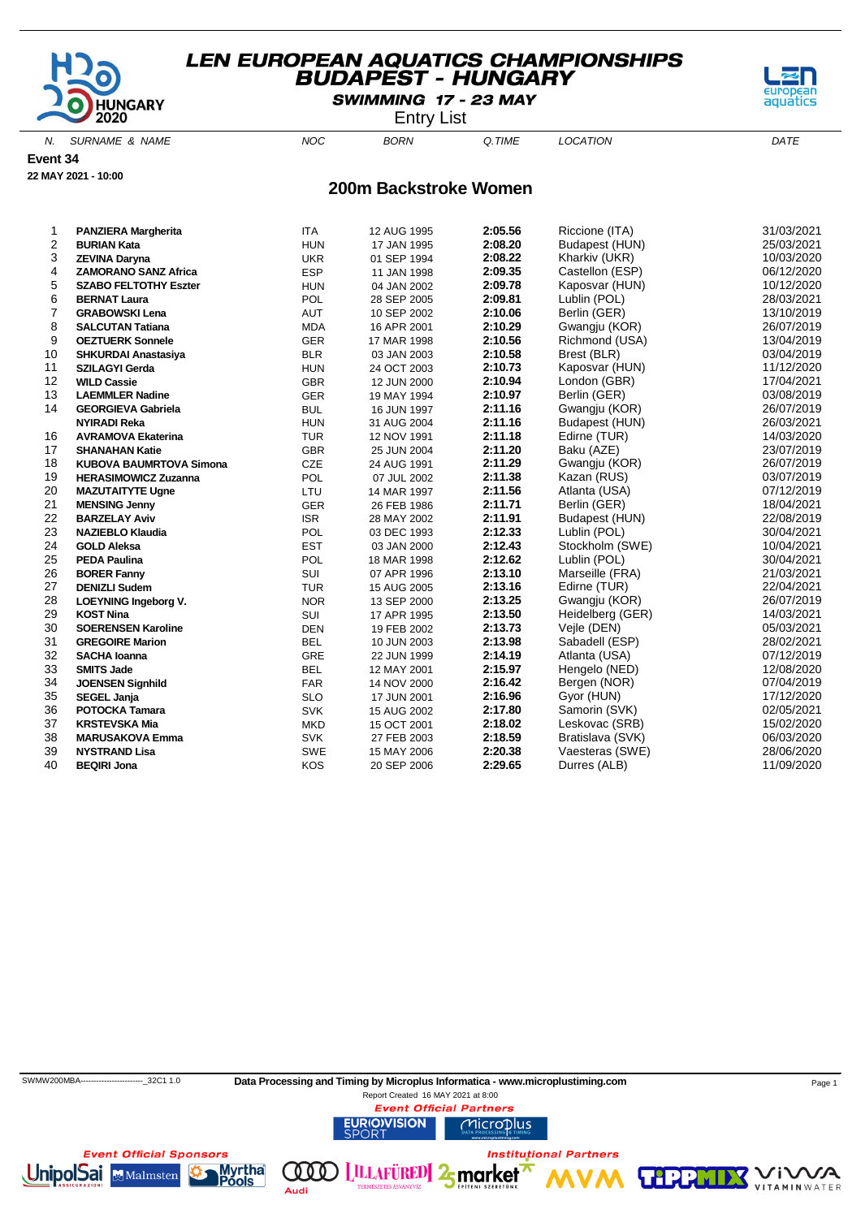

SWIMMING 17 - 23 MAY

Entry List

N. SURNAME & NAME  $NOC$  BORN Q.TIME LOCATION DATE

**Event 34**

**22 MAY 2021 - 10:00**

#### **200m Backstroke Women**

| 1  | <b>PANZIERA Margherita</b>     | <b>ITA</b> | 12 AUG 1995 | 2:05.56 | Riccione (ITA)   | 31/03/2021 |
|----|--------------------------------|------------|-------------|---------|------------------|------------|
| 2  | <b>BURIAN Kata</b>             | <b>HUN</b> | 17 JAN 1995 | 2:08.20 | Budapest (HUN)   | 25/03/2021 |
| 3  | ZEVINA Daryna                  | <b>UKR</b> | 01 SEP 1994 | 2:08.22 | Kharkiv (UKR)    | 10/03/2020 |
| 4  | <b>ZAMORANO SANZ Africa</b>    | <b>ESP</b> | 11 JAN 1998 | 2:09.35 | Castellon (ESP)  | 06/12/2020 |
| 5  | <b>SZABO FELTOTHY Eszter</b>   | <b>HUN</b> | 04 JAN 2002 | 2:09.78 | Kaposvar (HUN)   | 10/12/2020 |
| 6  | <b>BERNAT Laura</b>            | POL        | 28 SEP 2005 | 2:09.81 | Lublin (POL)     | 28/03/2021 |
| 7  | <b>GRABOWSKI Lena</b>          | AUT        | 10 SEP 2002 | 2:10.06 | Berlin (GER)     | 13/10/2019 |
| 8  | <b>SALCUTAN Tatiana</b>        | <b>MDA</b> | 16 APR 2001 | 2:10.29 | Gwangju (KOR)    | 26/07/2019 |
| 9  | <b>OEZTUERK Sonnele</b>        | <b>GER</b> | 17 MAR 1998 | 2:10.56 | Richmond (USA)   | 13/04/2019 |
| 10 | <b>SHKURDAI Anastasiya</b>     | <b>BLR</b> | 03 JAN 2003 | 2:10.58 | Brest (BLR)      | 03/04/2019 |
| 11 | <b>SZILAGYI Gerda</b>          | <b>HUN</b> | 24 OCT 2003 | 2:10.73 | Kaposvar (HUN)   | 11/12/2020 |
| 12 | <b>WILD Cassie</b>             | <b>GBR</b> | 12 JUN 2000 | 2:10.94 | London (GBR)     | 17/04/2021 |
| 13 | <b>LAEMMLER Nadine</b>         | GER        | 19 MAY 1994 | 2:10.97 | Berlin (GER)     | 03/08/2019 |
| 14 | <b>GEORGIEVA Gabriela</b>      | <b>BUL</b> | 16 JUN 1997 | 2:11.16 | Gwangju (KOR)    | 26/07/2019 |
|    | <b>NYIRADI Reka</b>            | <b>HUN</b> | 31 AUG 2004 | 2:11.16 | Budapest (HUN)   | 26/03/2021 |
| 16 | <b>AVRAMOVA Ekaterina</b>      | <b>TUR</b> | 12 NOV 1991 | 2:11.18 | Edirne (TUR)     | 14/03/2020 |
| 17 | <b>SHANAHAN Katie</b>          | <b>GBR</b> | 25 JUN 2004 | 2:11.20 | Baku (AZE)       | 23/07/2019 |
| 18 | <b>KUBOVA BAUMRTOVA Simona</b> | CZE        | 24 AUG 1991 | 2:11.29 | Gwangju (KOR)    | 26/07/2019 |
| 19 | <b>HERASIMOWICZ Zuzanna</b>    | POL        | 07 JUL 2002 | 2:11.38 | Kazan (RUS)      | 03/07/2019 |
| 20 | <b>MAZUTAITYTE Ugne</b>        | LTU        | 14 MAR 1997 | 2:11.56 | Atlanta (USA)    | 07/12/2019 |
| 21 | <b>MENSING Jenny</b>           | <b>GER</b> | 26 FEB 1986 | 2:11.71 | Berlin (GER)     | 18/04/2021 |
| 22 | <b>BARZELAY Aviv</b>           | <b>ISR</b> | 28 MAY 2002 | 2:11.91 | Budapest (HUN)   | 22/08/2019 |
| 23 | <b>NAZIEBLO Klaudia</b>        | POL        | 03 DEC 1993 | 2:12.33 | Lublin (POL)     | 30/04/2021 |
| 24 | <b>GOLD Aleksa</b>             | <b>EST</b> | 03 JAN 2000 | 2:12.43 | Stockholm (SWE)  | 10/04/2021 |
| 25 | <b>PEDA Paulina</b>            | <b>POL</b> | 18 MAR 1998 | 2:12.62 | Lublin (POL)     | 30/04/2021 |
| 26 | <b>BORER Fanny</b>             | SUI        | 07 APR 1996 | 2:13.10 | Marseille (FRA)  | 21/03/2021 |
| 27 | <b>DENIZLI Sudem</b>           | <b>TUR</b> | 15 AUG 2005 | 2:13.16 | Edirne (TUR)     | 22/04/2021 |
| 28 | <b>LOEYNING Ingeborg V.</b>    | <b>NOR</b> | 13 SEP 2000 | 2:13.25 | Gwangju (KOR)    | 26/07/2019 |
| 29 | <b>KOST Nina</b>               | SUI        | 17 APR 1995 | 2:13.50 | Heidelberg (GER) | 14/03/2021 |
| 30 | <b>SOERENSEN Karoline</b>      | <b>DEN</b> | 19 FEB 2002 | 2:13.73 | Vejle (DEN)      | 05/03/2021 |
| 31 | <b>GREGOIRE Marion</b>         | <b>BEL</b> | 10 JUN 2003 | 2:13.98 | Sabadell (ESP)   | 28/02/2021 |
| 32 | <b>SACHA Ioanna</b>            | <b>GRE</b> | 22 JUN 1999 | 2:14.19 | Atlanta (USA)    | 07/12/2019 |
| 33 | <b>SMITS Jade</b>              | <b>BEL</b> | 12 MAY 2001 | 2:15.97 | Hengelo (NED)    | 12/08/2020 |
| 34 | <b>JOENSEN Signhild</b>        | <b>FAR</b> | 14 NOV 2000 | 2:16.42 | Bergen (NOR)     | 07/04/2019 |
| 35 | <b>SEGEL Janja</b>             | <b>SLO</b> | 17 JUN 2001 | 2:16.96 | Gyor (HUN)       | 17/12/2020 |
| 36 | POTOCKA Tamara                 | <b>SVK</b> | 15 AUG 2002 | 2:17.80 | Samorin (SVK)    | 02/05/2021 |
| 37 | <b>KRSTEVSKA Mia</b>           | <b>MKD</b> | 15 OCT 2001 | 2:18.02 | Leskovac (SRB)   | 15/02/2020 |
| 38 | <b>MARUSAKOVA Emma</b>         | <b>SVK</b> | 27 FEB 2003 | 2:18.59 | Bratislava (SVK) | 06/03/2020 |
| 39 | <b>NYSTRAND Lisa</b>           | <b>SWE</b> | 15 MAY 2006 | 2:20.38 | Vaesteras (SWE)  | 28/06/2020 |
| 40 | <b>BEQIRI Jona</b>             | KOS        | 20 SEP 2006 | 2:29.65 | Durres (ALB)     | 11/09/2020 |

Audi



**VITAMIN** WATER

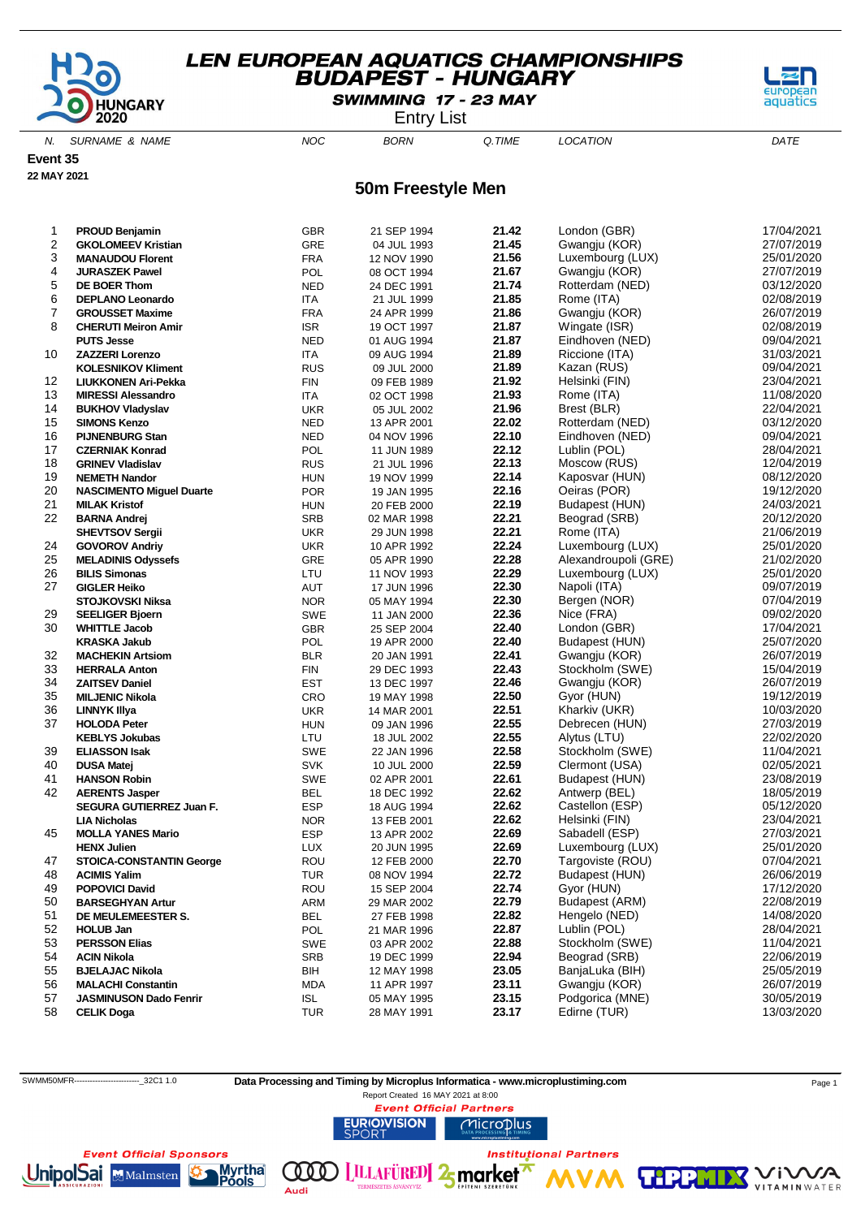

SWIMMING 17 - 23 MAY

Entry List

N. SURNAME & NAME  $NOC$  BORN Q.TIME LOCATION DATE

**Event 35**

**22 MAY 2021**

**50m Freestyle Men**

| 1  | <b>PROUD Benjamin</b>           | GBR        | 21 SEP 1994 | 21.42 | London (GBR)         | 17/04/2021 |
|----|---------------------------------|------------|-------------|-------|----------------------|------------|
| 2  | <b>GKOLOMEEV Kristian</b>       | <b>GRE</b> | 04 JUL 1993 | 21.45 | Gwangju (KOR)        | 27/07/2019 |
| 3  | <b>MANAUDOU Florent</b>         | <b>FRA</b> | 12 NOV 1990 | 21.56 | Luxembourg (LUX)     | 25/01/2020 |
| 4  | <b>JURASZEK Pawel</b>           | POL        | 08 OCT 1994 | 21.67 | Gwangju (KOR)        | 27/07/2019 |
| 5  | DE BOER Thom                    | <b>NED</b> | 24 DEC 1991 | 21.74 | Rotterdam (NED)      | 03/12/2020 |
| 6  | <b>DEPLANO Leonardo</b>         | ITA        | 21 JUL 1999 | 21.85 | Rome (ITA)           | 02/08/2019 |
| 7  | <b>GROUSSET Maxime</b>          | <b>FRA</b> | 24 APR 1999 | 21.86 | Gwangju (KOR)        | 26/07/2019 |
| 8  | <b>CHERUTI Meiron Amir</b>      | <b>ISR</b> | 19 OCT 1997 | 21.87 | Wingate (ISR)        | 02/08/2019 |
|    | <b>PUTS Jesse</b>               | <b>NED</b> | 01 AUG 1994 | 21.87 | Eindhoven (NED)      | 09/04/2021 |
| 10 | <b>ZAZZERI Lorenzo</b>          | ITA        | 09 AUG 1994 | 21.89 | Riccione (ITA)       | 31/03/2021 |
|    | <b>KOLESNIKOV Kliment</b>       | <b>RUS</b> | 09 JUL 2000 | 21.89 | Kazan (RUS)          | 09/04/2021 |
| 12 | <b>LIUKKONEN Ari-Pekka</b>      | <b>FIN</b> | 09 FEB 1989 | 21.92 | Helsinki (FIN)       | 23/04/2021 |
| 13 | <b>MIRESSI Alessandro</b>       | ITA        | 02 OCT 1998 | 21.93 | Rome (ITA)           | 11/08/2020 |
| 14 | <b>BUKHOV Vladyslav</b>         | <b>UKR</b> | 05 JUL 2002 | 21.96 | Brest (BLR)          | 22/04/2021 |
| 15 | <b>SIMONS Kenzo</b>             | <b>NED</b> | 13 APR 2001 | 22.02 | Rotterdam (NED)      | 03/12/2020 |
| 16 | <b>PIJNENBURG Stan</b>          | <b>NED</b> | 04 NOV 1996 | 22.10 | Eindhoven (NED)      | 09/04/2021 |
| 17 | <b>CZERNIAK Konrad</b>          | POL        | 11 JUN 1989 | 22.12 | Lublin (POL)         | 28/04/2021 |
| 18 | <b>GRINEV Vladislav</b>         | <b>RUS</b> | 21 JUL 1996 | 22.13 | Moscow (RUS)         | 12/04/2019 |
| 19 | <b>NEMETH Nandor</b>            | <b>HUN</b> | 19 NOV 1999 | 22.14 | Kaposvar (HUN)       | 08/12/2020 |
| 20 | <b>NASCIMENTO Miguel Duarte</b> | <b>POR</b> | 19 JAN 1995 | 22.16 | Oeiras (POR)         | 19/12/2020 |
| 21 | <b>MILAK Kristof</b>            | <b>HUN</b> | 20 FEB 2000 | 22.19 | Budapest (HUN)       | 24/03/2021 |
| 22 | <b>BARNA Andrej</b>             | <b>SRB</b> | 02 MAR 1998 | 22.21 | Beograd (SRB)        | 20/12/2020 |
|    | <b>SHEVTSOV Sergii</b>          | <b>UKR</b> | 29 JUN 1998 | 22.21 | Rome (ITA)           | 21/06/2019 |
| 24 | <b>GOVOROV Andriy</b>           | <b>UKR</b> | 10 APR 1992 | 22.24 | Luxembourg (LUX)     | 25/01/2020 |
| 25 | <b>MELADINIS Odyssefs</b>       | <b>GRE</b> | 05 APR 1990 | 22.28 | Alexandroupoli (GRE) | 21/02/2020 |
| 26 | <b>BILIS Simonas</b>            | LTU        | 11 NOV 1993 | 22.29 | Luxembourg (LUX)     | 25/01/2020 |
| 27 | <b>GIGLER Heiko</b>             | AUT        | 17 JUN 1996 | 22.30 | Napoli (ITA)         | 09/07/2019 |
|    | <b>STOJKOVSKI Niksa</b>         | <b>NOR</b> | 05 MAY 1994 | 22.30 | Bergen (NOR)         | 07/04/2019 |
| 29 | <b>SEELIGER Bjoern</b>          | SWE        | 11 JAN 2000 | 22.36 | Nice (FRA)           | 09/02/2020 |
| 30 | <b>WHITTLE Jacob</b>            | GBR        | 25 SEP 2004 | 22.40 | London (GBR)         | 17/04/2021 |
|    | <b>KRASKA Jakub</b>             | POL        | 19 APR 2000 | 22.40 | Budapest (HUN)       | 25/07/2020 |
| 32 | <b>MACHEKIN Artsiom</b>         | <b>BLR</b> | 20 JAN 1991 | 22.41 | Gwangju (KOR)        | 26/07/2019 |
| 33 | <b>HERRALA Anton</b>            | <b>FIN</b> | 29 DEC 1993 | 22.43 | Stockholm (SWE)      | 15/04/2019 |
| 34 | <b>ZAITSEV Daniel</b>           | <b>EST</b> | 13 DEC 1997 | 22.46 | Gwangju (KOR)        | 26/07/2019 |
| 35 | <b>MILJENIC Nikola</b>          | CRO        | 19 MAY 1998 | 22.50 | Gyor (HUN)           | 19/12/2019 |
| 36 | <b>LINNYK Illya</b>             | <b>UKR</b> | 14 MAR 2001 | 22.51 | Kharkiv (UKR)        | 10/03/2020 |
| 37 | <b>HOLODA Peter</b>             | <b>HUN</b> | 09 JAN 1996 | 22.55 | Debrecen (HUN)       | 27/03/2019 |
|    | <b>KEBLYS Jokubas</b>           | LTU        | 18 JUL 2002 | 22.55 | Alytus (LTU)         | 22/02/2020 |
| 39 | <b>ELIASSON Isak</b>            | <b>SWE</b> | 22 JAN 1996 | 22.58 | Stockholm (SWE)      | 11/04/2021 |
| 40 | <b>DUSA Matej</b>               | <b>SVK</b> | 10 JUL 2000 | 22.59 | Clermont (USA)       | 02/05/2021 |
| 41 | <b>HANSON Robin</b>             | <b>SWE</b> | 02 APR 2001 | 22.61 | Budapest (HUN)       | 23/08/2019 |
| 42 | <b>AERENTS Jasper</b>           | BEL        | 18 DEC 1992 | 22.62 | Antwerp (BEL)        | 18/05/2019 |
|    | SEGURA GUTIERREZ Juan F.        | <b>ESP</b> | 18 AUG 1994 | 22.62 | Castellon (ESP)      | 05/12/2020 |
|    | <b>LIA Nicholas</b>             | <b>NOR</b> | 13 FEB 2001 | 22.62 | Helsinki (FIN)       | 23/04/2021 |
| 45 | <b>MOLLA YANES Mario</b>        | <b>ESP</b> | 13 APR 2002 | 22.69 | Sabadell (ESP)       | 27/03/2021 |
|    | <b>HENX Julien</b>              | <b>LUX</b> | 20 JUN 1995 | 22.69 | Luxembourg (LUX)     | 25/01/2020 |
| 47 | <b>STOICA-CONSTANTIN George</b> | ROU        | 12 FEB 2000 | 22.70 | Targoviste (ROU)     | 07/04/2021 |
| 48 | <b>ACIMIS Yalim</b>             | TUR        | 08 NOV 1994 | 22.72 | Budapest (HUN)       | 26/06/2019 |
| 49 | <b>POPOVICI David</b>           | ROU        | 15 SEP 2004 | 22.74 | Gyor (HUN)           | 17/12/2020 |
| 50 | <b>BARSEGHYAN Artur</b>         | <b>ARM</b> | 29 MAR 2002 | 22.79 | Budapest (ARM)       | 22/08/2019 |
| 51 | DE MEULEMEESTER S.              | <b>BEL</b> | 27 FEB 1998 | 22.82 | Hengelo (NED)        | 14/08/2020 |
| 52 | <b>HOLUB Jan</b>                | POL        | 21 MAR 1996 | 22.87 | Lublin (POL)         | 28/04/2021 |
| 53 | <b>PERSSON Elias</b>            | SWE        | 03 APR 2002 | 22.88 | Stockholm (SWE)      | 11/04/2021 |
| 54 | <b>ACIN Nikola</b>              | SRB        | 19 DEC 1999 | 22.94 | Beograd (SRB)        | 22/06/2019 |
| 55 | <b>BJELAJAC Nikola</b>          | BIH        | 12 MAY 1998 | 23.05 | BanjaLuka (BIH)      | 25/05/2019 |
| 56 | <b>MALACHI Constantin</b>       | <b>MDA</b> | 11 APR 1997 | 23.11 | Gwangju (KOR)        | 26/07/2019 |
| 57 | <b>JASMINUSON Dado Fenrir</b>   | <b>ISL</b> | 05 MAY 1995 | 23.15 | Podgorica (MNE)      | 30/05/2019 |
| 58 | <b>CELIK Doga</b>               | TUR        | 28 MAY 1991 | 23.17 | Edirne (TUR)         | 13/03/2020 |
|    |                                 |            |             |       |                      |            |

**URIOVISION** 

(000)

Audi

Report Created 16 MAY 2021 at 8:00**Event Official Partners** 





SWMM50MFR----------------------------32C1 1.0 **Data Processing and Timing by Microplus Informatica - www.microplustiming.com** Page 1

**LILLAFÜRED** 2<sub>5</sub> market

Microplus

**Institutional Partners** 

**THPP** 

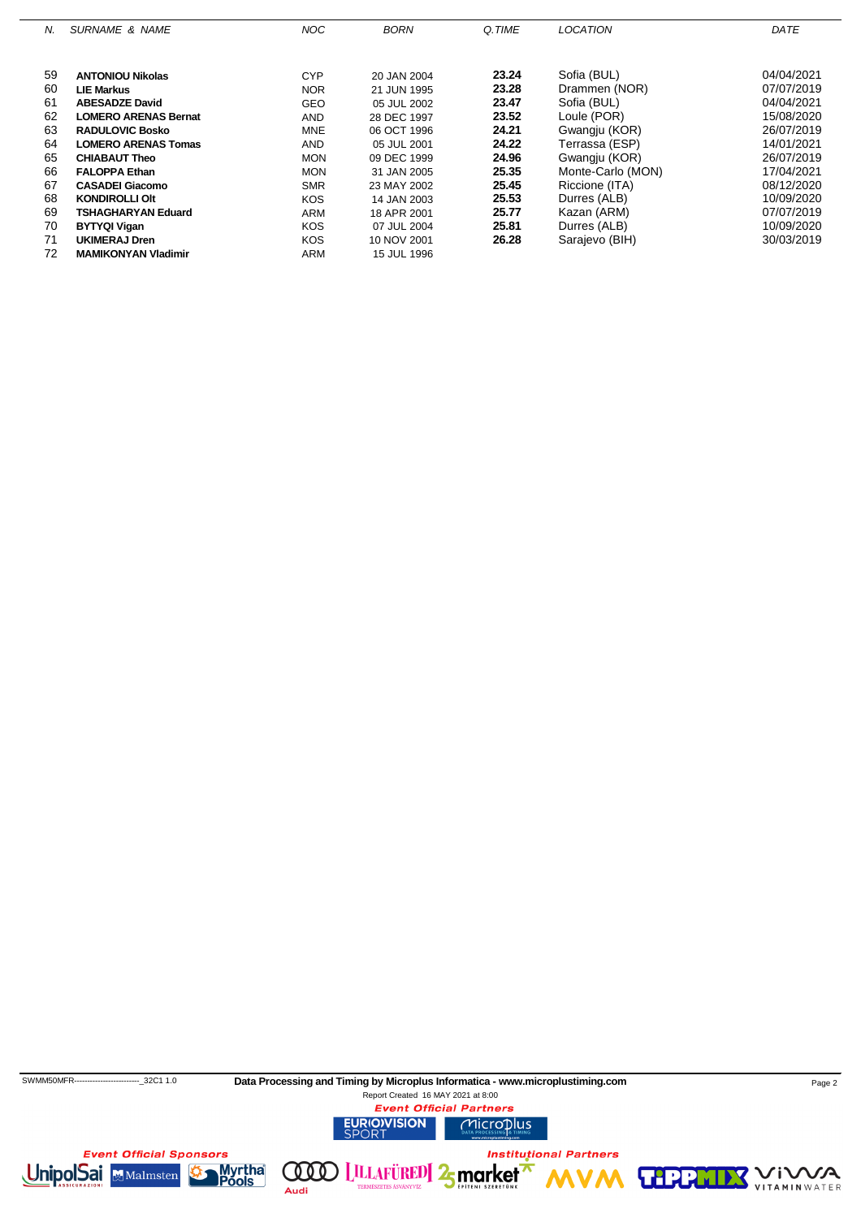| N. | <b>SURNAME &amp; NAME</b>   | <b>NOC</b> | <b>BORN</b> | Q.TIME | <b>LOCATION</b>   | DATE       |
|----|-----------------------------|------------|-------------|--------|-------------------|------------|
|    |                             |            |             |        |                   |            |
| 59 | <b>ANTONIOU Nikolas</b>     | <b>CYP</b> | 20 JAN 2004 | 23.24  | Sofia (BUL)       | 04/04/2021 |
| 60 | <b>LIE Markus</b>           | <b>NOR</b> | 21 JUN 1995 | 23.28  | Drammen (NOR)     | 07/07/2019 |
| 61 | <b>ABESADZE David</b>       | <b>GEO</b> | 05 JUL 2002 | 23.47  | Sofia (BUL)       | 04/04/2021 |
| 62 | <b>LOMERO ARENAS Bernat</b> | <b>AND</b> | 28 DEC 1997 | 23.52  | Loule (POR)       | 15/08/2020 |
| 63 | <b>RADULOVIC Bosko</b>      | <b>MNE</b> | 06 OCT 1996 | 24.21  | Gwangju (KOR)     | 26/07/2019 |
| 64 | <b>LOMERO ARENAS Tomas</b>  | <b>AND</b> | 05 JUL 2001 | 24.22  | Terrassa (ESP)    | 14/01/2021 |
| 65 | <b>CHIABAUT Theo</b>        | <b>MON</b> | 09 DEC 1999 | 24.96  | Gwangju (KOR)     | 26/07/2019 |
| 66 | <b>FALOPPA Ethan</b>        | <b>MON</b> | 31 JAN 2005 | 25.35  | Monte-Carlo (MON) | 17/04/2021 |
| 67 | <b>CASADEI Giacomo</b>      | <b>SMR</b> | 23 MAY 2002 | 25.45  | Riccione (ITA)    | 08/12/2020 |
| 68 | <b>KONDIROLLI OIt</b>       | <b>KOS</b> | 14 JAN 2003 | 25.53  | Durres (ALB)      | 10/09/2020 |
| 69 | <b>TSHAGHARYAN Eduard</b>   | <b>ARM</b> | 18 APR 2001 | 25.77  | Kazan (ARM)       | 07/07/2019 |
| 70 | <b>BYTYQI Vigan</b>         | <b>KOS</b> | 07 JUL 2004 | 25.81  | Durres (ALB)      | 10/09/2020 |
| 71 | <b>UKIMERAJ Dren</b>        | <b>KOS</b> | 10 NOV 2001 | 26.28  | Sarajevo (BIH)    | 30/03/2019 |
| 72 | <b>MAMIKONYAN Vladimir</b>  | ARM        | 15 JUL 1996 |        |                   |            |

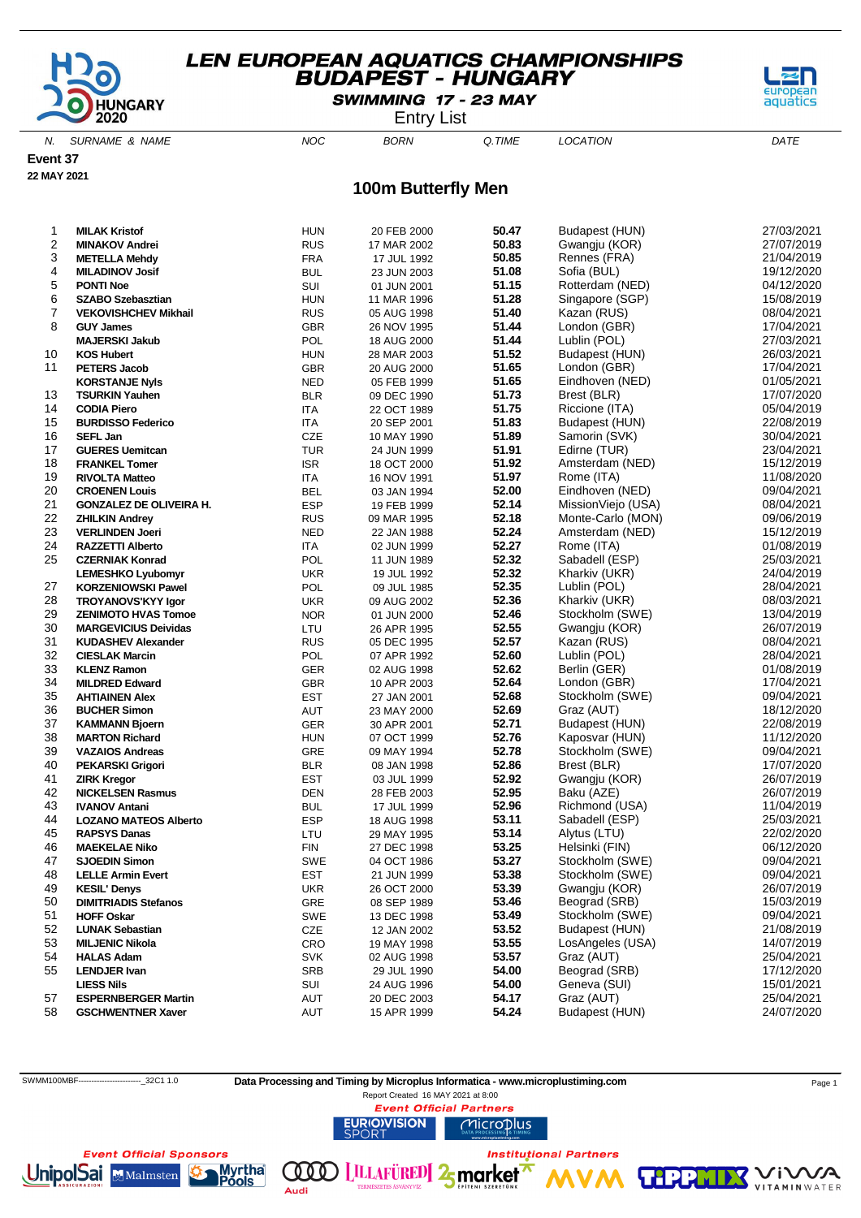

SWIMMING 17 - 23 MAY

Entry List

N. SURNAME & NAME  $NOC$  BORN Q.TIME LOCATION DATE

**Event 37**

**22 MAY 2021**

### **100m Butterfly Men**

| 1              | <b>MILAK Kristof</b>           | <b>HUN</b> |             | 50.47 | Budapest (HUN)     | 27/03/2021               |
|----------------|--------------------------------|------------|-------------|-------|--------------------|--------------------------|
| 2              |                                |            | 20 FEB 2000 | 50.83 |                    | 27/07/2019               |
|                | <b>MINAKOV Andrei</b>          | <b>RUS</b> | 17 MAR 2002 |       | Gwangju (KOR)      |                          |
| 3              | <b>METELLA Mehdy</b>           | <b>FRA</b> | 17 JUL 1992 | 50.85 | Rennes (FRA)       | 21/04/2019               |
| 4              | <b>MILADINOV Josif</b>         | <b>BUL</b> | 23 JUN 2003 | 51.08 | Sofia (BUL)        | 19/12/2020               |
| 5              | <b>PONTI Noe</b>               | SUI        | 01 JUN 2001 | 51.15 | Rotterdam (NED)    | 04/12/2020               |
| 6              | <b>SZABO Szebasztian</b>       | <b>HUN</b> | 11 MAR 1996 | 51.28 | Singapore (SGP)    | 15/08/2019               |
| $\overline{7}$ | <b>VEKOVISHCHEV Mikhail</b>    | <b>RUS</b> | 05 AUG 1998 | 51.40 | Kazan (RUS)        | 08/04/2021               |
| 8              | <b>GUY James</b>               | GBR        | 26 NOV 1995 | 51.44 | London (GBR)       | 17/04/2021               |
|                | <b>MAJERSKI Jakub</b>          | POL        | 18 AUG 2000 | 51.44 | Lublin (POL)       | 27/03/2021               |
| 10             | <b>KOS Hubert</b>              | <b>HUN</b> | 28 MAR 2003 | 51.52 | Budapest (HUN)     | 26/03/2021               |
| 11             | <b>PETERS Jacob</b>            | <b>GBR</b> | 20 AUG 2000 | 51.65 | London (GBR)       | 17/04/2021               |
|                | <b>KORSTANJE Nyls</b>          | <b>NED</b> | 05 FEB 1999 | 51.65 | Eindhoven (NED)    | 01/05/2021               |
| 13             | <b>TSURKIN Yauhen</b>          | <b>BLR</b> | 09 DEC 1990 | 51.73 | Brest (BLR)        | 17/07/2020               |
| 14             | <b>CODIA Piero</b>             | ITA        | 22 OCT 1989 | 51.75 | Riccione (ITA)     | 05/04/2019               |
| 15             | <b>BURDISSO Federico</b>       | <b>ITA</b> | 20 SEP 2001 | 51.83 | Budapest (HUN)     | 22/08/2019               |
| 16             | <b>SEFL Jan</b>                | CZE        | 10 MAY 1990 | 51.89 | Samorin (SVK)      | 30/04/2021               |
| 17             | <b>GUERES Uemitcan</b>         | <b>TUR</b> | 24 JUN 1999 | 51.91 | Edirne (TUR)       | 23/04/2021               |
| 18             | <b>FRANKEL Tomer</b>           | <b>ISR</b> | 18 OCT 2000 | 51.92 | Amsterdam (NED)    | 15/12/2019               |
| 19             | <b>RIVOLTA Matteo</b>          | <b>ITA</b> | 16 NOV 1991 | 51.97 | Rome (ITA)         | 11/08/2020               |
| 20             | <b>CROENEN Louis</b>           | <b>BEL</b> | 03 JAN 1994 | 52.00 | Eindhoven (NED)    | 09/04/2021               |
| 21             | <b>GONZALEZ DE OLIVEIRA H.</b> | <b>ESP</b> | 19 FEB 1999 | 52.14 | MissionViejo (USA) | 08/04/2021               |
| 22             |                                | <b>RUS</b> |             | 52.18 | Monte-Carlo (MON)  | 09/06/2019               |
| 23             | <b>ZHILKIN Andrey</b>          | <b>NED</b> | 09 MAR 1995 | 52.24 | Amsterdam (NED)    | 15/12/2019               |
|                | <b>VERLINDEN Joeri</b>         |            | 22 JAN 1988 | 52.27 |                    |                          |
| 24<br>25       | <b>RAZZETTI Alberto</b>        | ITA        | 02 JUN 1999 | 52.32 | Rome (ITA)         | 01/08/2019<br>25/03/2021 |
|                | <b>CZERNIAK Konrad</b>         | POL        | 11 JUN 1989 |       | Sabadell (ESP)     |                          |
|                | <b>LEMESHKO Lyubomyr</b>       | <b>UKR</b> | 19 JUL 1992 | 52.32 | Kharkiv (UKR)      | 24/04/2019               |
| 27             | <b>KORZENIOWSKI Pawel</b>      | <b>POL</b> | 09 JUL 1985 | 52.35 | Lublin (POL)       | 28/04/2021               |
| 28             | <b>TROYANOVS'KYY Igor</b>      | <b>UKR</b> | 09 AUG 2002 | 52.36 | Kharkiv (UKR)      | 08/03/2021               |
| 29             | <b>ZENIMOTO HVAS Tomoe</b>     | <b>NOR</b> | 01 JUN 2000 | 52.46 | Stockholm (SWE)    | 13/04/2019               |
| 30             | <b>MARGEVICIUS Deividas</b>    | LTU        | 26 APR 1995 | 52.55 | Gwangju (KOR)      | 26/07/2019               |
| 31             | <b>KUDASHEV Alexander</b>      | <b>RUS</b> | 05 DEC 1995 | 52.57 | Kazan (RUS)        | 08/04/2021               |
| 32             | <b>CIESLAK Marcin</b>          | <b>POL</b> | 07 APR 1992 | 52.60 | Lublin (POL)       | 28/04/2021               |
| 33             | <b>KLENZ Ramon</b>             | <b>GER</b> | 02 AUG 1998 | 52.62 | Berlin (GER)       | 01/08/2019               |
| 34             | <b>MILDRED Edward</b>          | <b>GBR</b> | 10 APR 2003 | 52.64 | London (GBR)       | 17/04/2021               |
| 35             | <b>AHTIAINEN Alex</b>          | <b>EST</b> | 27 JAN 2001 | 52.68 | Stockholm (SWE)    | 09/04/2021               |
| 36             | <b>BUCHER Simon</b>            | AUT        | 23 MAY 2000 | 52.69 | Graz (AUT)         | 18/12/2020               |
| 37             | <b>KAMMANN Bjoern</b>          | <b>GER</b> | 30 APR 2001 | 52.71 | Budapest (HUN)     | 22/08/2019               |
| 38             | <b>MARTON Richard</b>          | <b>HUN</b> | 07 OCT 1999 | 52.76 | Kaposvar (HUN)     | 11/12/2020               |
| 39             | <b>VAZAIOS Andreas</b>         | <b>GRE</b> | 09 MAY 1994 | 52.78 | Stockholm (SWE)    | 09/04/2021               |
| 40             | <b>PEKARSKI Grigori</b>        | <b>BLR</b> | 08 JAN 1998 | 52.86 | Brest (BLR)        | 17/07/2020               |
| 41             | <b>ZIRK Kregor</b>             | <b>EST</b> | 03 JUL 1999 | 52.92 | Gwangju (KOR)      | 26/07/2019               |
| 42             | <b>NICKELSEN Rasmus</b>        | <b>DEN</b> | 28 FEB 2003 | 52.95 | Baku (AZE)         | 26/07/2019               |
| 43             | <b>IVANOV Antani</b>           | <b>BUL</b> | 17 JUL 1999 | 52.96 | Richmond (USA)     | 11/04/2019               |
| 44             | <b>LOZANO MATEOS Alberto</b>   | <b>ESP</b> | 18 AUG 1998 | 53.11 | Sabadell (ESP)     | 25/03/2021               |
| 45             | <b>RAPSYS Danas</b>            | LTU        | 29 MAY 1995 | 53.14 | Alytus (LTU)       | 22/02/2020               |
| 46             | <b>MAEKELAE Niko</b>           | <b>FIN</b> | 27 DEC 1998 | 53.25 | Helsinki (FIN)     | 06/12/2020               |
| 47             | <b>SJOEDIN Simon</b>           | <b>SWE</b> | 04 OCT 1986 | 53.27 | Stockholm (SWE)    | 09/04/2021               |
| 48             | <b>LELLE Armin Evert</b>       | <b>EST</b> | 21 JUN 1999 | 53.38 | Stockholm (SWE)    | 09/04/2021               |
| 49             | <b>KESIL' Denys</b>            | <b>UKR</b> | 26 OCT 2000 | 53.39 | Gwangju (KOR)      | 26/07/2019               |
| 50             | <b>DIMITRIADIS Stefanos</b>    | GRE        | 08 SEP 1989 | 53.46 | Beograd (SRB)      | 15/03/2019               |
| 51             | <b>HOFF Oskar</b>              | SWE        | 13 DEC 1998 | 53.49 | Stockholm (SWE)    | 09/04/2021               |
| 52             | <b>LUNAK Sebastian</b>         | CZE        | 12 JAN 2002 | 53.52 | Budapest (HUN)     | 21/08/2019               |
| 53             |                                | CRO        |             | 53.55 | LosAngeles (USA)   | 14/07/2019               |
| 54             | <b>MILJENIC Nikola</b>         |            | 19 MAY 1998 | 53.57 | Graz (AUT)         | 25/04/2021               |
| 55             | <b>HALAS Adam</b>              | <b>SVK</b> | 02 AUG 1998 | 54.00 | Beograd (SRB)      |                          |
|                | <b>LENDJER Ivan</b>            | <b>SRB</b> | 29 JUL 1990 |       |                    | 17/12/2020               |
|                | <b>LIESS Nils</b>              | SUI        | 24 AUG 1996 | 54.00 | Geneva (SUI)       | 15/01/2021               |
| 57             | <b>ESPERNBERGER Martin</b>     | AUT        | 20 DEC 2003 | 54.17 | Graz (AUT)         | 25/04/2021               |
| 58             | <b>GSCHWENTNER Xaver</b>       | AUT        | 15 APR 1999 | 54.24 | Budapest (HUN)     | 24/07/2020               |
|                |                                |            |             |       |                    |                          |

 SWMM100MBF------------------------\_32C1 1.0 **Data Processing and Timing by Microplus Informatica - www.microplustiming.com** Page 1 Report Created 16 MAY 2021 at 8:00**Event Official Partners URIO)VISION** Microplus **Event Official Sponsors Institutional Partners UnipolSai Myrtha** (000) **LILLAFÜRED** 2<sub>5</sub> market Malmsten  $\mathcal{N}\mathcal{A}$ **TIPP** 'i V

ools

Audi



**VITAMIN** WATER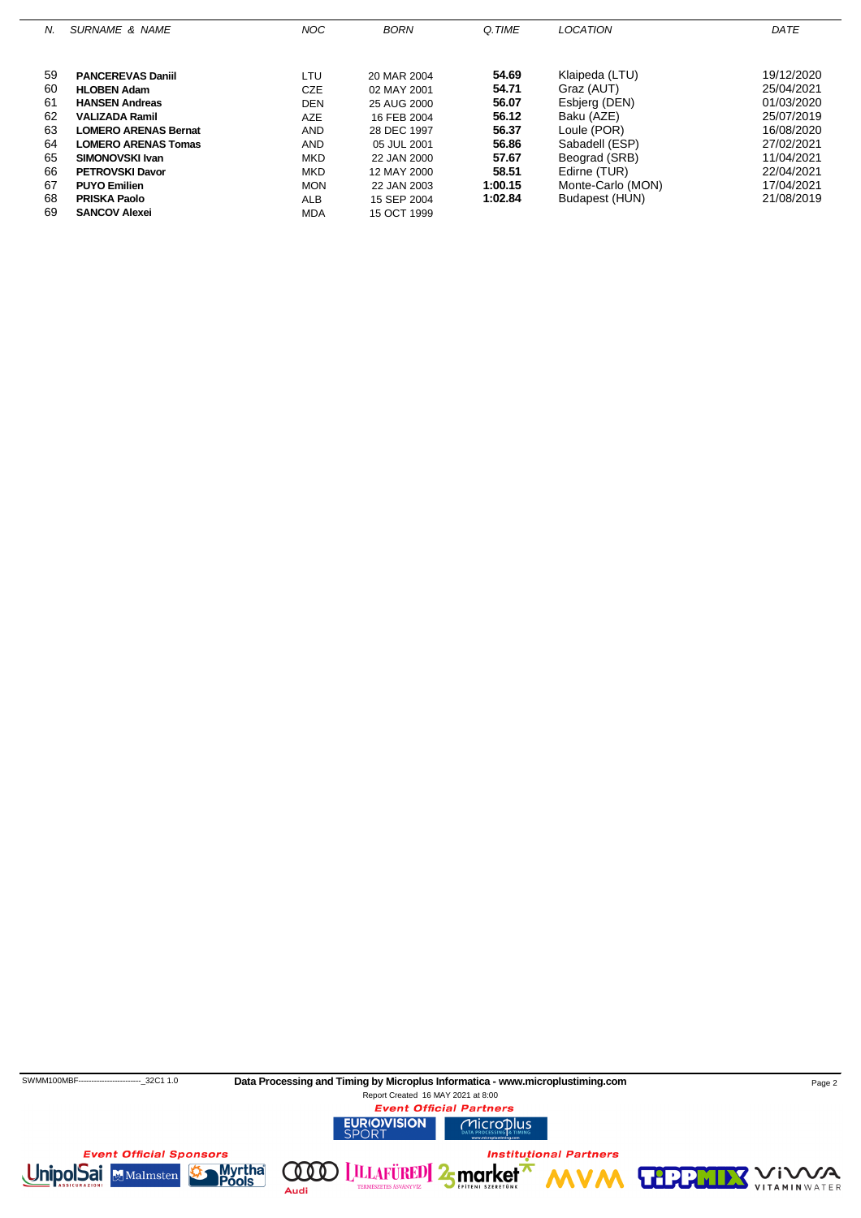| N. | <b>SURNAME &amp; NAME</b>   | <b>NOC</b> | <b>BORN</b> | Q.TIME  | <b>LOCATION</b>   | DATE       |
|----|-----------------------------|------------|-------------|---------|-------------------|------------|
|    |                             |            |             |         |                   |            |
| 59 | <b>PANCEREVAS Daniil</b>    | LTU        | 20 MAR 2004 | 54.69   | Klaipeda (LTU)    | 19/12/2020 |
| 60 | <b>HLOBEN Adam</b>          | <b>CZE</b> | 02 MAY 2001 | 54.71   | Graz (AUT)        | 25/04/2021 |
| 61 | <b>HANSEN Andreas</b>       | <b>DEN</b> | 25 AUG 2000 | 56.07   | Esbierg (DEN)     | 01/03/2020 |
|    |                             |            |             |         |                   |            |
| 62 | <b>VALIZADA Ramil</b>       | <b>AZE</b> | 16 FEB 2004 | 56.12   | Baku (AZE)        | 25/07/2019 |
| 63 | <b>LOMERO ARENAS Bernat</b> | AND        | 28 DEC 1997 | 56.37   | Loule (POR)       | 16/08/2020 |
| 64 | <b>LOMERO ARENAS Tomas</b>  | <b>AND</b> | 05 JUL 2001 | 56.86   | Sabadell (ESP)    | 27/02/2021 |
| 65 | SIMONOVSKI Ivan             | <b>MKD</b> | 22 JAN 2000 | 57.67   | Beograd (SRB)     | 11/04/2021 |
| 66 | <b>PETROVSKI Davor</b>      | <b>MKD</b> | 12 MAY 2000 | 58.51   | Edirne (TUR)      | 22/04/2021 |
| 67 | <b>PUYO Emilien</b>         | <b>MON</b> | 22 JAN 2003 | 1:00.15 | Monte-Carlo (MON) | 17/04/2021 |
| 68 | <b>PRISKA Paolo</b>         | <b>ALB</b> | 15 SEP 2004 | 1:02.84 | Budapest (HUN)    | 21/08/2019 |
| 69 | <b>SANCOV Alexei</b>        | <b>MDA</b> | 15 OCT 1999 |         |                   |            |

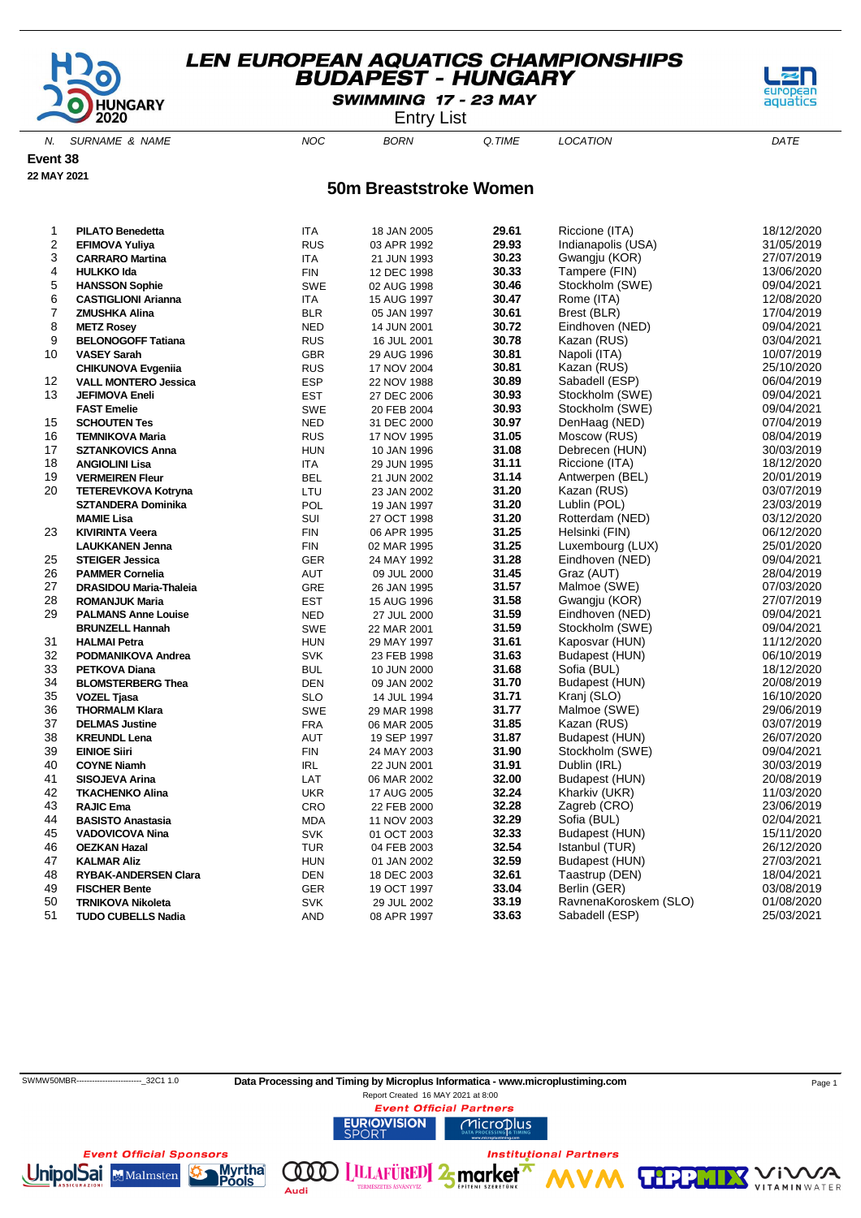

SWIMMING 17 - 23 MAY

Entry List

N. SURNAME & NAME  $NOC$  BORN Q.TIME LOCATION DATE

**Event 38**

**22 MAY 2021**

#### **50m Breaststroke Women**

| 1                       | <b>PILATO Benedetta</b>     | <b>ITA</b>  | 18 JAN 2005 | 29.61 | Riccione (ITA)        | 18/12/2020 |
|-------------------------|-----------------------------|-------------|-------------|-------|-----------------------|------------|
| $\overline{\mathbf{c}}$ | <b>EFIMOVA Yuliya</b>       | <b>RUS</b>  | 03 APR 1992 | 29.93 | Indianapolis (USA)    | 31/05/2019 |
| 3                       | <b>CARRARO Martina</b>      | <b>ITA</b>  | 21 JUN 1993 | 30.23 | Gwangju (KOR)         | 27/07/2019 |
| 4                       | <b>HULKKO Ida</b>           | ${\sf FIN}$ | 12 DEC 1998 | 30.33 | Tampere (FIN)         | 13/06/2020 |
| 5                       | <b>HANSSON Sophie</b>       | <b>SWE</b>  | 02 AUG 1998 | 30.46 | Stockholm (SWE)       | 09/04/2021 |
| 6                       | <b>CASTIGLIONI Arianna</b>  | <b>ITA</b>  | 15 AUG 1997 | 30.47 | Rome (ITA)            | 12/08/2020 |
| $\overline{7}$          | <b>ZMUSHKA Alina</b>        | <b>BLR</b>  | 05 JAN 1997 | 30.61 | Brest (BLR)           | 17/04/2019 |
| 8                       | <b>METZ Rosey</b>           | <b>NED</b>  | 14 JUN 2001 | 30.72 | Eindhoven (NED)       | 09/04/2021 |
| 9                       | <b>BELONOGOFF Tatiana</b>   | <b>RUS</b>  | 16 JUL 2001 | 30.78 | Kazan (RUS)           | 03/04/2021 |
| 10                      | <b>VASEY Sarah</b>          | <b>GBR</b>  | 29 AUG 1996 | 30.81 | Napoli (ITA)          | 10/07/2019 |
|                         | <b>CHIKUNOVA Evgenija</b>   | <b>RUS</b>  | 17 NOV 2004 | 30.81 | Kazan (RUS)           | 25/10/2020 |
| 12                      | <b>VALL MONTERO Jessica</b> | <b>ESP</b>  | 22 NOV 1988 | 30.89 | Sabadell (ESP)        | 06/04/2019 |
| 13                      | <b>JEFIMOVA Eneli</b>       | <b>EST</b>  | 27 DEC 2006 | 30.93 | Stockholm (SWE)       | 09/04/2021 |
|                         | <b>FAST Emelie</b>          | <b>SWE</b>  | 20 FEB 2004 | 30.93 | Stockholm (SWE)       | 09/04/2021 |
| 15                      | <b>SCHOUTEN Tes</b>         | <b>NED</b>  | 31 DEC 2000 | 30.97 | DenHaag (NED)         | 07/04/2019 |
| 16                      | <b>TEMNIKOVA Maria</b>      | <b>RUS</b>  | 17 NOV 1995 | 31.05 | Moscow (RUS)          | 08/04/2019 |
| 17                      | <b>SZTANKOVICS Anna</b>     | <b>HUN</b>  | 10 JAN 1996 | 31.08 | Debrecen (HUN)        | 30/03/2019 |
| 18                      | <b>ANGIOLINI Lisa</b>       | ITA         | 29 JUN 1995 | 31.11 | Riccione (ITA)        | 18/12/2020 |
| 19                      | <b>VERMEIREN Fleur</b>      | <b>BEL</b>  | 21 JUN 2002 | 31.14 | Antwerpen (BEL)       | 20/01/2019 |
| 20                      | <b>TETEREVKOVA Kotryna</b>  | LTU         | 23 JAN 2002 | 31.20 | Kazan (RUS)           | 03/07/2019 |
|                         | <b>SZTANDERA Dominika</b>   | POL         | 19 JAN 1997 | 31.20 | Lublin (POL)          | 23/03/2019 |
|                         | <b>MAMIE Lisa</b>           | SUI         | 27 OCT 1998 | 31.20 | Rotterdam (NED)       | 03/12/2020 |
| 23                      | <b>KIVIRINTA Veera</b>      | <b>FIN</b>  | 06 APR 1995 | 31.25 | Helsinki (FIN)        | 06/12/2020 |
|                         | <b>LAUKKANEN Jenna</b>      | <b>FIN</b>  | 02 MAR 1995 | 31.25 | Luxembourg (LUX)      | 25/01/2020 |
| 25                      | <b>STEIGER Jessica</b>      | <b>GER</b>  | 24 MAY 1992 | 31.28 | Eindhoven (NED)       | 09/04/2021 |
| 26                      | <b>PAMMER Cornelia</b>      | AUT         | 09 JUL 2000 | 31.45 | Graz (AUT)            | 28/04/2019 |
| 27                      | DRASIDOU Maria-Thaleia      | <b>GRE</b>  | 26 JAN 1995 | 31.57 | Malmoe (SWE)          | 07/03/2020 |
| 28                      | <b>ROMANJUK Maria</b>       | <b>EST</b>  | 15 AUG 1996 | 31.58 | Gwangju (KOR)         | 27/07/2019 |
| 29                      | <b>PALMANS Anne Louise</b>  | <b>NED</b>  | 27 JUL 2000 | 31.59 | Eindhoven (NED)       | 09/04/2021 |
|                         | <b>BRUNZELL Hannah</b>      | <b>SWE</b>  | 22 MAR 2001 | 31.59 | Stockholm (SWE)       | 09/04/2021 |
| 31                      | <b>HALMAI Petra</b>         | <b>HUN</b>  | 29 MAY 1997 | 31.61 | Kaposvar (HUN)        | 11/12/2020 |
| 32                      | PODMANIKOVA Andrea          | <b>SVK</b>  | 23 FEB 1998 | 31.63 | Budapest (HUN)        | 06/10/2019 |
| 33                      | <b>PETKOVA Diana</b>        | <b>BUL</b>  | 10 JUN 2000 | 31.68 | Sofia (BUL)           | 18/12/2020 |
| 34                      | <b>BLOMSTERBERG Thea</b>    | <b>DEN</b>  | 09 JAN 2002 | 31.70 | Budapest (HUN)        | 20/08/2019 |
| 35                      | <b>VOZEL Tjasa</b>          | <b>SLO</b>  | 14 JUL 1994 | 31.71 | Kranj (SLO)           | 16/10/2020 |
| 36                      | <b>THORMALM Klara</b>       | <b>SWE</b>  | 29 MAR 1998 | 31.77 | Malmoe (SWE)          | 29/06/2019 |
| 37                      | <b>DELMAS Justine</b>       | <b>FRA</b>  | 06 MAR 2005 | 31.85 | Kazan (RUS)           | 03/07/2019 |
| 38                      | <b>KREUNDL Lena</b>         | <b>AUT</b>  | 19 SEP 1997 | 31.87 | Budapest (HUN)        | 26/07/2020 |
| 39                      | <b>EINIOE Siiri</b>         | <b>FIN</b>  | 24 MAY 2003 | 31.90 | Stockholm (SWE)       | 09/04/2021 |
| 40                      | <b>COYNE Niamh</b>          | IRL         | 22 JUN 2001 | 31.91 | Dublin (IRL)          | 30/03/2019 |
| 41                      | SISOJEVA Arina              | LAT         | 06 MAR 2002 | 32.00 | Budapest (HUN)        | 20/08/2019 |
| 42                      | <b>TKACHENKO Alina</b>      | <b>UKR</b>  | 17 AUG 2005 | 32.24 | Kharkiv (UKR)         | 11/03/2020 |
| 43                      | <b>RAJIC Ema</b>            | CRO         | 22 FEB 2000 | 32.28 | Zagreb (CRO)          | 23/06/2019 |
| 44                      | <b>BASISTO Anastasia</b>    | <b>MDA</b>  | 11 NOV 2003 | 32.29 | Sofia (BUL)           | 02/04/2021 |
| 45                      | <b>VADOVICOVA Nina</b>      | <b>SVK</b>  | 01 OCT 2003 | 32.33 | Budapest (HUN)        | 15/11/2020 |
| 46                      | <b>OEZKAN Hazal</b>         | <b>TUR</b>  | 04 FEB 2003 | 32.54 | Istanbul (TUR)        | 26/12/2020 |
| 47                      | <b>KALMAR Aliz</b>          | <b>HUN</b>  | 01 JAN 2002 | 32.59 | Budapest (HUN)        | 27/03/2021 |
| 48                      | <b>RYBAK-ANDERSEN Clara</b> | <b>DEN</b>  | 18 DEC 2003 | 32.61 | Taastrup (DEN)        | 18/04/2021 |
| 49                      | <b>FISCHER Bente</b>        | <b>GER</b>  | 19 OCT 1997 | 33.04 | Berlin (GER)          | 03/08/2019 |
| 50                      | <b>TRNIKOVA Nikoleta</b>    | <b>SVK</b>  | 29 JUL 2002 | 33.19 | RavnenaKoroskem (SLO) | 01/08/2020 |
| 51                      | <b>TUDO CUBELLS Nadia</b>   | <b>AND</b>  |             | 33.63 | Sabadell (ESP)        | 25/03/2021 |
|                         |                             |             | 08 APR 1997 |       |                       |            |

**Institutional Partners** 

**TIP** 

| SWMW50MBR------------------------- 32C1 1.0 | Data Processing and Timing by Microplus Informatica - www.microplustiming.com | Page 1 |
|---------------------------------------------|-------------------------------------------------------------------------------|--------|
|                                             | Report Created 16 MAY 2021 at 8:00                                            |        |
|                                             | <b>Event Official Partners</b>                                                |        |
|                                             | <b>EURIO)VISION</b><br><b>MICroplus</b><br><b>SPORT</b>                       |        |

 $000)$ 

Audi

**LILLAFÜRED** 2<sub>5</sub> market



VA

'i V

**VITAMIN** WATER

aguat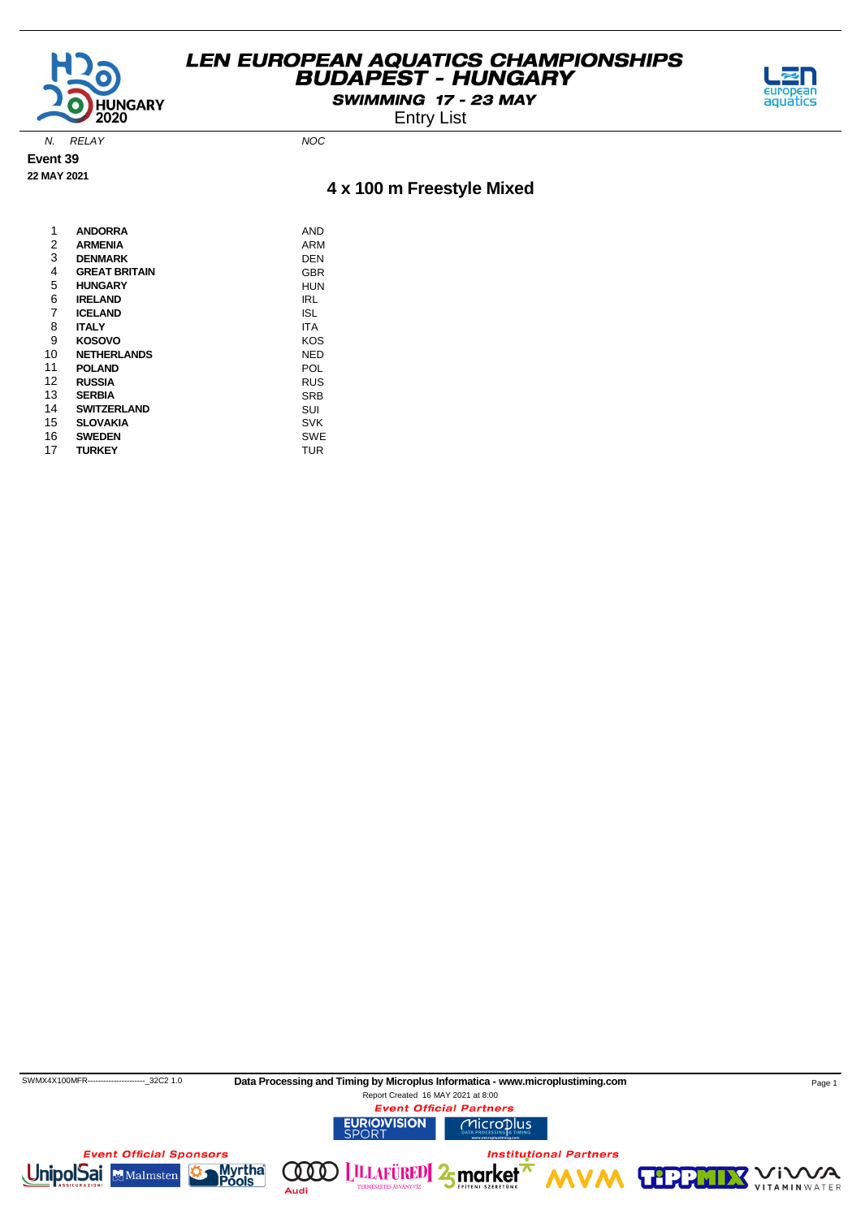

SWIMMING 17 - 23 MAY





N. RELAY NOC

**Event 39**

### **22 MAY 2021**

### **4 x 100 m Freestyle Mixed**

| 1  | <b>ANDORRA</b>       | AND        |
|----|----------------------|------------|
| 2  | <b>ARMENIA</b>       | ARM        |
| 3  | <b>DENMARK</b>       | DEN        |
| 4  | <b>GREAT BRITAIN</b> | GBR        |
| 5  | <b>HUNGARY</b>       | HUN        |
| 6  | <b>IRELAND</b>       | IRL        |
| 7  | <b>ICELAND</b>       | ISL        |
| 8  | <b>ITALY</b>         | ITA        |
| 9  | <b>KOSOVO</b>        | KOS        |
| 10 | <b>NETHERLANDS</b>   | NED        |
| 11 | <b>POLAND</b>        | POL        |
| 12 | <b>RUSSIA</b>        | RUS        |
| 13 | <b>SERBIA</b>        | SRB        |
| 14 | <b>SWITZERLAND</b>   | SUI        |
| 15 | <b>SLOVAKIA</b>      | SVK        |
| 16 | <b>SWEDEN</b>        | <b>SWE</b> |
| 17 | <b>TURKEY</b>        | TUR        |
|    |                      |            |

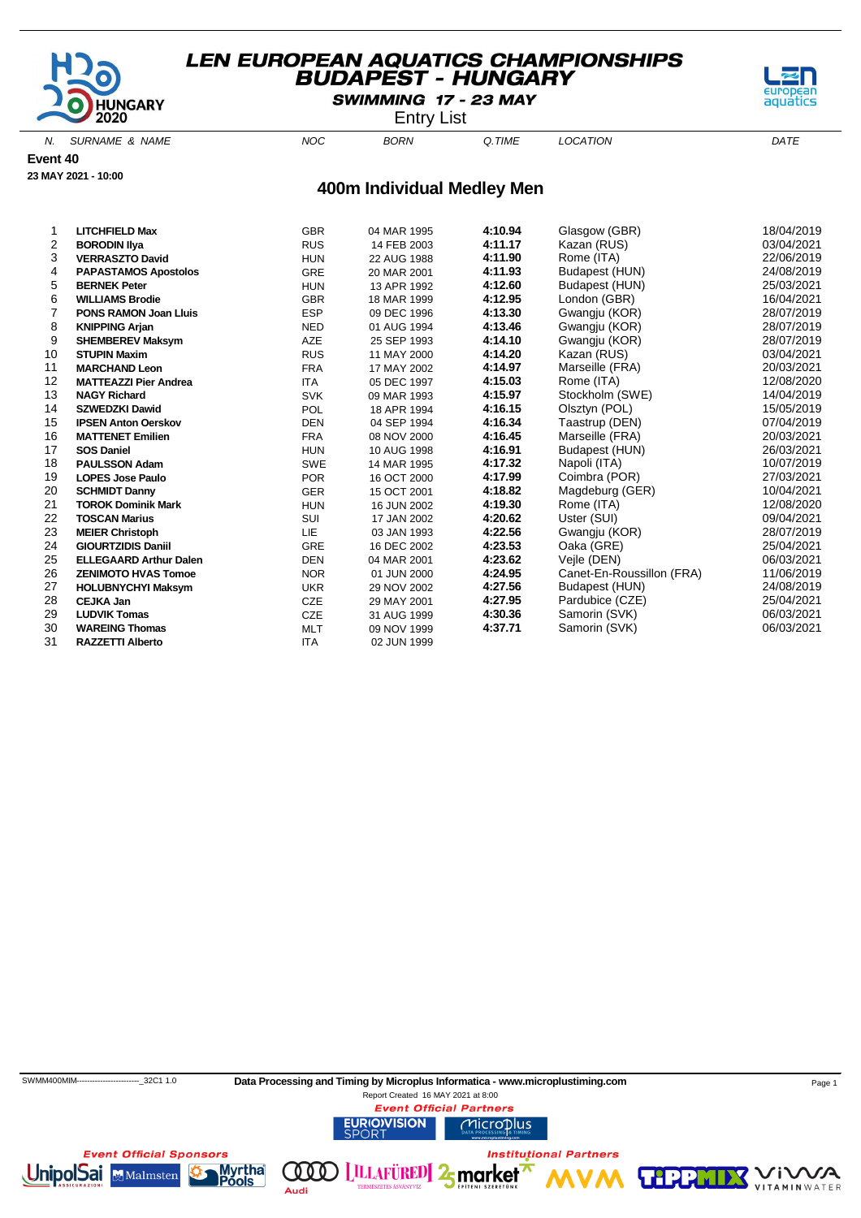

SWIMMING 17 - 23 MAY

Entry List

N. SURNAME & NAME  $NOC$  BORN Q.TIME LOCATION DATE

**Event 40**

**23 MAY 2021 - 10:00**

#### **400m Individual Medley Men**

| 1  | <b>LITCHFIELD Max</b>         | <b>GBR</b> | 04 MAR 1995 | 4:10.94 | Glasgow (GBR)             | 18/04/2019 |
|----|-------------------------------|------------|-------------|---------|---------------------------|------------|
| 2  | <b>BORODIN IIva</b>           | <b>RUS</b> | 14 FEB 2003 | 4:11.17 | Kazan (RUS)               | 03/04/2021 |
| 3  | <b>VERRASZTO David</b>        | <b>HUN</b> | 22 AUG 1988 | 4:11.90 | Rome (ITA)                | 22/06/2019 |
| 4  | <b>PAPASTAMOS Apostolos</b>   | <b>GRE</b> | 20 MAR 2001 | 4:11.93 | Budapest (HUN)            | 24/08/2019 |
| 5  | <b>BERNEK Peter</b>           | <b>HUN</b> | 13 APR 1992 | 4:12.60 | Budapest (HUN)            | 25/03/2021 |
| 6  | <b>WILLIAMS Brodie</b>        | <b>GBR</b> | 18 MAR 1999 | 4:12.95 | London (GBR)              | 16/04/2021 |
| 7  | <b>PONS RAMON Joan Lluis</b>  | <b>ESP</b> | 09 DEC 1996 | 4:13.30 | Gwangju (KOR)             | 28/07/2019 |
| 8  | <b>KNIPPING Arjan</b>         | <b>NED</b> | 01 AUG 1994 | 4:13.46 | Gwangju (KOR)             | 28/07/2019 |
| 9  | <b>SHEMBEREV Maksym</b>       | <b>AZE</b> | 25 SEP 1993 | 4:14.10 | Gwangju (KOR)             | 28/07/2019 |
| 10 | <b>STUPIN Maxim</b>           | <b>RUS</b> | 11 MAY 2000 | 4:14.20 | Kazan (RUS)               | 03/04/2021 |
| 11 | <b>MARCHAND Leon</b>          | <b>FRA</b> | 17 MAY 2002 | 4:14.97 | Marseille (FRA)           | 20/03/2021 |
| 12 | <b>MATTEAZZI Pier Andrea</b>  | <b>ITA</b> | 05 DEC 1997 | 4:15.03 | Rome (ITA)                | 12/08/2020 |
| 13 | <b>NAGY Richard</b>           | <b>SVK</b> | 09 MAR 1993 | 4:15.97 | Stockholm (SWE)           | 14/04/2019 |
| 14 | <b>SZWEDZKI Dawid</b>         | <b>POL</b> | 18 APR 1994 | 4:16.15 | Olsztyn (POL)             | 15/05/2019 |
| 15 | <b>IPSEN Anton Oerskov</b>    | <b>DEN</b> | 04 SEP 1994 | 4:16.34 | Taastrup (DEN)            | 07/04/2019 |
| 16 | <b>MATTENET Emilien</b>       | <b>FRA</b> | 08 NOV 2000 | 4:16.45 | Marseille (FRA)           | 20/03/2021 |
| 17 | <b>SOS Daniel</b>             | <b>HUN</b> | 10 AUG 1998 | 4:16.91 | Budapest (HUN)            | 26/03/2021 |
| 18 | <b>PAULSSON Adam</b>          | <b>SWE</b> | 14 MAR 1995 | 4:17.32 | Napoli (ITA)              | 10/07/2019 |
| 19 | <b>LOPES Jose Paulo</b>       | <b>POR</b> | 16 OCT 2000 | 4:17.99 | Coimbra (POR)             | 27/03/2021 |
| 20 | <b>SCHMIDT Danny</b>          | <b>GER</b> | 15 OCT 2001 | 4:18.82 | Magdeburg (GER)           | 10/04/2021 |
| 21 | <b>TOROK Dominik Mark</b>     | <b>HUN</b> | 16 JUN 2002 | 4:19.30 | Rome (ITA)                | 12/08/2020 |
| 22 | <b>TOSCAN Marius</b>          | SUI        | 17 JAN 2002 | 4:20.62 | Uster (SUI)               | 09/04/2021 |
| 23 | <b>MEIER Christoph</b>        | LIE        | 03 JAN 1993 | 4:22.56 | Gwangju (KOR)             | 28/07/2019 |
| 24 | <b>GIOURTZIDIS Daniil</b>     | <b>GRE</b> | 16 DEC 2002 | 4:23.53 | Oaka (GRE)                | 25/04/2021 |
| 25 | <b>ELLEGAARD Arthur Dalen</b> | <b>DEN</b> | 04 MAR 2001 | 4:23.62 | Vejle (DEN)               | 06/03/2021 |
| 26 | <b>ZENIMOTO HVAS Tomoe</b>    | <b>NOR</b> | 01 JUN 2000 | 4:24.95 | Canet-En-Roussillon (FRA) | 11/06/2019 |
| 27 | <b>HOLUBNYCHYI Maksym</b>     | <b>UKR</b> | 29 NOV 2002 | 4:27.56 | Budapest (HUN)            | 24/08/2019 |
| 28 | <b>CEJKA Jan</b>              | <b>CZE</b> | 29 MAY 2001 | 4:27.95 | Pardubice (CZE)           | 25/04/2021 |
| 29 | <b>LUDVIK Tomas</b>           | <b>CZE</b> | 31 AUG 1999 | 4:30.36 | Samorin (SVK)             | 06/03/2021 |
| 30 | <b>WAREING Thomas</b>         | <b>MLT</b> | 09 NOV 1999 | 4:37.71 | Samorin (SVK)             | 06/03/2021 |
| 31 | <b>RAZZETTI Alberto</b>       | <b>ITA</b> | 02 JUN 1999 |         |                           |            |



SWMM400MIM----------------------------32C1 1.0 Data Processing and Timing by Microplus Informatica - www.microplustiming.com Page 1

(000)

Audi



Report Created 16 MAY 2021 at 8:00**Event Official Partners URIO)VISION** Microplus

**LILLAFÜRED** 2<sub>5</sub> market

**Institutional Partners** 





**TIPP** 

aquati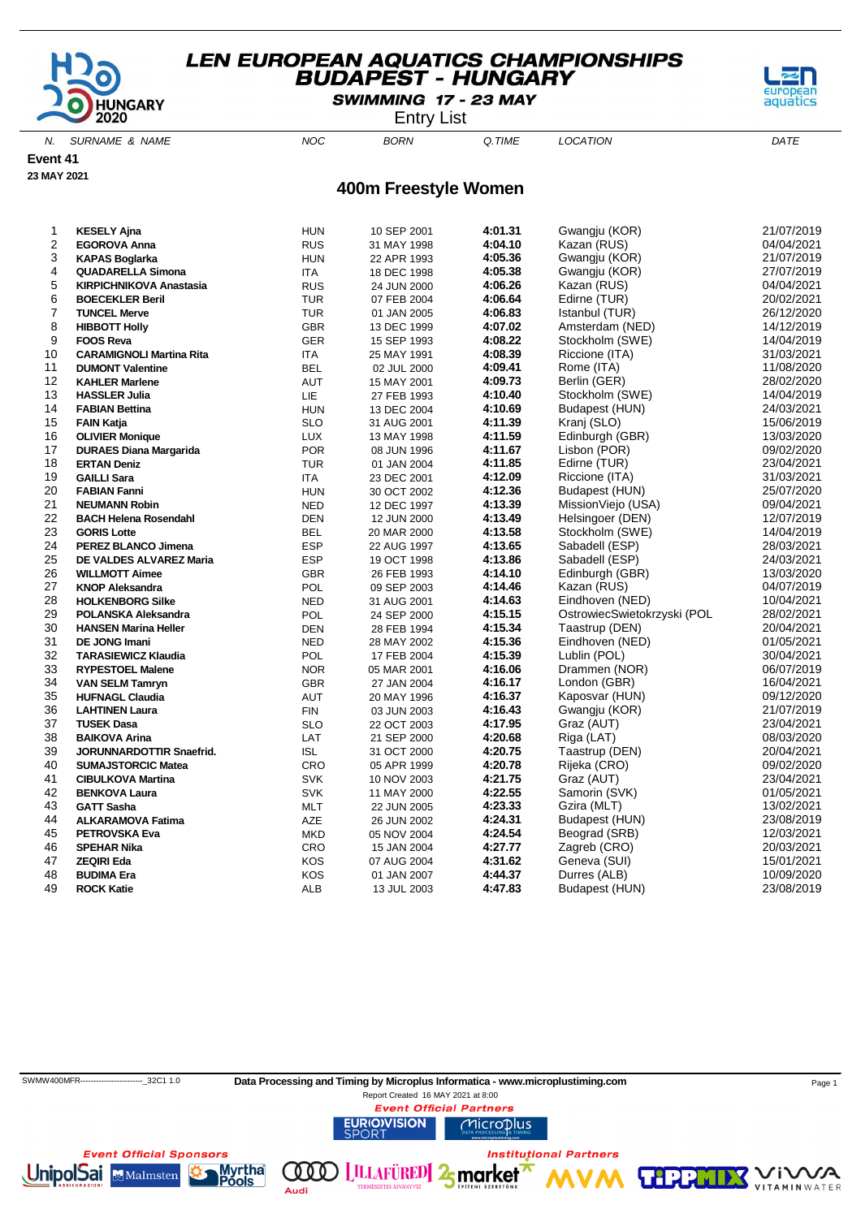

SWIMMING 17 - 23 MAY

Entry List

N. SURNAME & NAME  $NOC$  BORN Q.TIME LOCATION DATE

**Event 41**

**23 MAY 2021**

### **400m Freestyle Women**

| 1              | <b>KESELY Ajna</b>              | <b>HUN</b> | 10 SEP 2001 | 4:01.31 | Gwangju (KOR)               | 21/07/2019 |
|----------------|---------------------------------|------------|-------------|---------|-----------------------------|------------|
| $\overline{c}$ | EGOROVA Anna                    | <b>RUS</b> | 31 MAY 1998 | 4:04.10 | Kazan (RUS)                 | 04/04/2021 |
| 3              | <b>KAPAS Boglarka</b>           | <b>HUN</b> | 22 APR 1993 | 4:05.36 | Gwangju (KOR)               | 21/07/2019 |
| 4              | <b>QUADARELLA Simona</b>        | ITA        | 18 DEC 1998 | 4:05.38 | Gwangju (KOR)               | 27/07/2019 |
| 5              | <b>KIRPICHNIKOVA Anastasia</b>  | <b>RUS</b> | 24 JUN 2000 | 4:06.26 | Kazan (RUS)                 | 04/04/2021 |
| 6              | <b>BOECEKLER Beril</b>          | <b>TUR</b> | 07 FEB 2004 | 4:06.64 | Edirne (TUR)                | 20/02/2021 |
| $\overline{7}$ | <b>TUNCEL Merve</b>             | <b>TUR</b> | 01 JAN 2005 | 4:06.83 | Istanbul (TUR)              | 26/12/2020 |
| 8              | <b>HIBBOTT Holly</b>            | <b>GBR</b> | 13 DEC 1999 | 4:07.02 | Amsterdam (NED)             | 14/12/2019 |
| 9              | <b>FOOS Reva</b>                | <b>GER</b> | 15 SEP 1993 | 4:08.22 | Stockholm (SWE)             | 14/04/2019 |
| 10             | <b>CARAMIGNOLI Martina Rita</b> | ITA        | 25 MAY 1991 | 4:08.39 | Riccione (ITA)              | 31/03/2021 |
| 11             | <b>DUMONT Valentine</b>         | <b>BEL</b> | 02 JUL 2000 | 4:09.41 | Rome (ITA)                  | 11/08/2020 |
| 12             | <b>KAHLER Marlene</b>           | AUT        | 15 MAY 2001 | 4:09.73 | Berlin (GER)                | 28/02/2020 |
| 13             | <b>HASSLER Julia</b>            | LIE        | 27 FEB 1993 | 4:10.40 | Stockholm (SWE)             | 14/04/2019 |
| 14             | <b>FABIAN Bettina</b>           | <b>HUN</b> | 13 DEC 2004 | 4:10.69 | Budapest (HUN)              | 24/03/2021 |
| 15             | <b>FAIN Katja</b>               | <b>SLO</b> | 31 AUG 2001 | 4:11.39 | Kranj (SLO)                 | 15/06/2019 |
| 16             | <b>OLIVIER Monique</b>          | <b>LUX</b> | 13 MAY 1998 | 4:11.59 | Edinburgh (GBR)             | 13/03/2020 |
| 17             | <b>DURAES Diana Margarida</b>   | <b>POR</b> | 08 JUN 1996 | 4:11.67 | Lisbon (POR)                | 09/02/2020 |
| 18             | <b>ERTAN Deniz</b>              | <b>TUR</b> | 01 JAN 2004 | 4:11.85 | Edirne (TUR)                | 23/04/2021 |
| 19             | <b>GAILLI Sara</b>              | ITA        | 23 DEC 2001 | 4:12.09 | Riccione (ITA)              | 31/03/2021 |
| 20             | <b>FABIAN Fanni</b>             | <b>HUN</b> | 30 OCT 2002 | 4:12.36 | Budapest (HUN)              | 25/07/2020 |
| 21             | <b>NEUMANN Robin</b>            | <b>NED</b> | 12 DEC 1997 | 4:13.39 | MissionViejo (USA)          | 09/04/2021 |
| 22             | <b>BACH Helena Rosendahl</b>    | <b>DEN</b> | 12 JUN 2000 | 4:13.49 | Helsingoer (DEN)            | 12/07/2019 |
| 23             | <b>GORIS Lotte</b>              | <b>BEL</b> | 20 MAR 2000 | 4:13.58 | Stockholm (SWE)             | 14/04/2019 |
| 24             | PEREZ BLANCO Jimena             | <b>ESP</b> | 22 AUG 1997 | 4:13.65 | Sabadell (ESP)              | 28/03/2021 |
| 25             | DE VALDES ALVAREZ Maria         | <b>ESP</b> | 19 OCT 1998 | 4:13.86 | Sabadell (ESP)              | 24/03/2021 |
| 26             | <b>WILLMOTT Aimee</b>           | <b>GBR</b> | 26 FEB 1993 | 4:14.10 | Edinburgh (GBR)             | 13/03/2020 |
| 27             | <b>KNOP Aleksandra</b>          | POL        | 09 SEP 2003 | 4:14.46 | Kazan (RUS)                 | 04/07/2019 |
| 28             | <b>HOLKENBORG Silke</b>         | <b>NED</b> | 31 AUG 2001 | 4:14.63 | Eindhoven (NED)             | 10/04/2021 |
| 29             | POLANSKA Aleksandra             | POL        | 24 SEP 2000 | 4:15.15 | OstrowiecSwietokrzyski (POL | 28/02/2021 |
| 30             | <b>HANSEN Marina Heller</b>     | <b>DEN</b> | 28 FEB 1994 | 4:15.34 | Taastrup (DEN)              | 20/04/2021 |
| 31             | DE JONG Imani                   | <b>NED</b> | 28 MAY 2002 | 4:15.36 | Eindhoven (NED)             | 01/05/2021 |
| 32             | <b>TARASIEWICZ Klaudia</b>      | POL        | 17 FEB 2004 | 4:15.39 | Lublin (POL)                | 30/04/2021 |
| 33             | <b>RYPESTOEL Malene</b>         | <b>NOR</b> | 05 MAR 2001 | 4:16.06 | Drammen (NOR)               | 06/07/2019 |
| 34             | <b>VAN SELM Tamryn</b>          | <b>GBR</b> | 27 JAN 2004 | 4:16.17 | London (GBR)                | 16/04/2021 |
| 35             | <b>HUFNAGL Claudia</b>          | AUT        | 20 MAY 1996 | 4:16.37 | Kaposvar (HUN)              | 09/12/2020 |
| 36             | <b>LAHTINEN Laura</b>           | <b>FIN</b> | 03 JUN 2003 | 4:16.43 | Gwangju (KOR)               | 21/07/2019 |
| 37             | <b>TUSEK Dasa</b>               | <b>SLO</b> | 22 OCT 2003 | 4:17.95 | Graz (AUT)                  | 23/04/2021 |
| 38             | <b>BAIKOVA Arina</b>            | LAT        | 21 SEP 2000 | 4:20.68 | Riga (LAT)                  | 08/03/2020 |
| 39             | JORUNNARDOTTIR Snaefrid.        | <b>ISL</b> | 31 OCT 2000 | 4:20.75 | Taastrup (DEN)              | 20/04/2021 |
| 40             | <b>SUMAJSTORCIC Matea</b>       | CRO        | 05 APR 1999 | 4:20.78 | Rijeka (CRO)                | 09/02/2020 |
| 41             | <b>CIBULKOVA Martina</b>        | <b>SVK</b> | 10 NOV 2003 | 4:21.75 | Graz (AUT)                  | 23/04/2021 |
| 42             | <b>BENKOVA Laura</b>            | <b>SVK</b> | 11 MAY 2000 | 4:22.55 | Samorin (SVK)               | 01/05/2021 |
| 43             | <b>GATT Sasha</b>               | <b>MLT</b> | 22 JUN 2005 | 4:23.33 | Gzira (MLT)                 | 13/02/2021 |
| 44             | <b>ALKARAMOVA Fatima</b>        | AZE        | 26 JUN 2002 | 4:24.31 | Budapest (HUN)              | 23/08/2019 |
| 45             | <b>PETROVSKA Eva</b>            | <b>MKD</b> | 05 NOV 2004 | 4:24.54 | Beograd (SRB)               | 12/03/2021 |
| 46             | <b>SPEHAR Nika</b>              | CRO        | 15 JAN 2004 | 4:27.77 | Zagreb (CRO)                | 20/03/2021 |
| 47             | <b>ZEQIRI Eda</b>               | <b>KOS</b> | 07 AUG 2004 | 4:31.62 | Geneva (SUI)                | 15/01/2021 |
| 48             | <b>BUDIMA Era</b>               | <b>KOS</b> | 01 JAN 2007 | 4:44.37 | Durres (ALB)                | 10/09/2020 |
| 49             | <b>ROCK Katie</b>               | <b>ALB</b> | 13 JUL 2003 | 4:47.83 | Budapest (HUN)              | 23/08/2019 |
|                |                                 |            |             |         |                             |            |



**LILLAFÜRED** 2 market

(000)

Audi

**Institutional Partners** 



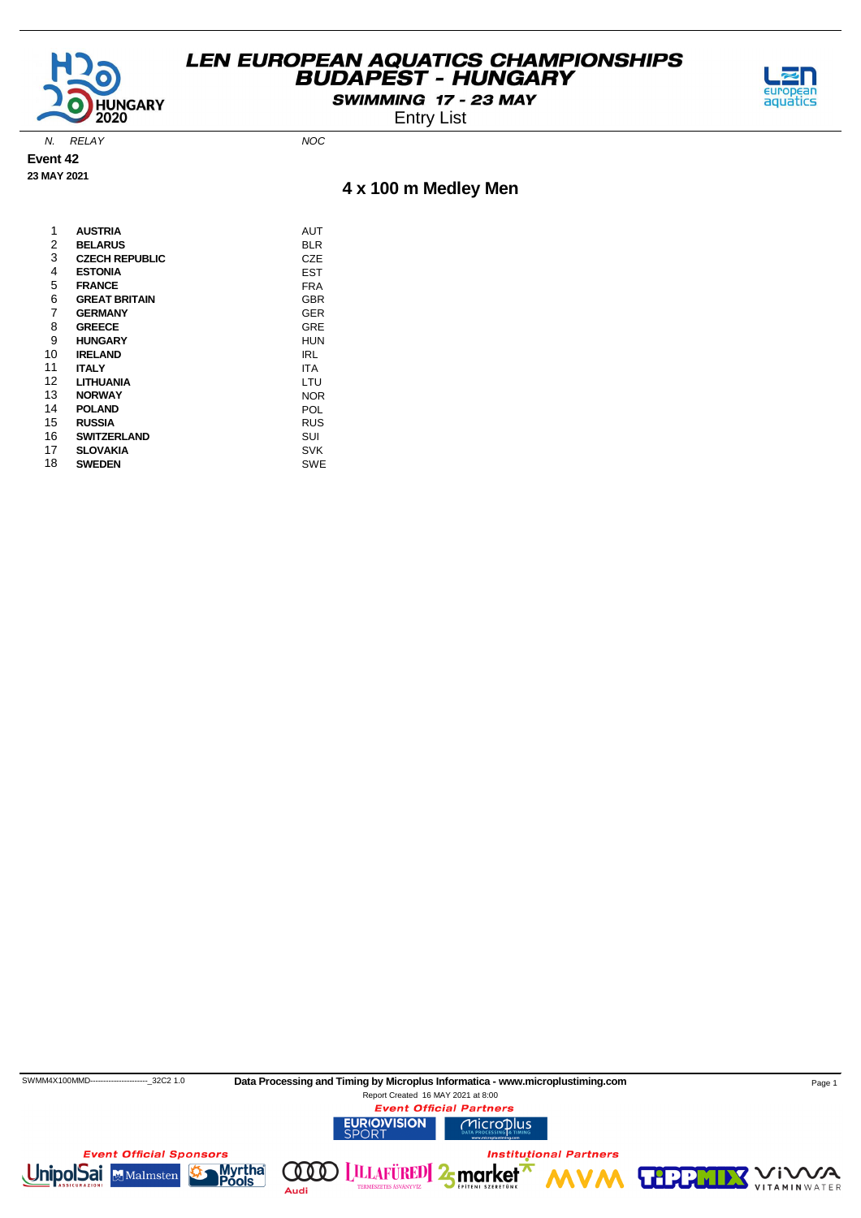

SWIMMING 17 - 23 MAY

Entry List



N. RELAY NOC

**Event 42**

#### **23 MAY 2021**

#### **4 x 100 m Medley Men**

| 1  | <b>AUSTRIA</b>        | AUT        |
|----|-----------------------|------------|
| 2  | <b>BELARUS</b>        | BLR        |
| 3  | <b>CZECH REPUBLIC</b> | CZE        |
| 4  | <b>ESTONIA</b>        | EST        |
| 5  | <b>FRANCE</b>         | FRA        |
| 6  | <b>GREAT BRITAIN</b>  | GBR        |
| 7  | <b>GERMANY</b>        | GER        |
| 8  | <b>GREECE</b>         | GRE        |
| 9  | <b>HUNGARY</b>        | HUN        |
| 10 | <b>IRELAND</b>        | IRL        |
| 11 | <b>ITALY</b>          | <b>ITA</b> |
| 12 | LITHUANIA             | LTU        |
| 13 | <b>NORWAY</b>         | <b>NOR</b> |
| 14 | <b>POLAND</b>         | POL        |
| 15 | <b>RUSSIA</b>         | RUS        |
| 16 | SWITZERLAND           | SUI        |
| 17 | <b>SLOVAKIA</b>       | SVK        |
| 18 | <b>SWEDEN</b>         | SWE        |